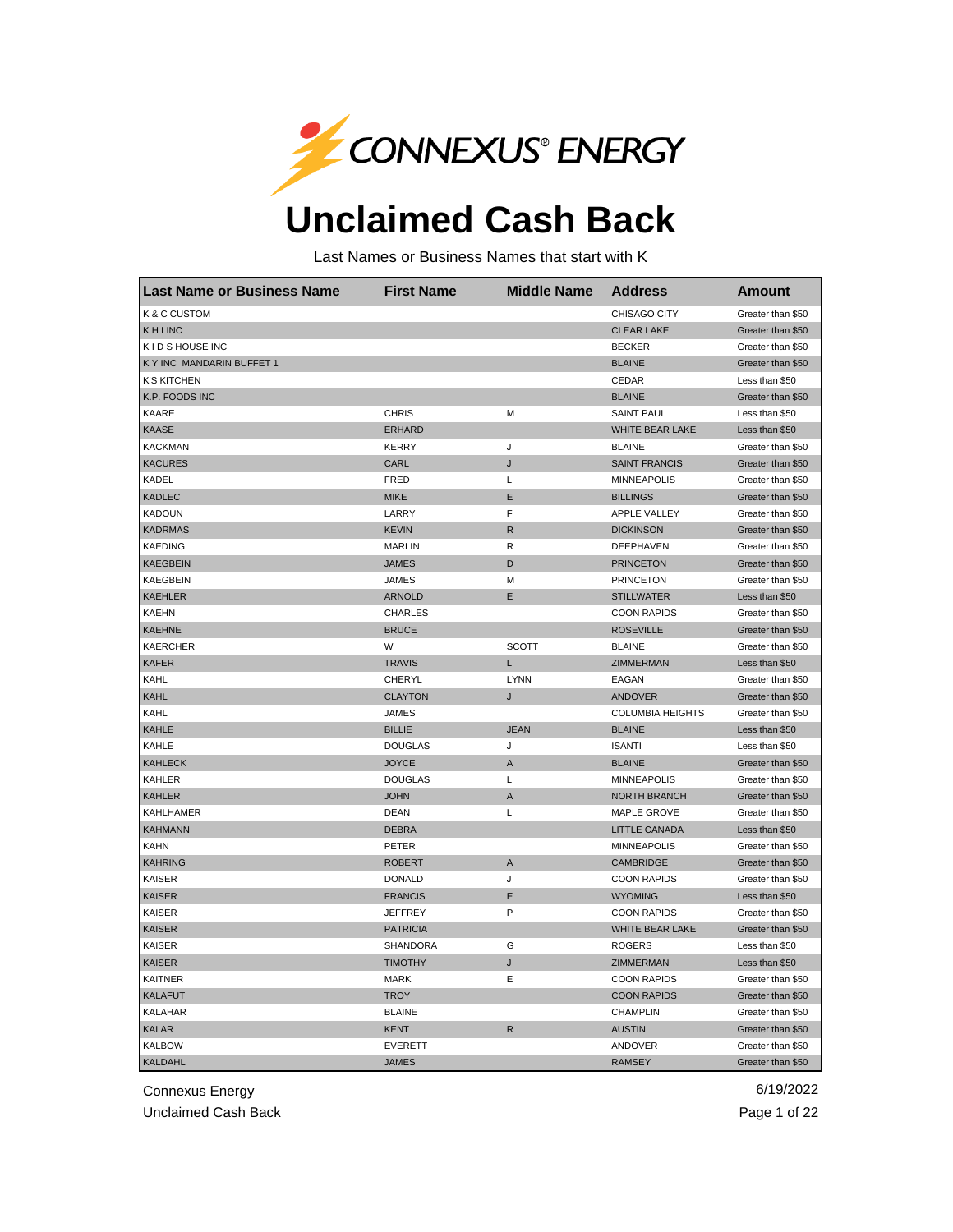

## **Unclaimed Cash Back**

Last Names or Business Names that start with K

| <b>Last Name or Business Name</b> | <b>First Name</b> | <b>Middle Name</b> | <b>Address</b>          | <b>Amount</b>     |
|-----------------------------------|-------------------|--------------------|-------------------------|-------------------|
| <b>K &amp; C CUSTOM</b>           |                   |                    | CHISAGO CITY            | Greater than \$50 |
| KHINC                             |                   |                    | <b>CLEAR LAKE</b>       | Greater than \$50 |
| K I D S HOUSE INC                 |                   |                    | <b>BECKER</b>           | Greater than \$50 |
| K Y INC MANDARIN BUFFET 1         |                   |                    | <b>BLAINE</b>           | Greater than \$50 |
| <b>K'S KITCHEN</b>                |                   |                    | CEDAR                   | Less than \$50    |
| K.P. FOODS INC                    |                   |                    | <b>BLAINE</b>           | Greater than \$50 |
| KAARE                             | <b>CHRIS</b>      | м                  | <b>SAINT PAUL</b>       | Less than \$50    |
| KAASE                             | <b>ERHARD</b>     |                    | WHITE BEAR LAKE         | Less than \$50    |
| <b>KACKMAN</b>                    | <b>KERRY</b>      | J                  | <b>BLAINE</b>           | Greater than \$50 |
| <b>KACURES</b>                    | CARL              | J                  | <b>SAINT FRANCIS</b>    | Greater than \$50 |
| KADEL                             | FRED              | L                  | <b>MINNEAPOLIS</b>      | Greater than \$50 |
| <b>KADLEC</b>                     | <b>MIKE</b>       | Ε                  | <b>BILLINGS</b>         | Greater than \$50 |
| <b>KADOUN</b>                     | LARRY             | F                  | <b>APPLE VALLEY</b>     | Greater than \$50 |
| <b>KADRMAS</b>                    | <b>KEVIN</b>      | $\mathsf{R}$       | <b>DICKINSON</b>        | Greater than \$50 |
| <b>KAEDING</b>                    | <b>MARLIN</b>     | R                  | DEEPHAVEN               | Greater than \$50 |
| <b>KAEGBEIN</b>                   | <b>JAMES</b>      | D                  | <b>PRINCETON</b>        | Greater than \$50 |
| <b>KAEGBEIN</b>                   | <b>JAMES</b>      | м                  | <b>PRINCETON</b>        | Greater than \$50 |
| <b>KAEHLER</b>                    | <b>ARNOLD</b>     | E                  | <b>STILLWATER</b>       | Less than \$50    |
| <b>KAEHN</b>                      | <b>CHARLES</b>    |                    | <b>COON RAPIDS</b>      | Greater than \$50 |
| <b>KAEHNE</b>                     | <b>BRUCE</b>      |                    | <b>ROSEVILLE</b>        | Greater than \$50 |
| <b>KAERCHER</b>                   | W                 | <b>SCOTT</b>       | <b>BLAINE</b>           | Greater than \$50 |
| <b>KAFER</b>                      | <b>TRAVIS</b>     | L                  | ZIMMERMAN               | Less than \$50    |
| KAHL                              | <b>CHERYL</b>     | <b>LYNN</b>        | EAGAN                   | Greater than \$50 |
| KAHL                              | <b>CLAYTON</b>    | J                  | <b>ANDOVER</b>          | Greater than \$50 |
| KAHL                              | <b>JAMES</b>      |                    | <b>COLUMBIA HEIGHTS</b> | Greater than \$50 |
| <b>KAHLE</b>                      | <b>BILLIE</b>     | <b>JEAN</b>        | <b>BLAINE</b>           | Less than \$50    |
| KAHLE                             | <b>DOUGLAS</b>    | J                  | <b>ISANTI</b>           | Less than \$50    |
| <b>KAHLECK</b>                    | <b>JOYCE</b>      | A                  | <b>BLAINE</b>           | Greater than \$50 |
| KAHLER                            | <b>DOUGLAS</b>    | L                  | <b>MINNEAPOLIS</b>      | Greater than \$50 |
| <b>KAHLER</b>                     | <b>JOHN</b>       | Α                  | <b>NORTH BRANCH</b>     | Greater than \$50 |
| <b>KAHLHAMER</b>                  | <b>DEAN</b>       | Г                  | <b>MAPLE GROVE</b>      | Greater than \$50 |
| <b>KAHMANN</b>                    | <b>DEBRA</b>      |                    | <b>LITTLE CANADA</b>    | Less than \$50    |
| <b>KAHN</b>                       | <b>PETER</b>      |                    | <b>MINNEAPOLIS</b>      | Greater than \$50 |
| <b>KAHRING</b>                    | <b>ROBERT</b>     | A                  | <b>CAMBRIDGE</b>        | Greater than \$50 |
| <b>KAISER</b>                     | <b>DONALD</b>     | J                  | <b>COON RAPIDS</b>      | Greater than \$50 |
| KAISER                            | <b>FRANCIS</b>    | Ε                  | <b>WYOMING</b>          | Less than \$50    |
| <b>KAISER</b>                     | <b>JEFFREY</b>    | P                  | <b>COON RAPIDS</b>      | Greater than \$50 |
| <b>KAISER</b>                     | <b>PATRICIA</b>   |                    | WHITE BEAR LAKE         | Greater than \$50 |
| KAISER                            | SHANDORA          | G                  | <b>ROGERS</b>           | Less than \$50    |
| <b>KAISER</b>                     | <b>TIMOTHY</b>    | J                  | ZIMMERMAN               | Less than \$50    |
| <b>KAITNER</b>                    | <b>MARK</b>       | E                  | <b>COON RAPIDS</b>      | Greater than \$50 |
| <b>KALAFUT</b>                    | <b>TROY</b>       |                    | <b>COON RAPIDS</b>      | Greater than \$50 |
| <b>KALAHAR</b>                    | <b>BLAINE</b>     |                    | CHAMPLIN                | Greater than \$50 |
| <b>KALAR</b>                      | <b>KENT</b>       | R                  | <b>AUSTIN</b>           | Greater than \$50 |
| <b>KALBOW</b>                     | <b>EVERETT</b>    |                    | ANDOVER                 | Greater than \$50 |
| <b>KALDAHL</b>                    | <b>JAMES</b>      |                    | <b>RAMSEY</b>           | Greater than \$50 |

Connexus Energy 6/19/2022

Unclaimed Cash Back **Page 1 of 22**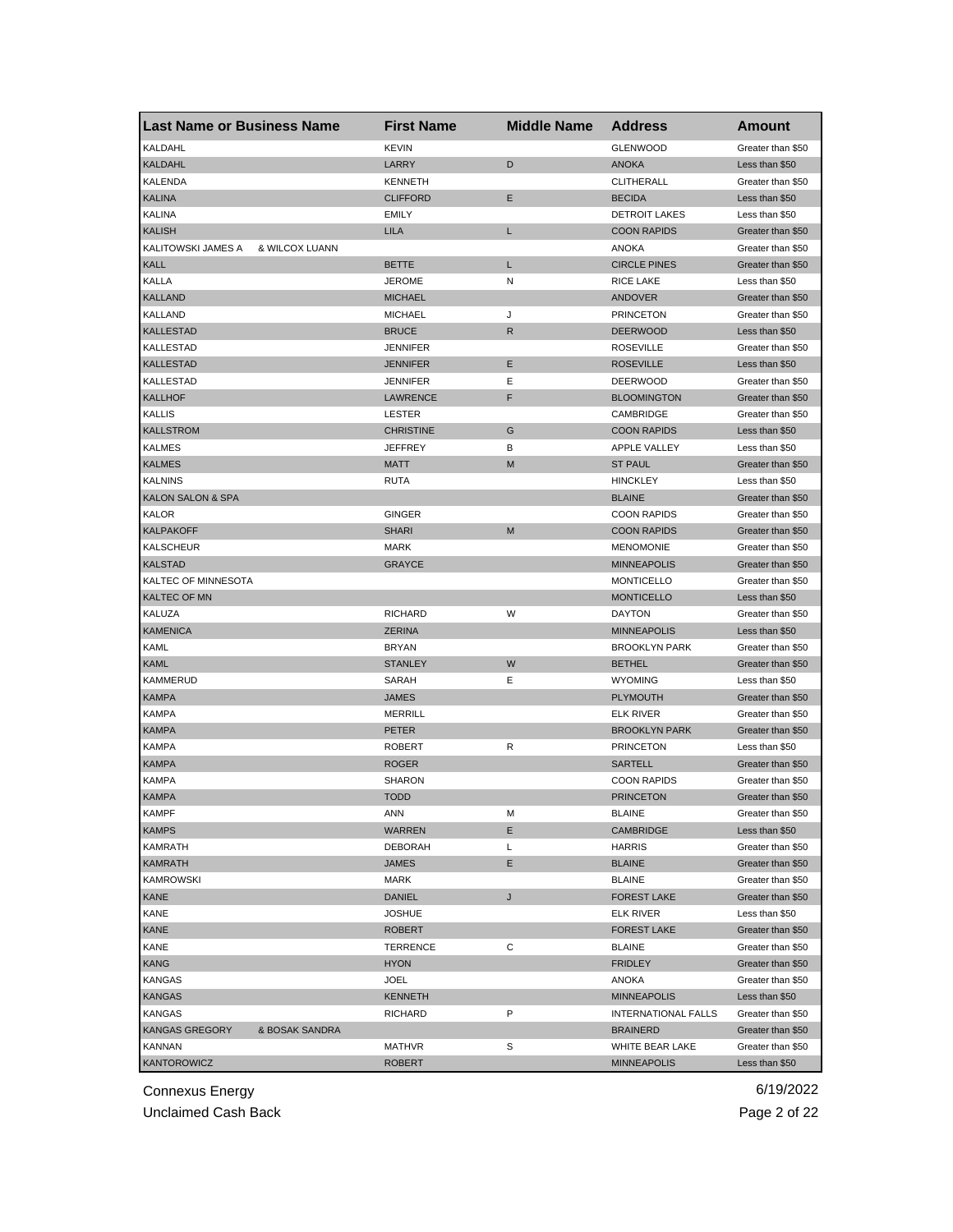| <b>Last Name or Business Name</b>       | <b>First Name</b> | <b>Middle Name</b> | <b>Address</b>                           | <b>Amount</b>                       |
|-----------------------------------------|-------------------|--------------------|------------------------------------------|-------------------------------------|
| KALDAHL                                 | <b>KEVIN</b>      |                    | <b>GLENWOOD</b>                          | Greater than \$50                   |
| <b>KALDAHL</b>                          | LARRY             | D                  | <b>ANOKA</b>                             | Less than \$50                      |
| <b>KALENDA</b>                          | <b>KENNETH</b>    |                    | CLITHERALL                               | Greater than \$50                   |
| <b>KALINA</b>                           | <b>CLIFFORD</b>   | Е                  | <b>BECIDA</b>                            | Less than \$50                      |
| <b>KALINA</b>                           | <b>EMILY</b>      |                    | <b>DETROIT LAKES</b>                     | Less than \$50                      |
| <b>KALISH</b>                           | <b>LILA</b>       | L                  | <b>COON RAPIDS</b>                       | Greater than \$50                   |
| KALITOWSKI JAMES A<br>& WILCOX LUANN    |                   |                    | ANOKA                                    | Greater than \$50                   |
| <b>KALL</b>                             | <b>BETTE</b>      | Г                  | <b>CIRCLE PINES</b>                      | Greater than \$50                   |
| KALLA                                   | <b>JEROME</b>     | N                  | RICE LAKE                                | Less than \$50                      |
| <b>KALLAND</b>                          | <b>MICHAEL</b>    |                    | <b>ANDOVER</b>                           | Greater than \$50                   |
| KALLAND                                 | <b>MICHAEL</b>    | J                  | <b>PRINCETON</b>                         | Greater than \$50                   |
| <b>KALLESTAD</b>                        | <b>BRUCE</b>      | R                  | <b>DEERWOOD</b>                          | Less than \$50                      |
| <b>KALLESTAD</b>                        | <b>JENNIFER</b>   |                    | <b>ROSEVILLE</b>                         | Greater than \$50                   |
| <b>KALLESTAD</b>                        | <b>JENNIFER</b>   | Ε                  | <b>ROSEVILLE</b>                         | Less than \$50                      |
| <b>KALLESTAD</b>                        | <b>JENNIFER</b>   | Ε                  | <b>DEERWOOD</b>                          | Greater than \$50                   |
| <b>KALLHOF</b>                          | <b>LAWRENCE</b>   | F                  | <b>BLOOMINGTON</b>                       | Greater than \$50                   |
| <b>KALLIS</b>                           | LESTER            |                    | CAMBRIDGE                                | Greater than \$50                   |
| <b>KALLSTROM</b>                        | <b>CHRISTINE</b>  | G                  | <b>COON RAPIDS</b>                       | Less than \$50                      |
| <b>KALMES</b>                           | <b>JEFFREY</b>    | в                  | <b>APPLE VALLEY</b>                      | Less than \$50                      |
| <b>KALMES</b>                           | <b>MATT</b>       | M                  | <b>ST PAUL</b>                           | Greater than \$50                   |
| <b>KALNINS</b>                          | <b>RUTA</b>       |                    | <b>HINCKLEY</b>                          | Less than \$50                      |
| <b>KALON SALON &amp; SPA</b>            |                   |                    | <b>BLAINE</b>                            | Greater than \$50                   |
| KALOR                                   | <b>GINGER</b>     |                    | <b>COON RAPIDS</b>                       | Greater than \$50                   |
| <b>KALPAKOFF</b>                        | SHARI             | M                  | <b>COON RAPIDS</b>                       | Greater than \$50                   |
| <b>KALSCHEUR</b>                        | MARK              |                    | <b>MENOMONIE</b>                         | Greater than \$50                   |
| <b>KALSTAD</b>                          | <b>GRAYCE</b>     |                    | <b>MINNEAPOLIS</b>                       | Greater than \$50                   |
| KALTEC OF MINNESOTA                     |                   |                    | <b>MONTICELLO</b>                        | Greater than \$50                   |
| <b>KALTEC OF MN</b>                     |                   |                    | <b>MONTICELLO</b>                        | Less than \$50                      |
| KALUZA                                  | <b>RICHARD</b>    | W                  | <b>DAYTON</b>                            | Greater than \$50                   |
| <b>KAMENICA</b>                         | <b>ZERINA</b>     |                    | <b>MINNEAPOLIS</b>                       | Less than \$50                      |
| KAML                                    | <b>BRYAN</b>      |                    | <b>BROOKLYN PARK</b>                     | Greater than \$50                   |
| KAML                                    | <b>STANLEY</b>    | W                  | <b>BETHEL</b>                            | Greater than \$50                   |
| <b>KAMMERUD</b>                         | SARAH             | Е                  | <b>WYOMING</b>                           |                                     |
| <b>KAMPA</b>                            | <b>JAMES</b>      |                    | <b>PLYMOUTH</b>                          | Less than \$50<br>Greater than \$50 |
|                                         |                   |                    |                                          |                                     |
| <b>KAMPA</b>                            | <b>MERRILL</b>    |                    | <b>ELK RIVER</b><br><b>BROOKLYN PARK</b> | Greater than \$50                   |
| <b>KAMPA</b>                            | PETER             |                    |                                          | Greater than \$50                   |
| <b>KAMPA</b>                            | <b>ROBERT</b>     | R                  | <b>PRINCETON</b>                         | Less than \$50                      |
| <b>KAMPA</b>                            | ROGER             |                    | <b>SARTELL</b>                           | Greater than \$50                   |
| <b>KAMPA</b>                            | SHARON            |                    | <b>COON RAPIDS</b>                       | Greater than \$50                   |
| <b>KAMPA</b>                            | <b>TODD</b>       |                    | <b>PRINCETON</b>                         | Greater than \$50                   |
| <b>KAMPF</b>                            | ANN               | М                  | <b>BLAINE</b>                            | Greater than \$50                   |
| <b>KAMPS</b>                            | WARREN            | Е                  | <b>CAMBRIDGE</b>                         | Less than \$50                      |
| KAMRATH                                 | <b>DEBORAH</b>    | L                  | <b>HARRIS</b>                            | Greater than \$50                   |
| <b>KAMRATH</b>                          | JAMES             | Е                  | <b>BLAINE</b>                            | Greater than \$50                   |
| <b>KAMROWSKI</b>                        | MARK              |                    | <b>BLAINE</b>                            | Greater than \$50                   |
| <b>KANE</b>                             | <b>DANIEL</b>     | J                  | <b>FOREST LAKE</b>                       | Greater than \$50                   |
| KANE                                    | <b>JOSHUE</b>     |                    | <b>ELK RIVER</b>                         | Less than \$50                      |
| <b>KANE</b>                             | <b>ROBERT</b>     |                    | <b>FOREST LAKE</b>                       | Greater than \$50                   |
| KANE                                    | TERRENCE          | С                  | <b>BLAINE</b>                            | Greater than \$50                   |
| <b>KANG</b>                             | <b>HYON</b>       |                    | <b>FRIDLEY</b>                           | Greater than \$50                   |
| <b>KANGAS</b>                           | JOEL              |                    | ANOKA                                    | Greater than \$50                   |
| <b>KANGAS</b>                           | <b>KENNETH</b>    |                    | <b>MINNEAPOLIS</b>                       | Less than \$50                      |
| <b>KANGAS</b>                           | RICHARD           | P                  | <b>INTERNATIONAL FALLS</b>               | Greater than \$50                   |
| <b>KANGAS GREGORY</b><br>& BOSAK SANDRA |                   |                    | <b>BRAINERD</b>                          | Greater than \$50                   |
| KANNAN                                  | MATHVR            | S                  | WHITE BEAR LAKE                          | Greater than \$50                   |
| <b>KANTOROWICZ</b>                      | <b>ROBERT</b>     |                    | <b>MINNEAPOLIS</b>                       | Less than \$50                      |

Unclaimed Cash Back **Page 2 of 22**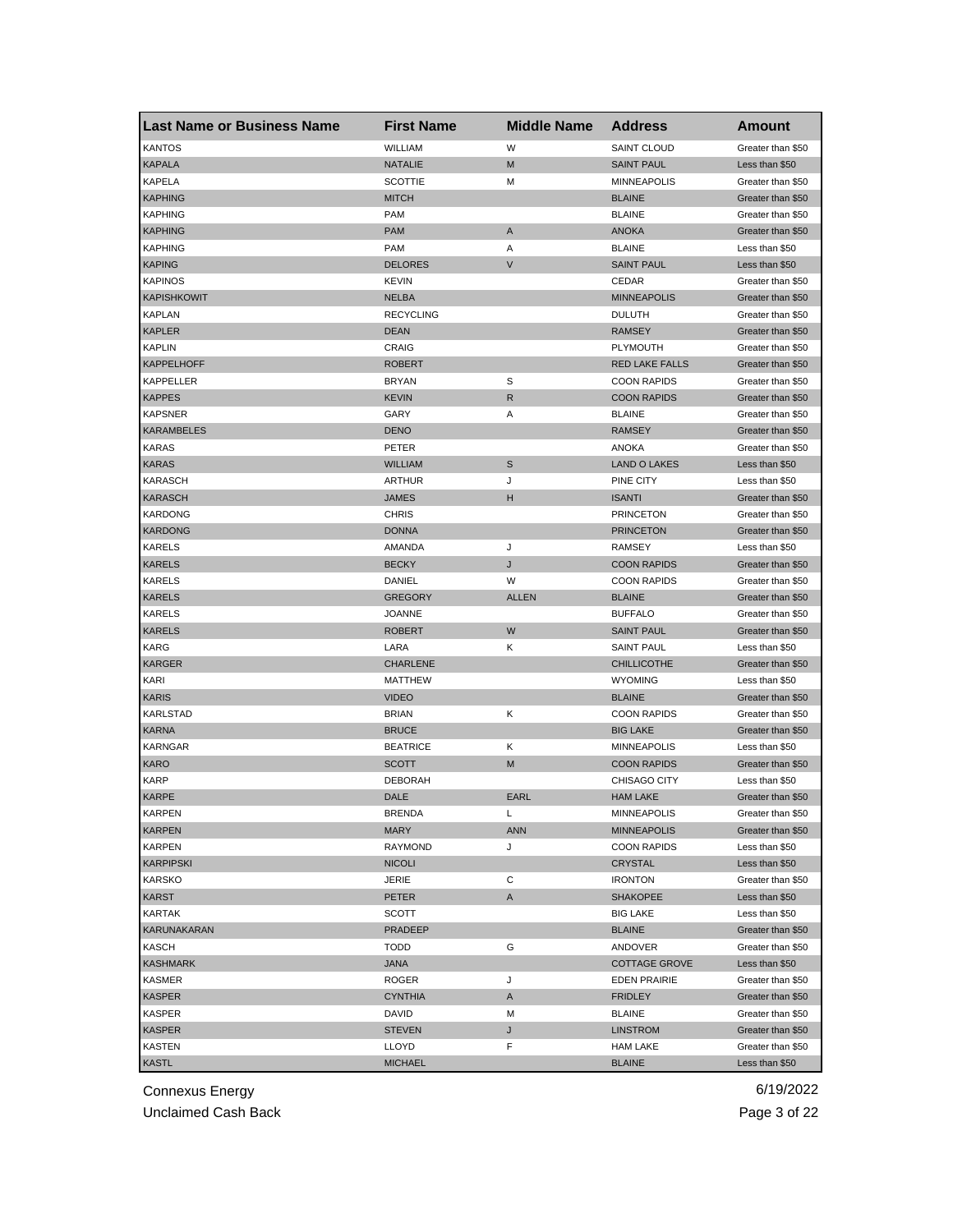| <b>Last Name or Business Name</b> | <b>First Name</b> | <b>Middle Name</b> | <b>Address</b>        | <b>Amount</b>     |
|-----------------------------------|-------------------|--------------------|-----------------------|-------------------|
| <b>KANTOS</b>                     | WILLIAM           | W                  | <b>SAINT CLOUD</b>    | Greater than \$50 |
| <b>KAPALA</b>                     | <b>NATALIE</b>    | M                  | <b>SAINT PAUL</b>     | Less than \$50    |
| <b>KAPELA</b>                     | <b>SCOTTIE</b>    | M                  | <b>MINNEAPOLIS</b>    | Greater than \$50 |
| <b>KAPHING</b>                    | <b>MITCH</b>      |                    | <b>BLAINE</b>         | Greater than \$50 |
| <b>KAPHING</b>                    | <b>PAM</b>        |                    | <b>BLAINE</b>         | Greater than \$50 |
| <b>KAPHING</b>                    | <b>PAM</b>        | A                  | <b>ANOKA</b>          | Greater than \$50 |
| KAPHING                           | <b>PAM</b>        | Α                  | <b>BLAINE</b>         | Less than \$50    |
| <b>KAPING</b>                     | <b>DELORES</b>    | $\sf V$            | <b>SAINT PAUL</b>     | Less than \$50    |
| <b>KAPINOS</b>                    | <b>KEVIN</b>      |                    | CEDAR                 | Greater than \$50 |
| <b>KAPISHKOWIT</b>                | <b>NELBA</b>      |                    | <b>MINNEAPOLIS</b>    | Greater than \$50 |
| <b>KAPLAN</b>                     | <b>RECYCLING</b>  |                    | <b>DULUTH</b>         | Greater than \$50 |
| <b>KAPLER</b>                     | DEAN              |                    | <b>RAMSEY</b>         | Greater than \$50 |
| <b>KAPLIN</b>                     | CRAIG             |                    | <b>PLYMOUTH</b>       | Greater than \$50 |
| <b>KAPPELHOFF</b>                 | <b>ROBERT</b>     |                    | <b>RED LAKE FALLS</b> | Greater than \$50 |
| KAPPELLER                         | <b>BRYAN</b>      | S                  | <b>COON RAPIDS</b>    | Greater than \$50 |
| <b>KAPPES</b>                     | KEVIN             | R                  | <b>COON RAPIDS</b>    | Greater than \$50 |
| <b>KAPSNER</b>                    | GARY              | Α                  | <b>BLAINE</b>         | Greater than \$50 |
| <b>KARAMBELES</b>                 | <b>DENO</b>       |                    | <b>RAMSEY</b>         | Greater than \$50 |
| <b>KARAS</b>                      | PETER             |                    | <b>ANOKA</b>          | Greater than \$50 |
| <b>KARAS</b>                      | <b>WILLIAM</b>    | S                  | <b>LAND O LAKES</b>   | Less than \$50    |
| <b>KARASCH</b>                    | <b>ARTHUR</b>     | J                  | PINE CITY             | Less than \$50    |
| <b>KARASCH</b>                    | <b>JAMES</b>      | н                  | <b>ISANTI</b>         | Greater than \$50 |
| <b>KARDONG</b>                    | <b>CHRIS</b>      |                    | <b>PRINCETON</b>      | Greater than \$50 |
| <b>KARDONG</b>                    | <b>DONNA</b>      |                    | <b>PRINCETON</b>      | Greater than \$50 |
| KARELS                            | AMANDA            | J                  | <b>RAMSEY</b>         | Less than \$50    |
| <b>KARELS</b>                     | <b>BECKY</b>      | J                  | <b>COON RAPIDS</b>    | Greater than \$50 |
| KARELS                            | DANIEL            | W                  | <b>COON RAPIDS</b>    | Greater than \$50 |
| <b>KARELS</b>                     | <b>GREGORY</b>    | <b>ALLEN</b>       | <b>BLAINE</b>         | Greater than \$50 |
| <b>KARELS</b>                     | <b>JOANNE</b>     |                    | <b>BUFFALO</b>        | Greater than \$50 |
| <b>KARELS</b>                     | <b>ROBERT</b>     | W                  | <b>SAINT PAUL</b>     | Greater than \$50 |
| KARG                              | LARA              | Κ                  | <b>SAINT PAUL</b>     | Less than \$50    |
| <b>KARGER</b>                     | <b>CHARLENE</b>   |                    | <b>CHILLICOTHE</b>    | Greater than \$50 |
| KARI                              | <b>MATTHEW</b>    |                    | <b>WYOMING</b>        | Less than \$50    |
| <b>KARIS</b>                      | <b>VIDEO</b>      |                    | <b>BLAINE</b>         | Greater than \$50 |
| KARLSTAD                          | <b>BRIAN</b>      | Κ                  | <b>COON RAPIDS</b>    | Greater than \$50 |
| <b>KARNA</b>                      | <b>BRUCE</b>      |                    | <b>BIG LAKE</b>       | Greater than \$50 |
| <b>KARNGAR</b>                    | <b>BEATRICE</b>   | Κ                  | <b>MINNEAPOLIS</b>    | Less than \$50    |
| <b>KARO</b>                       | <b>SCOTT</b>      | M                  | <b>COON RAPIDS</b>    | Greater than \$50 |
| <b>KARP</b>                       | <b>DEBORAH</b>    |                    | CHISAGO CITY          | Less than \$50    |
| <b>KARPE</b>                      | DALE              | EARL               | <b>HAM LAKE</b>       | Greater than \$50 |
| KARPEN                            | BRENDA            | L                  | <b>MINNEAPOLIS</b>    | Greater than \$50 |
| <b>KARPEN</b>                     | <b>MARY</b>       | <b>ANN</b>         | <b>MINNEAPOLIS</b>    | Greater than \$50 |
| KARPEN                            | <b>RAYMOND</b>    | J                  | <b>COON RAPIDS</b>    | Less than \$50    |
| <b>KARPIPSKI</b>                  | <b>NICOLI</b>     |                    | CRYSTAL               | Less than \$50    |
| <b>KARSKO</b>                     | JERIE             | С                  | <b>IRONTON</b>        | Greater than \$50 |
| <b>KARST</b>                      | PETER             | A                  | <b>SHAKOPEE</b>       | Less than \$50    |
| KARTAK                            | SCOTT             |                    | <b>BIG LAKE</b>       | Less than \$50    |
| KARUNAKARAN                       | PRADEEP           |                    | <b>BLAINE</b>         | Greater than \$50 |
| <b>KASCH</b>                      | <b>TODD</b>       | G                  | ANDOVER               | Greater than \$50 |
| <b>KASHMARK</b>                   | <b>ANAL</b>       |                    | <b>COTTAGE GROVE</b>  | Less than \$50    |
| KASMER                            | ROGER             | J                  | <b>EDEN PRAIRIE</b>   | Greater than \$50 |
| <b>KASPER</b>                     | <b>CYNTHIA</b>    | A                  | <b>FRIDLEY</b>        | Greater than \$50 |
| KASPER                            | DAVID             | М                  | <b>BLAINE</b>         | Greater than \$50 |
| <b>KASPER</b>                     | <b>STEVEN</b>     | J                  | <b>LINSTROM</b>       | Greater than \$50 |
| KASTEN                            | LLOYD             | F                  | <b>HAM LAKE</b>       | Greater than \$50 |
| <b>KASTL</b>                      | <b>MICHAEL</b>    |                    | <b>BLAINE</b>         | Less than \$50    |
|                                   |                   |                    |                       |                   |

Unclaimed Cash Back **Page 3 of 22**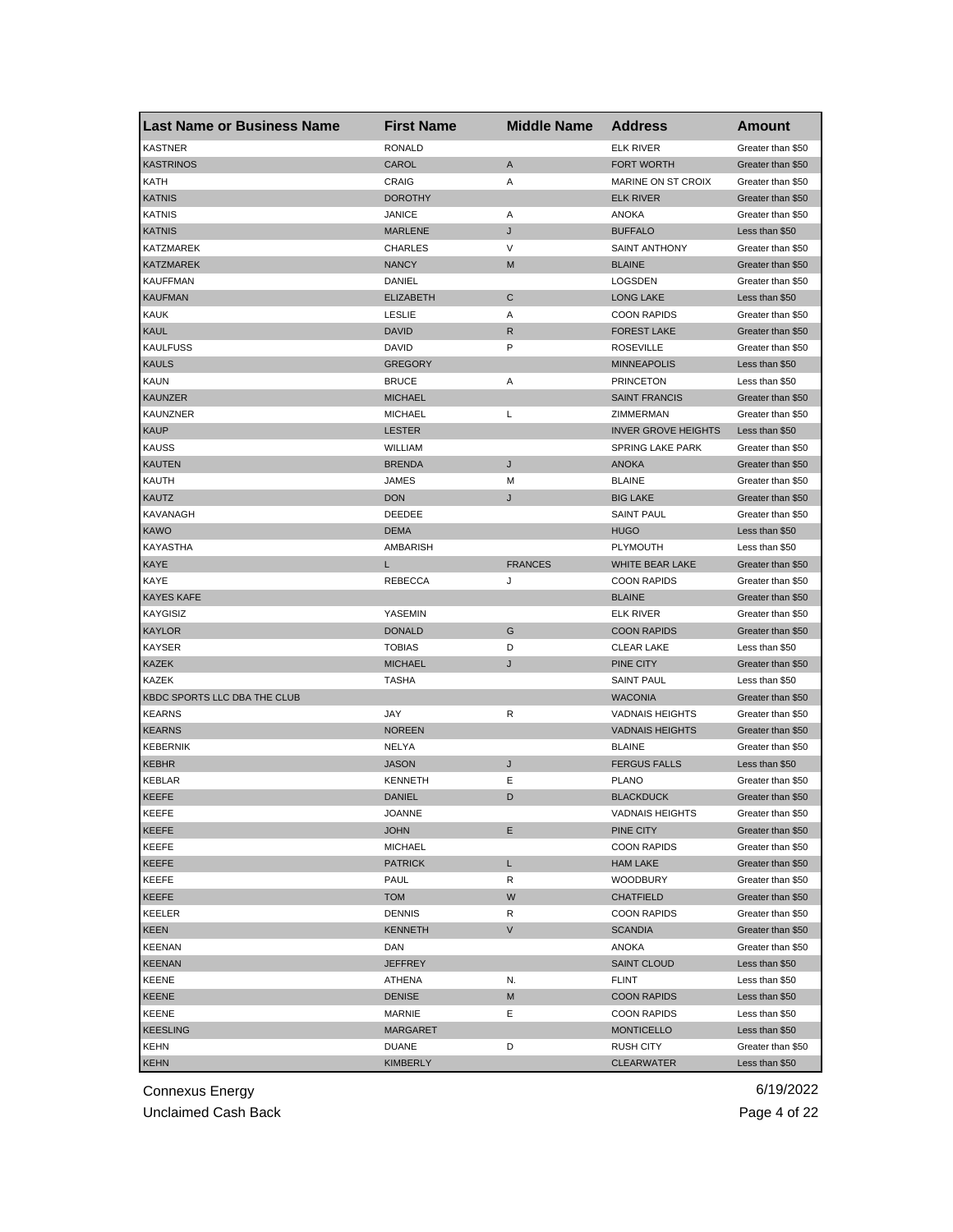| <b>KASTNER</b><br><b>RONALD</b><br><b>ELK RIVER</b><br>Greater than \$50<br><b>KASTRINOS</b><br>CAROL<br>A<br><b>FORT WORTH</b><br>Greater than \$50<br>KATH<br>CRAIG<br>Α<br>MARINE ON ST CROIX<br>Greater than \$50<br><b>DOROTHY</b><br><b>ELK RIVER</b><br><b>KATNIS</b><br>Greater than \$50<br><b>KATNIS</b><br><b>JANICE</b><br>Α<br>ANOKA<br>Greater than \$50<br>J<br><b>KATNIS</b><br><b>MARLENE</b><br><b>BUFFALO</b><br>Less than \$50<br>V<br>KATZMAREK<br><b>CHARLES</b><br><b>SAINT ANTHONY</b><br>Greater than \$50<br><b>KATZMAREK</b><br><b>NANCY</b><br><b>BLAINE</b><br>M<br>Greater than \$50<br><b>KAUFFMAN</b><br>DANIEL<br>LOGSDEN<br>Greater than \$50<br>C<br><b>KAUFMAN</b><br><b>ELIZABETH</b><br><b>LONG LAKE</b><br>Less than \$50<br><b>KAUK</b><br><b>LESLIE</b><br>Α<br><b>COON RAPIDS</b><br>Greater than \$50<br><b>KAUL</b><br><b>DAVID</b><br>R<br><b>FOREST LAKE</b><br>Greater than \$50<br>P<br><b>KAULFUSS</b><br>DAVID<br><b>ROSEVILLE</b><br>Greater than \$50<br><b>KAULS</b><br><b>GREGORY</b><br><b>MINNEAPOLIS</b><br>Less than \$50<br><b>KAUN</b><br><b>BRUCE</b><br>Α<br><b>PRINCETON</b><br>Less than \$50<br>KAUNZER<br><b>MICHAEL</b><br><b>SAINT FRANCIS</b><br>Greater than \$50<br><b>KAUNZNER</b><br><b>MICHAEL</b><br>L<br>ZIMMERMAN<br>Greater than \$50<br><b>KAUP</b><br><b>INVER GROVE HEIGHTS</b><br><b>LESTER</b><br>Less than \$50<br><b>KAUSS</b><br>WILLIAM<br><b>SPRING LAKE PARK</b><br>Greater than \$50<br><b>KAUTEN</b><br>J<br><b>BRENDA</b><br><b>ANOKA</b><br>Greater than \$50<br>KAUTH<br><b>BLAINE</b><br>JAMES<br>М<br>Greater than \$50<br><b>KAUTZ</b><br><b>DON</b><br>J<br><b>BIG LAKE</b><br>Greater than \$50<br>KAVANAGH<br>DEEDEE<br><b>SAINT PAUL</b><br>Greater than \$50<br><b>KAWO</b><br><b>DEMA</b><br><b>HUGO</b><br>Less than \$50<br>KAYASTHA<br>AMBARISH<br>PLYMOUTH<br>Less than \$50<br>KAYE<br><b>FRANCES</b><br>WHITE BEAR LAKE<br>L<br>Greater than \$50<br>KAYE<br><b>REBECCA</b><br>J<br><b>COON RAPIDS</b><br>Greater than \$50<br><b>KAYES KAFE</b><br><b>BLAINE</b><br>Greater than \$50<br><b>KAYGISIZ</b><br>YASEMIN<br><b>ELK RIVER</b><br>Greater than \$50<br>KAYLOR<br><b>DONALD</b><br>G<br><b>COON RAPIDS</b><br>Greater than \$50<br><b>KAYSER</b><br><b>TOBIAS</b><br>D<br><b>CLEAR LAKE</b><br>Less than \$50<br>KAZEK<br><b>MICHAEL</b><br>J<br>PINE CITY<br>Greater than \$50<br>KAZEK<br><b>TASHA</b><br><b>SAINT PAUL</b><br>Less than \$50<br>KBDC SPORTS LLC DBA THE CLUB<br><b>WACONIA</b><br>Greater than \$50<br><b>KEARNS</b><br>R<br><b>VADNAIS HEIGHTS</b><br>JAY<br>Greater than \$50<br><b>KEARNS</b><br><b>NOREEN</b><br><b>VADNAIS HEIGHTS</b><br>Greater than \$50<br><b>KEBERNIK</b><br>Greater than \$50<br>NELYA<br><b>BLAINE</b><br>J<br>KEBHR<br><b>JASON</b><br><b>FERGUS FALLS</b><br>Less than \$50<br><b>KEBLAR</b><br><b>KENNETH</b><br>Ε<br><b>PLANO</b><br>Greater than \$50<br>KEEFE<br><b>DANIEL</b><br>D<br><b>BLACKDUCK</b><br>Greater than \$50<br>KEEFE<br><b>JOANNE</b><br>VADNAIS HEIGHTS<br>Greater than \$50<br>KEEFE<br><b>JOHN</b><br>Ε<br>PINE CITY<br>Greater than \$50<br>KEEFE<br><b>MICHAEL</b><br><b>COON RAPIDS</b><br>Greater than \$50<br>KEEFE<br>L<br><b>PATRICK</b><br><b>HAM LAKE</b><br>Greater than \$50<br>KEEFE<br>PAUL<br>R<br><b>WOODBURY</b><br>Greater than \$50<br>KEEFE<br><b>TOM</b><br>W<br><b>CHATFIELD</b><br>Greater than \$50<br>KEELER<br><b>DENNIS</b><br><b>COON RAPIDS</b><br>Greater than \$50<br>R<br><b>KEEN</b><br>V<br><b>KENNETH</b><br><b>SCANDIA</b><br>Greater than \$50<br><b>KEENAN</b><br>ANOKA<br>Greater than \$50<br>DAN<br><b>KEENAN</b><br><b>JEFFREY</b><br><b>SAINT CLOUD</b><br>Less than \$50<br>KEENE<br>FLINT<br>Less than \$50<br>ATHENA<br>N.<br>KEENE<br><b>DENISE</b><br>М<br><b>COON RAPIDS</b><br>Less than \$50<br>KEENE<br>MARNIE<br>Е<br><b>COON RAPIDS</b><br>Less than \$50<br><b>KEESLING</b><br><b>MARGARET</b><br><b>MONTICELLO</b><br>Less than \$50<br>KEHN<br>DUANE<br>D<br><b>RUSH CITY</b><br>Greater than \$50 | Last Name or Business Name | <b>First Name</b> | <b>Middle Name</b> | <b>Address</b>    | <b>Amount</b>  |
|-----------------------------------------------------------------------------------------------------------------------------------------------------------------------------------------------------------------------------------------------------------------------------------------------------------------------------------------------------------------------------------------------------------------------------------------------------------------------------------------------------------------------------------------------------------------------------------------------------------------------------------------------------------------------------------------------------------------------------------------------------------------------------------------------------------------------------------------------------------------------------------------------------------------------------------------------------------------------------------------------------------------------------------------------------------------------------------------------------------------------------------------------------------------------------------------------------------------------------------------------------------------------------------------------------------------------------------------------------------------------------------------------------------------------------------------------------------------------------------------------------------------------------------------------------------------------------------------------------------------------------------------------------------------------------------------------------------------------------------------------------------------------------------------------------------------------------------------------------------------------------------------------------------------------------------------------------------------------------------------------------------------------------------------------------------------------------------------------------------------------------------------------------------------------------------------------------------------------------------------------------------------------------------------------------------------------------------------------------------------------------------------------------------------------------------------------------------------------------------------------------------------------------------------------------------------------------------------------------------------------------------------------------------------------------------------------------------------------------------------------------------------------------------------------------------------------------------------------------------------------------------------------------------------------------------------------------------------------------------------------------------------------------------------------------------------------------------------------------------------------------------------------------------------------------------------------------------------------------------------------------------------------------------------------------------------------------------------------------------------------------------------------------------------------------------------------------------------------------------------------------------------------------------------------------------------------------------------------------------------------------------------------------------------------------------------------------------------------------------------------------------------------------------------------------------------------------------------------------------------------------------------------------------------------------------------------------------------------------------------------------------------------------------------------------------|----------------------------|-------------------|--------------------|-------------------|----------------|
|                                                                                                                                                                                                                                                                                                                                                                                                                                                                                                                                                                                                                                                                                                                                                                                                                                                                                                                                                                                                                                                                                                                                                                                                                                                                                                                                                                                                                                                                                                                                                                                                                                                                                                                                                                                                                                                                                                                                                                                                                                                                                                                                                                                                                                                                                                                                                                                                                                                                                                                                                                                                                                                                                                                                                                                                                                                                                                                                                                                                                                                                                                                                                                                                                                                                                                                                                                                                                                                                                                                                                                                                                                                                                                                                                                                                                                                                                                                                                                                                                                                           |                            |                   |                    |                   |                |
|                                                                                                                                                                                                                                                                                                                                                                                                                                                                                                                                                                                                                                                                                                                                                                                                                                                                                                                                                                                                                                                                                                                                                                                                                                                                                                                                                                                                                                                                                                                                                                                                                                                                                                                                                                                                                                                                                                                                                                                                                                                                                                                                                                                                                                                                                                                                                                                                                                                                                                                                                                                                                                                                                                                                                                                                                                                                                                                                                                                                                                                                                                                                                                                                                                                                                                                                                                                                                                                                                                                                                                                                                                                                                                                                                                                                                                                                                                                                                                                                                                                           |                            |                   |                    |                   |                |
|                                                                                                                                                                                                                                                                                                                                                                                                                                                                                                                                                                                                                                                                                                                                                                                                                                                                                                                                                                                                                                                                                                                                                                                                                                                                                                                                                                                                                                                                                                                                                                                                                                                                                                                                                                                                                                                                                                                                                                                                                                                                                                                                                                                                                                                                                                                                                                                                                                                                                                                                                                                                                                                                                                                                                                                                                                                                                                                                                                                                                                                                                                                                                                                                                                                                                                                                                                                                                                                                                                                                                                                                                                                                                                                                                                                                                                                                                                                                                                                                                                                           |                            |                   |                    |                   |                |
|                                                                                                                                                                                                                                                                                                                                                                                                                                                                                                                                                                                                                                                                                                                                                                                                                                                                                                                                                                                                                                                                                                                                                                                                                                                                                                                                                                                                                                                                                                                                                                                                                                                                                                                                                                                                                                                                                                                                                                                                                                                                                                                                                                                                                                                                                                                                                                                                                                                                                                                                                                                                                                                                                                                                                                                                                                                                                                                                                                                                                                                                                                                                                                                                                                                                                                                                                                                                                                                                                                                                                                                                                                                                                                                                                                                                                                                                                                                                                                                                                                                           |                            |                   |                    |                   |                |
|                                                                                                                                                                                                                                                                                                                                                                                                                                                                                                                                                                                                                                                                                                                                                                                                                                                                                                                                                                                                                                                                                                                                                                                                                                                                                                                                                                                                                                                                                                                                                                                                                                                                                                                                                                                                                                                                                                                                                                                                                                                                                                                                                                                                                                                                                                                                                                                                                                                                                                                                                                                                                                                                                                                                                                                                                                                                                                                                                                                                                                                                                                                                                                                                                                                                                                                                                                                                                                                                                                                                                                                                                                                                                                                                                                                                                                                                                                                                                                                                                                                           |                            |                   |                    |                   |                |
|                                                                                                                                                                                                                                                                                                                                                                                                                                                                                                                                                                                                                                                                                                                                                                                                                                                                                                                                                                                                                                                                                                                                                                                                                                                                                                                                                                                                                                                                                                                                                                                                                                                                                                                                                                                                                                                                                                                                                                                                                                                                                                                                                                                                                                                                                                                                                                                                                                                                                                                                                                                                                                                                                                                                                                                                                                                                                                                                                                                                                                                                                                                                                                                                                                                                                                                                                                                                                                                                                                                                                                                                                                                                                                                                                                                                                                                                                                                                                                                                                                                           |                            |                   |                    |                   |                |
|                                                                                                                                                                                                                                                                                                                                                                                                                                                                                                                                                                                                                                                                                                                                                                                                                                                                                                                                                                                                                                                                                                                                                                                                                                                                                                                                                                                                                                                                                                                                                                                                                                                                                                                                                                                                                                                                                                                                                                                                                                                                                                                                                                                                                                                                                                                                                                                                                                                                                                                                                                                                                                                                                                                                                                                                                                                                                                                                                                                                                                                                                                                                                                                                                                                                                                                                                                                                                                                                                                                                                                                                                                                                                                                                                                                                                                                                                                                                                                                                                                                           |                            |                   |                    |                   |                |
|                                                                                                                                                                                                                                                                                                                                                                                                                                                                                                                                                                                                                                                                                                                                                                                                                                                                                                                                                                                                                                                                                                                                                                                                                                                                                                                                                                                                                                                                                                                                                                                                                                                                                                                                                                                                                                                                                                                                                                                                                                                                                                                                                                                                                                                                                                                                                                                                                                                                                                                                                                                                                                                                                                                                                                                                                                                                                                                                                                                                                                                                                                                                                                                                                                                                                                                                                                                                                                                                                                                                                                                                                                                                                                                                                                                                                                                                                                                                                                                                                                                           |                            |                   |                    |                   |                |
|                                                                                                                                                                                                                                                                                                                                                                                                                                                                                                                                                                                                                                                                                                                                                                                                                                                                                                                                                                                                                                                                                                                                                                                                                                                                                                                                                                                                                                                                                                                                                                                                                                                                                                                                                                                                                                                                                                                                                                                                                                                                                                                                                                                                                                                                                                                                                                                                                                                                                                                                                                                                                                                                                                                                                                                                                                                                                                                                                                                                                                                                                                                                                                                                                                                                                                                                                                                                                                                                                                                                                                                                                                                                                                                                                                                                                                                                                                                                                                                                                                                           |                            |                   |                    |                   |                |
|                                                                                                                                                                                                                                                                                                                                                                                                                                                                                                                                                                                                                                                                                                                                                                                                                                                                                                                                                                                                                                                                                                                                                                                                                                                                                                                                                                                                                                                                                                                                                                                                                                                                                                                                                                                                                                                                                                                                                                                                                                                                                                                                                                                                                                                                                                                                                                                                                                                                                                                                                                                                                                                                                                                                                                                                                                                                                                                                                                                                                                                                                                                                                                                                                                                                                                                                                                                                                                                                                                                                                                                                                                                                                                                                                                                                                                                                                                                                                                                                                                                           |                            |                   |                    |                   |                |
|                                                                                                                                                                                                                                                                                                                                                                                                                                                                                                                                                                                                                                                                                                                                                                                                                                                                                                                                                                                                                                                                                                                                                                                                                                                                                                                                                                                                                                                                                                                                                                                                                                                                                                                                                                                                                                                                                                                                                                                                                                                                                                                                                                                                                                                                                                                                                                                                                                                                                                                                                                                                                                                                                                                                                                                                                                                                                                                                                                                                                                                                                                                                                                                                                                                                                                                                                                                                                                                                                                                                                                                                                                                                                                                                                                                                                                                                                                                                                                                                                                                           |                            |                   |                    |                   |                |
|                                                                                                                                                                                                                                                                                                                                                                                                                                                                                                                                                                                                                                                                                                                                                                                                                                                                                                                                                                                                                                                                                                                                                                                                                                                                                                                                                                                                                                                                                                                                                                                                                                                                                                                                                                                                                                                                                                                                                                                                                                                                                                                                                                                                                                                                                                                                                                                                                                                                                                                                                                                                                                                                                                                                                                                                                                                                                                                                                                                                                                                                                                                                                                                                                                                                                                                                                                                                                                                                                                                                                                                                                                                                                                                                                                                                                                                                                                                                                                                                                                                           |                            |                   |                    |                   |                |
|                                                                                                                                                                                                                                                                                                                                                                                                                                                                                                                                                                                                                                                                                                                                                                                                                                                                                                                                                                                                                                                                                                                                                                                                                                                                                                                                                                                                                                                                                                                                                                                                                                                                                                                                                                                                                                                                                                                                                                                                                                                                                                                                                                                                                                                                                                                                                                                                                                                                                                                                                                                                                                                                                                                                                                                                                                                                                                                                                                                                                                                                                                                                                                                                                                                                                                                                                                                                                                                                                                                                                                                                                                                                                                                                                                                                                                                                                                                                                                                                                                                           |                            |                   |                    |                   |                |
|                                                                                                                                                                                                                                                                                                                                                                                                                                                                                                                                                                                                                                                                                                                                                                                                                                                                                                                                                                                                                                                                                                                                                                                                                                                                                                                                                                                                                                                                                                                                                                                                                                                                                                                                                                                                                                                                                                                                                                                                                                                                                                                                                                                                                                                                                                                                                                                                                                                                                                                                                                                                                                                                                                                                                                                                                                                                                                                                                                                                                                                                                                                                                                                                                                                                                                                                                                                                                                                                                                                                                                                                                                                                                                                                                                                                                                                                                                                                                                                                                                                           |                            |                   |                    |                   |                |
|                                                                                                                                                                                                                                                                                                                                                                                                                                                                                                                                                                                                                                                                                                                                                                                                                                                                                                                                                                                                                                                                                                                                                                                                                                                                                                                                                                                                                                                                                                                                                                                                                                                                                                                                                                                                                                                                                                                                                                                                                                                                                                                                                                                                                                                                                                                                                                                                                                                                                                                                                                                                                                                                                                                                                                                                                                                                                                                                                                                                                                                                                                                                                                                                                                                                                                                                                                                                                                                                                                                                                                                                                                                                                                                                                                                                                                                                                                                                                                                                                                                           |                            |                   |                    |                   |                |
|                                                                                                                                                                                                                                                                                                                                                                                                                                                                                                                                                                                                                                                                                                                                                                                                                                                                                                                                                                                                                                                                                                                                                                                                                                                                                                                                                                                                                                                                                                                                                                                                                                                                                                                                                                                                                                                                                                                                                                                                                                                                                                                                                                                                                                                                                                                                                                                                                                                                                                                                                                                                                                                                                                                                                                                                                                                                                                                                                                                                                                                                                                                                                                                                                                                                                                                                                                                                                                                                                                                                                                                                                                                                                                                                                                                                                                                                                                                                                                                                                                                           |                            |                   |                    |                   |                |
|                                                                                                                                                                                                                                                                                                                                                                                                                                                                                                                                                                                                                                                                                                                                                                                                                                                                                                                                                                                                                                                                                                                                                                                                                                                                                                                                                                                                                                                                                                                                                                                                                                                                                                                                                                                                                                                                                                                                                                                                                                                                                                                                                                                                                                                                                                                                                                                                                                                                                                                                                                                                                                                                                                                                                                                                                                                                                                                                                                                                                                                                                                                                                                                                                                                                                                                                                                                                                                                                                                                                                                                                                                                                                                                                                                                                                                                                                                                                                                                                                                                           |                            |                   |                    |                   |                |
|                                                                                                                                                                                                                                                                                                                                                                                                                                                                                                                                                                                                                                                                                                                                                                                                                                                                                                                                                                                                                                                                                                                                                                                                                                                                                                                                                                                                                                                                                                                                                                                                                                                                                                                                                                                                                                                                                                                                                                                                                                                                                                                                                                                                                                                                                                                                                                                                                                                                                                                                                                                                                                                                                                                                                                                                                                                                                                                                                                                                                                                                                                                                                                                                                                                                                                                                                                                                                                                                                                                                                                                                                                                                                                                                                                                                                                                                                                                                                                                                                                                           |                            |                   |                    |                   |                |
|                                                                                                                                                                                                                                                                                                                                                                                                                                                                                                                                                                                                                                                                                                                                                                                                                                                                                                                                                                                                                                                                                                                                                                                                                                                                                                                                                                                                                                                                                                                                                                                                                                                                                                                                                                                                                                                                                                                                                                                                                                                                                                                                                                                                                                                                                                                                                                                                                                                                                                                                                                                                                                                                                                                                                                                                                                                                                                                                                                                                                                                                                                                                                                                                                                                                                                                                                                                                                                                                                                                                                                                                                                                                                                                                                                                                                                                                                                                                                                                                                                                           |                            |                   |                    |                   |                |
|                                                                                                                                                                                                                                                                                                                                                                                                                                                                                                                                                                                                                                                                                                                                                                                                                                                                                                                                                                                                                                                                                                                                                                                                                                                                                                                                                                                                                                                                                                                                                                                                                                                                                                                                                                                                                                                                                                                                                                                                                                                                                                                                                                                                                                                                                                                                                                                                                                                                                                                                                                                                                                                                                                                                                                                                                                                                                                                                                                                                                                                                                                                                                                                                                                                                                                                                                                                                                                                                                                                                                                                                                                                                                                                                                                                                                                                                                                                                                                                                                                                           |                            |                   |                    |                   |                |
|                                                                                                                                                                                                                                                                                                                                                                                                                                                                                                                                                                                                                                                                                                                                                                                                                                                                                                                                                                                                                                                                                                                                                                                                                                                                                                                                                                                                                                                                                                                                                                                                                                                                                                                                                                                                                                                                                                                                                                                                                                                                                                                                                                                                                                                                                                                                                                                                                                                                                                                                                                                                                                                                                                                                                                                                                                                                                                                                                                                                                                                                                                                                                                                                                                                                                                                                                                                                                                                                                                                                                                                                                                                                                                                                                                                                                                                                                                                                                                                                                                                           |                            |                   |                    |                   |                |
|                                                                                                                                                                                                                                                                                                                                                                                                                                                                                                                                                                                                                                                                                                                                                                                                                                                                                                                                                                                                                                                                                                                                                                                                                                                                                                                                                                                                                                                                                                                                                                                                                                                                                                                                                                                                                                                                                                                                                                                                                                                                                                                                                                                                                                                                                                                                                                                                                                                                                                                                                                                                                                                                                                                                                                                                                                                                                                                                                                                                                                                                                                                                                                                                                                                                                                                                                                                                                                                                                                                                                                                                                                                                                                                                                                                                                                                                                                                                                                                                                                                           |                            |                   |                    |                   |                |
|                                                                                                                                                                                                                                                                                                                                                                                                                                                                                                                                                                                                                                                                                                                                                                                                                                                                                                                                                                                                                                                                                                                                                                                                                                                                                                                                                                                                                                                                                                                                                                                                                                                                                                                                                                                                                                                                                                                                                                                                                                                                                                                                                                                                                                                                                                                                                                                                                                                                                                                                                                                                                                                                                                                                                                                                                                                                                                                                                                                                                                                                                                                                                                                                                                                                                                                                                                                                                                                                                                                                                                                                                                                                                                                                                                                                                                                                                                                                                                                                                                                           |                            |                   |                    |                   |                |
|                                                                                                                                                                                                                                                                                                                                                                                                                                                                                                                                                                                                                                                                                                                                                                                                                                                                                                                                                                                                                                                                                                                                                                                                                                                                                                                                                                                                                                                                                                                                                                                                                                                                                                                                                                                                                                                                                                                                                                                                                                                                                                                                                                                                                                                                                                                                                                                                                                                                                                                                                                                                                                                                                                                                                                                                                                                                                                                                                                                                                                                                                                                                                                                                                                                                                                                                                                                                                                                                                                                                                                                                                                                                                                                                                                                                                                                                                                                                                                                                                                                           |                            |                   |                    |                   |                |
|                                                                                                                                                                                                                                                                                                                                                                                                                                                                                                                                                                                                                                                                                                                                                                                                                                                                                                                                                                                                                                                                                                                                                                                                                                                                                                                                                                                                                                                                                                                                                                                                                                                                                                                                                                                                                                                                                                                                                                                                                                                                                                                                                                                                                                                                                                                                                                                                                                                                                                                                                                                                                                                                                                                                                                                                                                                                                                                                                                                                                                                                                                                                                                                                                                                                                                                                                                                                                                                                                                                                                                                                                                                                                                                                                                                                                                                                                                                                                                                                                                                           |                            |                   |                    |                   |                |
|                                                                                                                                                                                                                                                                                                                                                                                                                                                                                                                                                                                                                                                                                                                                                                                                                                                                                                                                                                                                                                                                                                                                                                                                                                                                                                                                                                                                                                                                                                                                                                                                                                                                                                                                                                                                                                                                                                                                                                                                                                                                                                                                                                                                                                                                                                                                                                                                                                                                                                                                                                                                                                                                                                                                                                                                                                                                                                                                                                                                                                                                                                                                                                                                                                                                                                                                                                                                                                                                                                                                                                                                                                                                                                                                                                                                                                                                                                                                                                                                                                                           |                            |                   |                    |                   |                |
|                                                                                                                                                                                                                                                                                                                                                                                                                                                                                                                                                                                                                                                                                                                                                                                                                                                                                                                                                                                                                                                                                                                                                                                                                                                                                                                                                                                                                                                                                                                                                                                                                                                                                                                                                                                                                                                                                                                                                                                                                                                                                                                                                                                                                                                                                                                                                                                                                                                                                                                                                                                                                                                                                                                                                                                                                                                                                                                                                                                                                                                                                                                                                                                                                                                                                                                                                                                                                                                                                                                                                                                                                                                                                                                                                                                                                                                                                                                                                                                                                                                           |                            |                   |                    |                   |                |
|                                                                                                                                                                                                                                                                                                                                                                                                                                                                                                                                                                                                                                                                                                                                                                                                                                                                                                                                                                                                                                                                                                                                                                                                                                                                                                                                                                                                                                                                                                                                                                                                                                                                                                                                                                                                                                                                                                                                                                                                                                                                                                                                                                                                                                                                                                                                                                                                                                                                                                                                                                                                                                                                                                                                                                                                                                                                                                                                                                                                                                                                                                                                                                                                                                                                                                                                                                                                                                                                                                                                                                                                                                                                                                                                                                                                                                                                                                                                                                                                                                                           |                            |                   |                    |                   |                |
|                                                                                                                                                                                                                                                                                                                                                                                                                                                                                                                                                                                                                                                                                                                                                                                                                                                                                                                                                                                                                                                                                                                                                                                                                                                                                                                                                                                                                                                                                                                                                                                                                                                                                                                                                                                                                                                                                                                                                                                                                                                                                                                                                                                                                                                                                                                                                                                                                                                                                                                                                                                                                                                                                                                                                                                                                                                                                                                                                                                                                                                                                                                                                                                                                                                                                                                                                                                                                                                                                                                                                                                                                                                                                                                                                                                                                                                                                                                                                                                                                                                           |                            |                   |                    |                   |                |
|                                                                                                                                                                                                                                                                                                                                                                                                                                                                                                                                                                                                                                                                                                                                                                                                                                                                                                                                                                                                                                                                                                                                                                                                                                                                                                                                                                                                                                                                                                                                                                                                                                                                                                                                                                                                                                                                                                                                                                                                                                                                                                                                                                                                                                                                                                                                                                                                                                                                                                                                                                                                                                                                                                                                                                                                                                                                                                                                                                                                                                                                                                                                                                                                                                                                                                                                                                                                                                                                                                                                                                                                                                                                                                                                                                                                                                                                                                                                                                                                                                                           |                            |                   |                    |                   |                |
|                                                                                                                                                                                                                                                                                                                                                                                                                                                                                                                                                                                                                                                                                                                                                                                                                                                                                                                                                                                                                                                                                                                                                                                                                                                                                                                                                                                                                                                                                                                                                                                                                                                                                                                                                                                                                                                                                                                                                                                                                                                                                                                                                                                                                                                                                                                                                                                                                                                                                                                                                                                                                                                                                                                                                                                                                                                                                                                                                                                                                                                                                                                                                                                                                                                                                                                                                                                                                                                                                                                                                                                                                                                                                                                                                                                                                                                                                                                                                                                                                                                           |                            |                   |                    |                   |                |
|                                                                                                                                                                                                                                                                                                                                                                                                                                                                                                                                                                                                                                                                                                                                                                                                                                                                                                                                                                                                                                                                                                                                                                                                                                                                                                                                                                                                                                                                                                                                                                                                                                                                                                                                                                                                                                                                                                                                                                                                                                                                                                                                                                                                                                                                                                                                                                                                                                                                                                                                                                                                                                                                                                                                                                                                                                                                                                                                                                                                                                                                                                                                                                                                                                                                                                                                                                                                                                                                                                                                                                                                                                                                                                                                                                                                                                                                                                                                                                                                                                                           |                            |                   |                    |                   |                |
|                                                                                                                                                                                                                                                                                                                                                                                                                                                                                                                                                                                                                                                                                                                                                                                                                                                                                                                                                                                                                                                                                                                                                                                                                                                                                                                                                                                                                                                                                                                                                                                                                                                                                                                                                                                                                                                                                                                                                                                                                                                                                                                                                                                                                                                                                                                                                                                                                                                                                                                                                                                                                                                                                                                                                                                                                                                                                                                                                                                                                                                                                                                                                                                                                                                                                                                                                                                                                                                                                                                                                                                                                                                                                                                                                                                                                                                                                                                                                                                                                                                           |                            |                   |                    |                   |                |
|                                                                                                                                                                                                                                                                                                                                                                                                                                                                                                                                                                                                                                                                                                                                                                                                                                                                                                                                                                                                                                                                                                                                                                                                                                                                                                                                                                                                                                                                                                                                                                                                                                                                                                                                                                                                                                                                                                                                                                                                                                                                                                                                                                                                                                                                                                                                                                                                                                                                                                                                                                                                                                                                                                                                                                                                                                                                                                                                                                                                                                                                                                                                                                                                                                                                                                                                                                                                                                                                                                                                                                                                                                                                                                                                                                                                                                                                                                                                                                                                                                                           |                            |                   |                    |                   |                |
|                                                                                                                                                                                                                                                                                                                                                                                                                                                                                                                                                                                                                                                                                                                                                                                                                                                                                                                                                                                                                                                                                                                                                                                                                                                                                                                                                                                                                                                                                                                                                                                                                                                                                                                                                                                                                                                                                                                                                                                                                                                                                                                                                                                                                                                                                                                                                                                                                                                                                                                                                                                                                                                                                                                                                                                                                                                                                                                                                                                                                                                                                                                                                                                                                                                                                                                                                                                                                                                                                                                                                                                                                                                                                                                                                                                                                                                                                                                                                                                                                                                           |                            |                   |                    |                   |                |
|                                                                                                                                                                                                                                                                                                                                                                                                                                                                                                                                                                                                                                                                                                                                                                                                                                                                                                                                                                                                                                                                                                                                                                                                                                                                                                                                                                                                                                                                                                                                                                                                                                                                                                                                                                                                                                                                                                                                                                                                                                                                                                                                                                                                                                                                                                                                                                                                                                                                                                                                                                                                                                                                                                                                                                                                                                                                                                                                                                                                                                                                                                                                                                                                                                                                                                                                                                                                                                                                                                                                                                                                                                                                                                                                                                                                                                                                                                                                                                                                                                                           |                            |                   |                    |                   |                |
|                                                                                                                                                                                                                                                                                                                                                                                                                                                                                                                                                                                                                                                                                                                                                                                                                                                                                                                                                                                                                                                                                                                                                                                                                                                                                                                                                                                                                                                                                                                                                                                                                                                                                                                                                                                                                                                                                                                                                                                                                                                                                                                                                                                                                                                                                                                                                                                                                                                                                                                                                                                                                                                                                                                                                                                                                                                                                                                                                                                                                                                                                                                                                                                                                                                                                                                                                                                                                                                                                                                                                                                                                                                                                                                                                                                                                                                                                                                                                                                                                                                           |                            |                   |                    |                   |                |
|                                                                                                                                                                                                                                                                                                                                                                                                                                                                                                                                                                                                                                                                                                                                                                                                                                                                                                                                                                                                                                                                                                                                                                                                                                                                                                                                                                                                                                                                                                                                                                                                                                                                                                                                                                                                                                                                                                                                                                                                                                                                                                                                                                                                                                                                                                                                                                                                                                                                                                                                                                                                                                                                                                                                                                                                                                                                                                                                                                                                                                                                                                                                                                                                                                                                                                                                                                                                                                                                                                                                                                                                                                                                                                                                                                                                                                                                                                                                                                                                                                                           |                            |                   |                    |                   |                |
|                                                                                                                                                                                                                                                                                                                                                                                                                                                                                                                                                                                                                                                                                                                                                                                                                                                                                                                                                                                                                                                                                                                                                                                                                                                                                                                                                                                                                                                                                                                                                                                                                                                                                                                                                                                                                                                                                                                                                                                                                                                                                                                                                                                                                                                                                                                                                                                                                                                                                                                                                                                                                                                                                                                                                                                                                                                                                                                                                                                                                                                                                                                                                                                                                                                                                                                                                                                                                                                                                                                                                                                                                                                                                                                                                                                                                                                                                                                                                                                                                                                           |                            |                   |                    |                   |                |
|                                                                                                                                                                                                                                                                                                                                                                                                                                                                                                                                                                                                                                                                                                                                                                                                                                                                                                                                                                                                                                                                                                                                                                                                                                                                                                                                                                                                                                                                                                                                                                                                                                                                                                                                                                                                                                                                                                                                                                                                                                                                                                                                                                                                                                                                                                                                                                                                                                                                                                                                                                                                                                                                                                                                                                                                                                                                                                                                                                                                                                                                                                                                                                                                                                                                                                                                                                                                                                                                                                                                                                                                                                                                                                                                                                                                                                                                                                                                                                                                                                                           |                            |                   |                    |                   |                |
|                                                                                                                                                                                                                                                                                                                                                                                                                                                                                                                                                                                                                                                                                                                                                                                                                                                                                                                                                                                                                                                                                                                                                                                                                                                                                                                                                                                                                                                                                                                                                                                                                                                                                                                                                                                                                                                                                                                                                                                                                                                                                                                                                                                                                                                                                                                                                                                                                                                                                                                                                                                                                                                                                                                                                                                                                                                                                                                                                                                                                                                                                                                                                                                                                                                                                                                                                                                                                                                                                                                                                                                                                                                                                                                                                                                                                                                                                                                                                                                                                                                           |                            |                   |                    |                   |                |
|                                                                                                                                                                                                                                                                                                                                                                                                                                                                                                                                                                                                                                                                                                                                                                                                                                                                                                                                                                                                                                                                                                                                                                                                                                                                                                                                                                                                                                                                                                                                                                                                                                                                                                                                                                                                                                                                                                                                                                                                                                                                                                                                                                                                                                                                                                                                                                                                                                                                                                                                                                                                                                                                                                                                                                                                                                                                                                                                                                                                                                                                                                                                                                                                                                                                                                                                                                                                                                                                                                                                                                                                                                                                                                                                                                                                                                                                                                                                                                                                                                                           |                            |                   |                    |                   |                |
|                                                                                                                                                                                                                                                                                                                                                                                                                                                                                                                                                                                                                                                                                                                                                                                                                                                                                                                                                                                                                                                                                                                                                                                                                                                                                                                                                                                                                                                                                                                                                                                                                                                                                                                                                                                                                                                                                                                                                                                                                                                                                                                                                                                                                                                                                                                                                                                                                                                                                                                                                                                                                                                                                                                                                                                                                                                                                                                                                                                                                                                                                                                                                                                                                                                                                                                                                                                                                                                                                                                                                                                                                                                                                                                                                                                                                                                                                                                                                                                                                                                           |                            |                   |                    |                   |                |
|                                                                                                                                                                                                                                                                                                                                                                                                                                                                                                                                                                                                                                                                                                                                                                                                                                                                                                                                                                                                                                                                                                                                                                                                                                                                                                                                                                                                                                                                                                                                                                                                                                                                                                                                                                                                                                                                                                                                                                                                                                                                                                                                                                                                                                                                                                                                                                                                                                                                                                                                                                                                                                                                                                                                                                                                                                                                                                                                                                                                                                                                                                                                                                                                                                                                                                                                                                                                                                                                                                                                                                                                                                                                                                                                                                                                                                                                                                                                                                                                                                                           |                            |                   |                    |                   |                |
|                                                                                                                                                                                                                                                                                                                                                                                                                                                                                                                                                                                                                                                                                                                                                                                                                                                                                                                                                                                                                                                                                                                                                                                                                                                                                                                                                                                                                                                                                                                                                                                                                                                                                                                                                                                                                                                                                                                                                                                                                                                                                                                                                                                                                                                                                                                                                                                                                                                                                                                                                                                                                                                                                                                                                                                                                                                                                                                                                                                                                                                                                                                                                                                                                                                                                                                                                                                                                                                                                                                                                                                                                                                                                                                                                                                                                                                                                                                                                                                                                                                           |                            |                   |                    |                   |                |
|                                                                                                                                                                                                                                                                                                                                                                                                                                                                                                                                                                                                                                                                                                                                                                                                                                                                                                                                                                                                                                                                                                                                                                                                                                                                                                                                                                                                                                                                                                                                                                                                                                                                                                                                                                                                                                                                                                                                                                                                                                                                                                                                                                                                                                                                                                                                                                                                                                                                                                                                                                                                                                                                                                                                                                                                                                                                                                                                                                                                                                                                                                                                                                                                                                                                                                                                                                                                                                                                                                                                                                                                                                                                                                                                                                                                                                                                                                                                                                                                                                                           |                            |                   |                    |                   |                |
|                                                                                                                                                                                                                                                                                                                                                                                                                                                                                                                                                                                                                                                                                                                                                                                                                                                                                                                                                                                                                                                                                                                                                                                                                                                                                                                                                                                                                                                                                                                                                                                                                                                                                                                                                                                                                                                                                                                                                                                                                                                                                                                                                                                                                                                                                                                                                                                                                                                                                                                                                                                                                                                                                                                                                                                                                                                                                                                                                                                                                                                                                                                                                                                                                                                                                                                                                                                                                                                                                                                                                                                                                                                                                                                                                                                                                                                                                                                                                                                                                                                           |                            |                   |                    |                   |                |
|                                                                                                                                                                                                                                                                                                                                                                                                                                                                                                                                                                                                                                                                                                                                                                                                                                                                                                                                                                                                                                                                                                                                                                                                                                                                                                                                                                                                                                                                                                                                                                                                                                                                                                                                                                                                                                                                                                                                                                                                                                                                                                                                                                                                                                                                                                                                                                                                                                                                                                                                                                                                                                                                                                                                                                                                                                                                                                                                                                                                                                                                                                                                                                                                                                                                                                                                                                                                                                                                                                                                                                                                                                                                                                                                                                                                                                                                                                                                                                                                                                                           |                            |                   |                    |                   |                |
|                                                                                                                                                                                                                                                                                                                                                                                                                                                                                                                                                                                                                                                                                                                                                                                                                                                                                                                                                                                                                                                                                                                                                                                                                                                                                                                                                                                                                                                                                                                                                                                                                                                                                                                                                                                                                                                                                                                                                                                                                                                                                                                                                                                                                                                                                                                                                                                                                                                                                                                                                                                                                                                                                                                                                                                                                                                                                                                                                                                                                                                                                                                                                                                                                                                                                                                                                                                                                                                                                                                                                                                                                                                                                                                                                                                                                                                                                                                                                                                                                                                           |                            |                   |                    |                   |                |
|                                                                                                                                                                                                                                                                                                                                                                                                                                                                                                                                                                                                                                                                                                                                                                                                                                                                                                                                                                                                                                                                                                                                                                                                                                                                                                                                                                                                                                                                                                                                                                                                                                                                                                                                                                                                                                                                                                                                                                                                                                                                                                                                                                                                                                                                                                                                                                                                                                                                                                                                                                                                                                                                                                                                                                                                                                                                                                                                                                                                                                                                                                                                                                                                                                                                                                                                                                                                                                                                                                                                                                                                                                                                                                                                                                                                                                                                                                                                                                                                                                                           |                            |                   |                    |                   |                |
|                                                                                                                                                                                                                                                                                                                                                                                                                                                                                                                                                                                                                                                                                                                                                                                                                                                                                                                                                                                                                                                                                                                                                                                                                                                                                                                                                                                                                                                                                                                                                                                                                                                                                                                                                                                                                                                                                                                                                                                                                                                                                                                                                                                                                                                                                                                                                                                                                                                                                                                                                                                                                                                                                                                                                                                                                                                                                                                                                                                                                                                                                                                                                                                                                                                                                                                                                                                                                                                                                                                                                                                                                                                                                                                                                                                                                                                                                                                                                                                                                                                           |                            |                   |                    |                   |                |
|                                                                                                                                                                                                                                                                                                                                                                                                                                                                                                                                                                                                                                                                                                                                                                                                                                                                                                                                                                                                                                                                                                                                                                                                                                                                                                                                                                                                                                                                                                                                                                                                                                                                                                                                                                                                                                                                                                                                                                                                                                                                                                                                                                                                                                                                                                                                                                                                                                                                                                                                                                                                                                                                                                                                                                                                                                                                                                                                                                                                                                                                                                                                                                                                                                                                                                                                                                                                                                                                                                                                                                                                                                                                                                                                                                                                                                                                                                                                                                                                                                                           |                            |                   |                    |                   |                |
|                                                                                                                                                                                                                                                                                                                                                                                                                                                                                                                                                                                                                                                                                                                                                                                                                                                                                                                                                                                                                                                                                                                                                                                                                                                                                                                                                                                                                                                                                                                                                                                                                                                                                                                                                                                                                                                                                                                                                                                                                                                                                                                                                                                                                                                                                                                                                                                                                                                                                                                                                                                                                                                                                                                                                                                                                                                                                                                                                                                                                                                                                                                                                                                                                                                                                                                                                                                                                                                                                                                                                                                                                                                                                                                                                                                                                                                                                                                                                                                                                                                           |                            |                   |                    |                   |                |
|                                                                                                                                                                                                                                                                                                                                                                                                                                                                                                                                                                                                                                                                                                                                                                                                                                                                                                                                                                                                                                                                                                                                                                                                                                                                                                                                                                                                                                                                                                                                                                                                                                                                                                                                                                                                                                                                                                                                                                                                                                                                                                                                                                                                                                                                                                                                                                                                                                                                                                                                                                                                                                                                                                                                                                                                                                                                                                                                                                                                                                                                                                                                                                                                                                                                                                                                                                                                                                                                                                                                                                                                                                                                                                                                                                                                                                                                                                                                                                                                                                                           |                            |                   |                    |                   |                |
|                                                                                                                                                                                                                                                                                                                                                                                                                                                                                                                                                                                                                                                                                                                                                                                                                                                                                                                                                                                                                                                                                                                                                                                                                                                                                                                                                                                                                                                                                                                                                                                                                                                                                                                                                                                                                                                                                                                                                                                                                                                                                                                                                                                                                                                                                                                                                                                                                                                                                                                                                                                                                                                                                                                                                                                                                                                                                                                                                                                                                                                                                                                                                                                                                                                                                                                                                                                                                                                                                                                                                                                                                                                                                                                                                                                                                                                                                                                                                                                                                                                           |                            |                   |                    |                   |                |
|                                                                                                                                                                                                                                                                                                                                                                                                                                                                                                                                                                                                                                                                                                                                                                                                                                                                                                                                                                                                                                                                                                                                                                                                                                                                                                                                                                                                                                                                                                                                                                                                                                                                                                                                                                                                                                                                                                                                                                                                                                                                                                                                                                                                                                                                                                                                                                                                                                                                                                                                                                                                                                                                                                                                                                                                                                                                                                                                                                                                                                                                                                                                                                                                                                                                                                                                                                                                                                                                                                                                                                                                                                                                                                                                                                                                                                                                                                                                                                                                                                                           | <b>KEHN</b>                | <b>KIMBERLY</b>   |                    | <b>CLEARWATER</b> | Less than \$50 |

Unclaimed Cash Back **Page 4 of 22**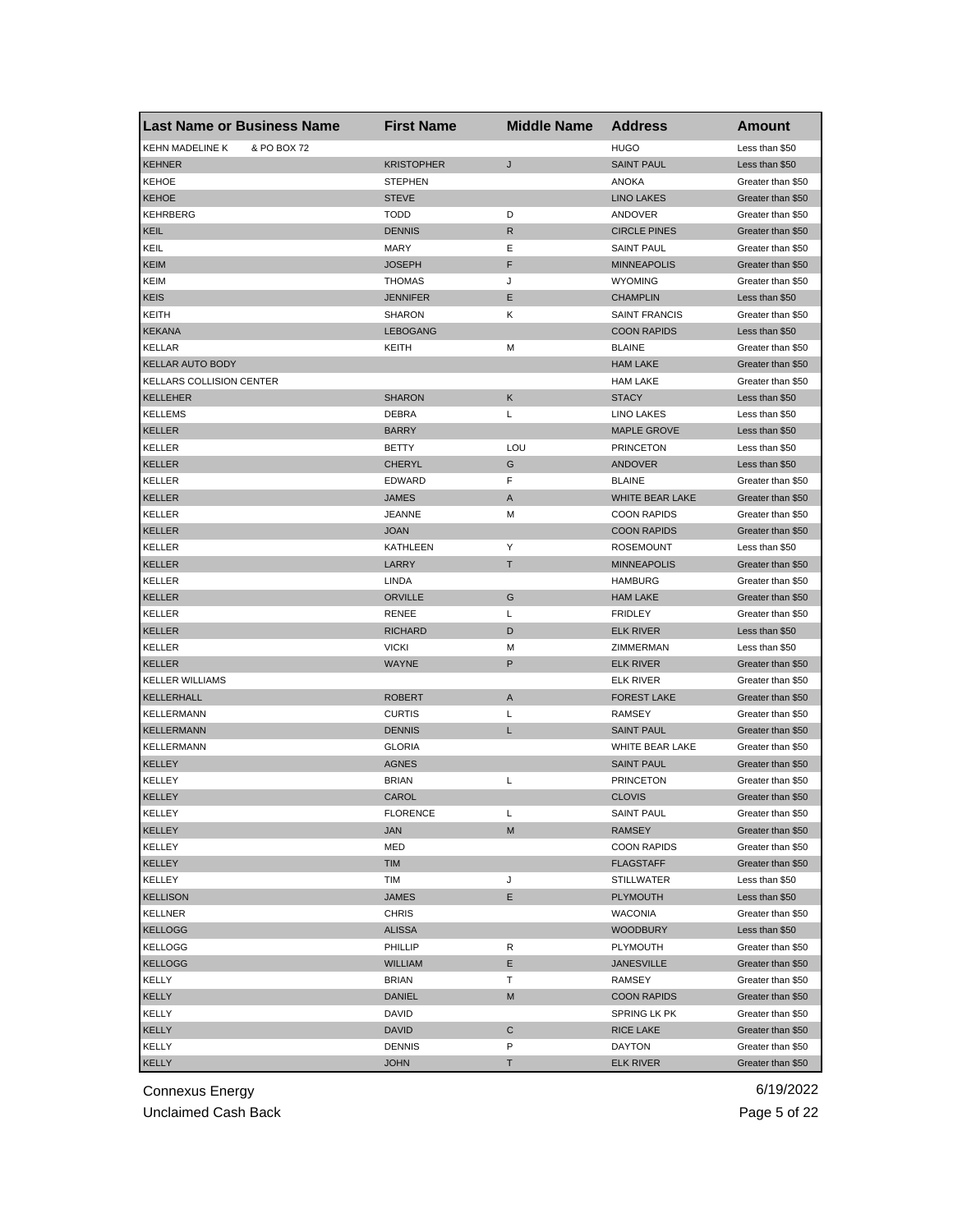| <b>Last Name or Business Name</b>     | <b>First Name</b> | <b>Middle Name</b> | <b>Address</b>         | <b>Amount</b>     |
|---------------------------------------|-------------------|--------------------|------------------------|-------------------|
| <b>KEHN MADELINE K</b><br>& PO BOX 72 |                   |                    | <b>HUGO</b>            | Less than \$50    |
| <b>KEHNER</b>                         | <b>KRISTOPHER</b> | J                  | <b>SAINT PAUL</b>      | Less than \$50    |
| <b>KEHOE</b>                          | <b>STEPHEN</b>    |                    | <b>ANOKA</b>           | Greater than \$50 |
| <b>KEHOE</b>                          | <b>STEVE</b>      |                    | <b>LINO LAKES</b>      | Greater than \$50 |
| KEHRBERG                              | <b>TODD</b>       | D                  | ANDOVER                | Greater than \$50 |
| KEIL                                  | <b>DENNIS</b>     | R                  | <b>CIRCLE PINES</b>    | Greater than \$50 |
| KEIL                                  | <b>MARY</b>       | Ε                  | <b>SAINT PAUL</b>      | Greater than \$50 |
| <b>KEIM</b>                           | JOSEPH            | F                  | <b>MINNEAPOLIS</b>     | Greater than \$50 |
| KEIM                                  | <b>THOMAS</b>     | J                  | <b>WYOMING</b>         | Greater than \$50 |
| <b>KEIS</b>                           | <b>JENNIFER</b>   | Е                  | <b>CHAMPLIN</b>        | Less than \$50    |
| KEITH                                 | <b>SHARON</b>     | Κ                  | <b>SAINT FRANCIS</b>   | Greater than \$50 |
| <b>KEKANA</b>                         | <b>LEBOGANG</b>   |                    | <b>COON RAPIDS</b>     | Less than \$50    |
| <b>KELLAR</b>                         | KEITH             | М                  | <b>BLAINE</b>          | Greater than \$50 |
| <b>KELLAR AUTO BODY</b>               |                   |                    | <b>HAM LAKE</b>        | Greater than \$50 |
| <b>KELLARS COLLISION CENTER</b>       |                   |                    | <b>HAM LAKE</b>        | Greater than \$50 |
| <b>KELLEHER</b>                       | <b>SHARON</b>     | Κ                  | <b>STACY</b>           | Less than \$50    |
| KELLEMS                               | <b>DEBRA</b>      | Г                  | LINO LAKES             | Less than \$50    |
| <b>KELLER</b>                         | <b>BARRY</b>      |                    | <b>MAPLE GROVE</b>     | Less than \$50    |
| <b>KELLER</b>                         | BETTY             | LOU                | <b>PRINCETON</b>       | Less than \$50    |
| <b>KELLER</b>                         | <b>CHERYL</b>     | G                  | ANDOVER                | Less than \$50    |
| <b>KELLER</b>                         | EDWARD            | F                  | <b>BLAINE</b>          | Greater than \$50 |
| <b>KELLER</b>                         | <b>JAMES</b>      | A                  | <b>WHITE BEAR LAKE</b> | Greater than \$50 |
| <b>KELLER</b>                         | JEANNE            | M                  | <b>COON RAPIDS</b>     | Greater than \$50 |
| KELLER                                | JOAN              |                    | <b>COON RAPIDS</b>     | Greater than \$50 |
| KELLER                                | KATHLEEN          | Υ                  | <b>ROSEMOUNT</b>       | Less than \$50    |
| <b>KELLER</b>                         | LARRY             | т                  | <b>MINNEAPOLIS</b>     | Greater than \$50 |
| <b>KELLER</b>                         | LINDA             |                    | <b>HAMBURG</b>         | Greater than \$50 |
| <b>KELLER</b>                         | <b>ORVILLE</b>    | G                  | <b>HAM LAKE</b>        | Greater than \$50 |
| <b>KELLER</b>                         | <b>RENEE</b>      | L                  | <b>FRIDLEY</b>         | Greater than \$50 |
| <b>KELLER</b>                         | <b>RICHARD</b>    | D                  | <b>ELK RIVER</b>       |                   |
|                                       |                   |                    | ZIMMERMAN              | Less than \$50    |
| <b>KELLER</b>                         | <b>VICKI</b>      | м<br>P             |                        | Less than \$50    |
| <b>KELLER</b>                         | WAYNE             |                    | <b>ELK RIVER</b>       | Greater than \$50 |
| <b>KELLER WILLIAMS</b>                |                   |                    | <b>ELK RIVER</b>       | Greater than \$50 |
| KELLERHALL                            | <b>ROBERT</b>     | Α                  | <b>FOREST LAKE</b>     | Greater than \$50 |
| KELLERMANN                            | <b>CURTIS</b>     | Г                  | <b>RAMSEY</b>          | Greater than \$50 |
| KELLERMANN                            | <b>DENNIS</b>     | L                  | <b>SAINT PAUL</b>      | Greater than \$50 |
| KELLERMANN                            | <b>GLORIA</b>     |                    | WHITE BEAR LAKE        | Greater than \$50 |
| <b>KELLEY</b>                         | <b>AGNES</b>      |                    | <b>SAINT PAUL</b>      | Greater than \$50 |
| KELLEY                                | <b>BRIAN</b>      | L                  | <b>PRINCETON</b>       | Greater than \$50 |
| <b>KELLEY</b>                         | CAROL             |                    | <b>CLOVIS</b>          | Greater than \$50 |
| KELLEY                                | <b>FLORENCE</b>   | L                  | SAINT PAUL             | Greater than \$50 |
| <b>KELLEY</b>                         | <b>JAN</b>        | M                  | RAMSEY                 | Greater than \$50 |
| KELLEY                                | MED               |                    | <b>COON RAPIDS</b>     | Greater than \$50 |
| KELLEY                                | <b>TIM</b>        |                    | <b>FLAGSTAFF</b>       | Greater than \$50 |
| KELLEY                                | TIM               | J                  | <b>STILLWATER</b>      | Less than \$50    |
| <b>KELLISON</b>                       | JAMES             | E                  | <b>PLYMOUTH</b>        | Less than \$50    |
| <b>KELLNER</b>                        | <b>CHRIS</b>      |                    | <b>WACONIA</b>         | Greater than \$50 |
| <b>KELLOGG</b>                        | <b>ALISSA</b>     |                    | <b>WOODBURY</b>        | Less than \$50    |
| KELLOGG                               | PHILLIP           | R                  | PLYMOUTH               | Greater than \$50 |
| <b>KELLOGG</b>                        | WILLIAM           | Е                  | <b>JANESVILLE</b>      | Greater than \$50 |
| KELLY                                 | <b>BRIAN</b>      | т                  | RAMSEY                 | Greater than \$50 |
| KELLY                                 | <b>DANIEL</b>     | M                  | <b>COON RAPIDS</b>     | Greater than \$50 |
| KELLY                                 | DAVID             |                    | SPRING LK PK           | Greater than \$50 |
| <b>KELLY</b>                          | DAVID             | С                  | RICE LAKE              | Greater than \$50 |
| KELLY                                 | DENNIS            | P                  | DAYTON                 | Greater than \$50 |
| <b>KELLY</b>                          | <b>JOHN</b>       | Τ                  | <b>ELK RIVER</b>       | Greater than \$50 |

Unclaimed Cash Back **Page 5 of 22**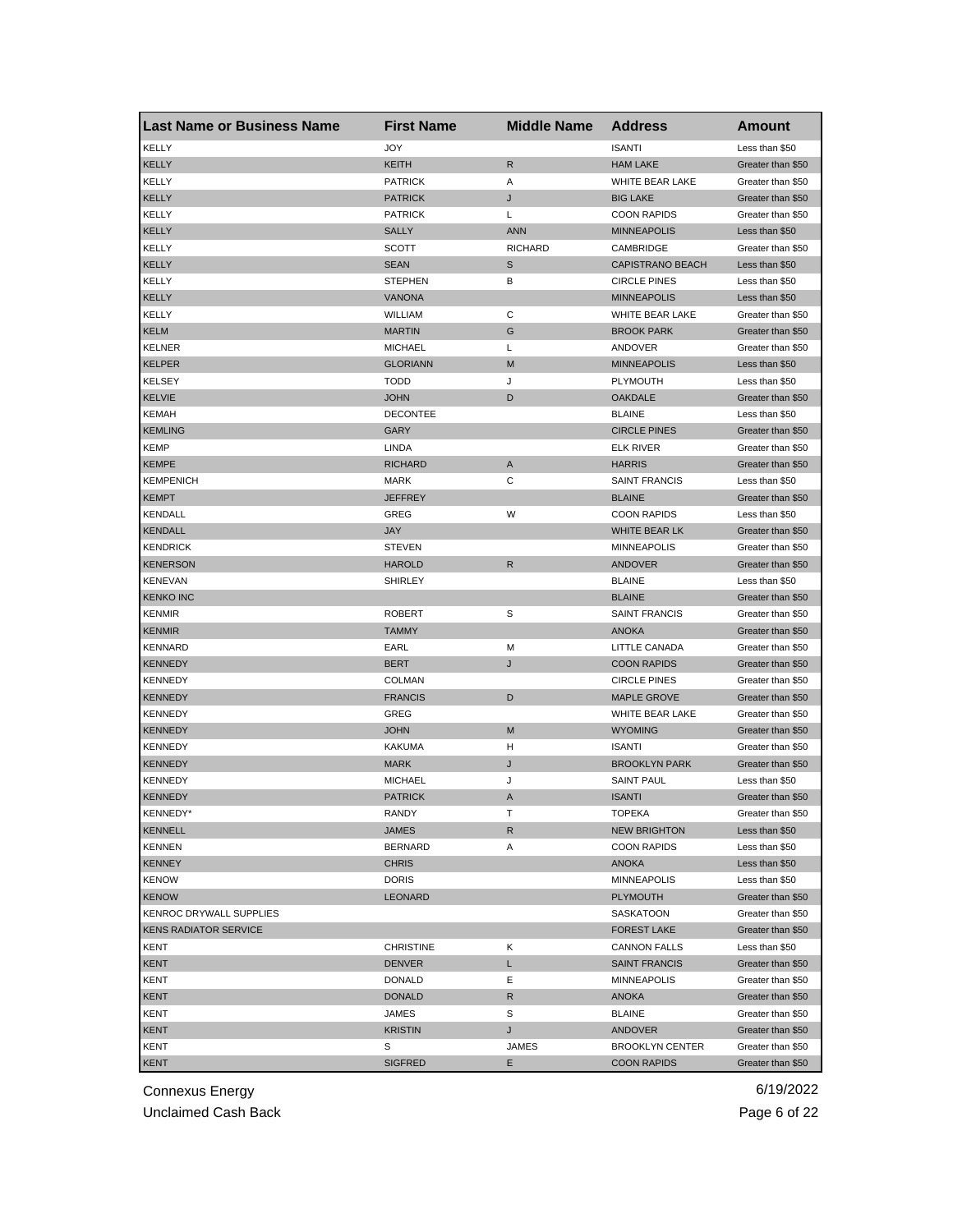| <b>Last Name or Business Name</b> | <b>First Name</b> | <b>Middle Name</b> | <b>Address</b>          | <b>Amount</b>     |
|-----------------------------------|-------------------|--------------------|-------------------------|-------------------|
| <b>KELLY</b>                      | JOY               |                    | <b>ISANTI</b>           | Less than \$50    |
| <b>KELLY</b>                      | <b>KEITH</b>      | R                  | <b>HAM LAKE</b>         | Greater than \$50 |
| KELLY                             | <b>PATRICK</b>    | Α                  | WHITE BEAR LAKE         | Greater than \$50 |
| KELLY                             | <b>PATRICK</b>    | J                  | <b>BIG LAKE</b>         | Greater than \$50 |
| KELLY                             | <b>PATRICK</b>    | L                  | <b>COON RAPIDS</b>      | Greater than \$50 |
| KELLY                             | <b>SALLY</b>      | <b>ANN</b>         | <b>MINNEAPOLIS</b>      | Less than \$50    |
| KELLY                             | <b>SCOTT</b>      | <b>RICHARD</b>     | CAMBRIDGE               | Greater than \$50 |
| KELLY                             | <b>SEAN</b>       | S                  | <b>CAPISTRANO BEACH</b> | Less than \$50    |
| KELLY                             | <b>STEPHEN</b>    | в                  | <b>CIRCLE PINES</b>     | Less than \$50    |
| <b>KELLY</b>                      | <b>VANONA</b>     |                    | <b>MINNEAPOLIS</b>      | Less than \$50    |
| KELLY                             | WILLIAM           | С                  | <b>WHITE BEAR LAKE</b>  | Greater than \$50 |
| <b>KELM</b>                       | <b>MARTIN</b>     | G                  | <b>BROOK PARK</b>       | Greater than \$50 |
| <b>KELNER</b>                     | <b>MICHAEL</b>    | L                  | ANDOVER                 | Greater than \$50 |
| <b>KELPER</b>                     | <b>GLORIANN</b>   | M                  | <b>MINNEAPOLIS</b>      | Less than \$50    |
| <b>KELSEY</b>                     | <b>TODD</b>       | J                  | PLYMOUTH                | Less than \$50    |
| <b>KELVIE</b>                     | <b>JOHN</b>       | D                  | <b>OAKDALE</b>          | Greater than \$50 |
| KEMAH                             | <b>DECONTEE</b>   |                    | <b>BLAINE</b>           | Less than \$50    |
| <b>KEMLING</b>                    | GARY              |                    | <b>CIRCLE PINES</b>     | Greater than \$50 |
| KEMP                              | LINDA             |                    | ELK RIVER               | Greater than \$50 |
| <b>KEMPE</b>                      | <b>RICHARD</b>    | A                  | <b>HARRIS</b>           | Greater than \$50 |
| <b>KEMPENICH</b>                  | <b>MARK</b>       | C                  | <b>SAINT FRANCIS</b>    | Less than \$50    |
| <b>KEMPT</b>                      | <b>JEFFREY</b>    |                    | <b>BLAINE</b>           | Greater than \$50 |
| <b>KENDALL</b>                    | GREG              | W                  | <b>COON RAPIDS</b>      | Less than \$50    |
| <b>KENDALL</b>                    | <b>JAY</b>        |                    | WHITE BEAR LK           | Greater than \$50 |
| <b>KENDRICK</b>                   | <b>STEVEN</b>     |                    | <b>MINNEAPOLIS</b>      | Greater than \$50 |
| <b>KENERSON</b>                   | <b>HAROLD</b>     | R                  | ANDOVER                 | Greater than \$50 |
| <b>KENEVAN</b>                    | <b>SHIRLEY</b>    |                    | <b>BLAINE</b>           | Less than \$50    |
| <b>KENKO INC</b>                  |                   |                    | <b>BLAINE</b>           | Greater than \$50 |
| <b>KENMIR</b>                     | <b>ROBERT</b>     | S                  | <b>SAINT FRANCIS</b>    | Greater than \$50 |
| <b>KENMIR</b>                     | <b>TAMMY</b>      |                    | <b>ANOKA</b>            | Greater than \$50 |
| <b>KENNARD</b>                    | EARL              | M                  | LITTLE CANADA           | Greater than \$50 |
| <b>KENNEDY</b>                    | <b>BERT</b>       | J                  | <b>COON RAPIDS</b>      | Greater than \$50 |
| <b>KENNEDY</b>                    | <b>COLMAN</b>     |                    | <b>CIRCLE PINES</b>     | Greater than \$50 |
| <b>KENNEDY</b>                    | <b>FRANCIS</b>    | D                  | <b>MAPLE GROVE</b>      | Greater than \$50 |
| KENNEDY                           | GREG              |                    | WHITE BEAR LAKE         | Greater than \$50 |
| <b>KENNEDY</b>                    | <b>JOHN</b>       | M                  | <b>WYOMING</b>          | Greater than \$50 |
| KENNEDY                           | <b>KAKUMA</b>     | н                  | <b>ISANTI</b>           | Greater than \$50 |
| <b>KENNEDY</b>                    | <b>MARK</b>       | J                  | <b>BROOKLYN PARK</b>    | Greater than \$50 |
| KENNEDY                           | <b>MICHAEL</b>    | J                  | <b>SAINT PAUL</b>       | Less than \$50    |
| <b>KENNEDY</b>                    | <b>PATRICK</b>    | A                  | <b>ISANTI</b>           | Greater than \$50 |
| KENNEDY*                          | RANDY             | т                  | TOPEKA                  | Greater than \$50 |
| <b>KENNELL</b>                    | JAMES             | R                  | <b>NEW BRIGHTON</b>     | Less than \$50    |
| <b>KENNEN</b>                     | <b>BERNARD</b>    | Α                  | <b>COON RAPIDS</b>      | Less than \$50    |
| <b>KENNEY</b>                     | <b>CHRIS</b>      |                    | ANOKA                   | Less than \$50    |
| <b>KENOW</b>                      | <b>DORIS</b>      |                    | <b>MINNEAPOLIS</b>      | Less than \$50    |
| <b>KENOW</b>                      | <b>LEONARD</b>    |                    | <b>PLYMOUTH</b>         | Greater than \$50 |
| KENROC DRYWALL SUPPLIES           |                   |                    | SASKATOON               | Greater than \$50 |
| <b>KENS RADIATOR SERVICE</b>      |                   |                    | <b>FOREST LAKE</b>      | Greater than \$50 |
| KENT                              | <b>CHRISTINE</b>  | Κ                  | <b>CANNON FALLS</b>     | Less than \$50    |
| KENT                              | <b>DENVER</b>     | L                  | <b>SAINT FRANCIS</b>    | Greater than \$50 |
| KENT                              | <b>DONALD</b>     | Е                  | MINNEAPOLIS             | Greater than \$50 |
| KENT                              | <b>DONALD</b>     | R                  | <b>ANOKA</b>            | Greater than \$50 |
| KENT                              | JAMES             | S                  | <b>BLAINE</b>           | Greater than \$50 |
| <b>KENT</b>                       | KRISTIN           |                    | ANDOVER                 | Greater than \$50 |
| KENT                              | S                 | J<br>JAMES         | <b>BROOKLYN CENTER</b>  | Greater than \$50 |
| <b>KENT</b>                       | <b>SIGFRED</b>    | E.                 | <b>COON RAPIDS</b>      | Greater than \$50 |
|                                   |                   |                    |                         |                   |

Unclaimed Cash Back **Page 6 of 22**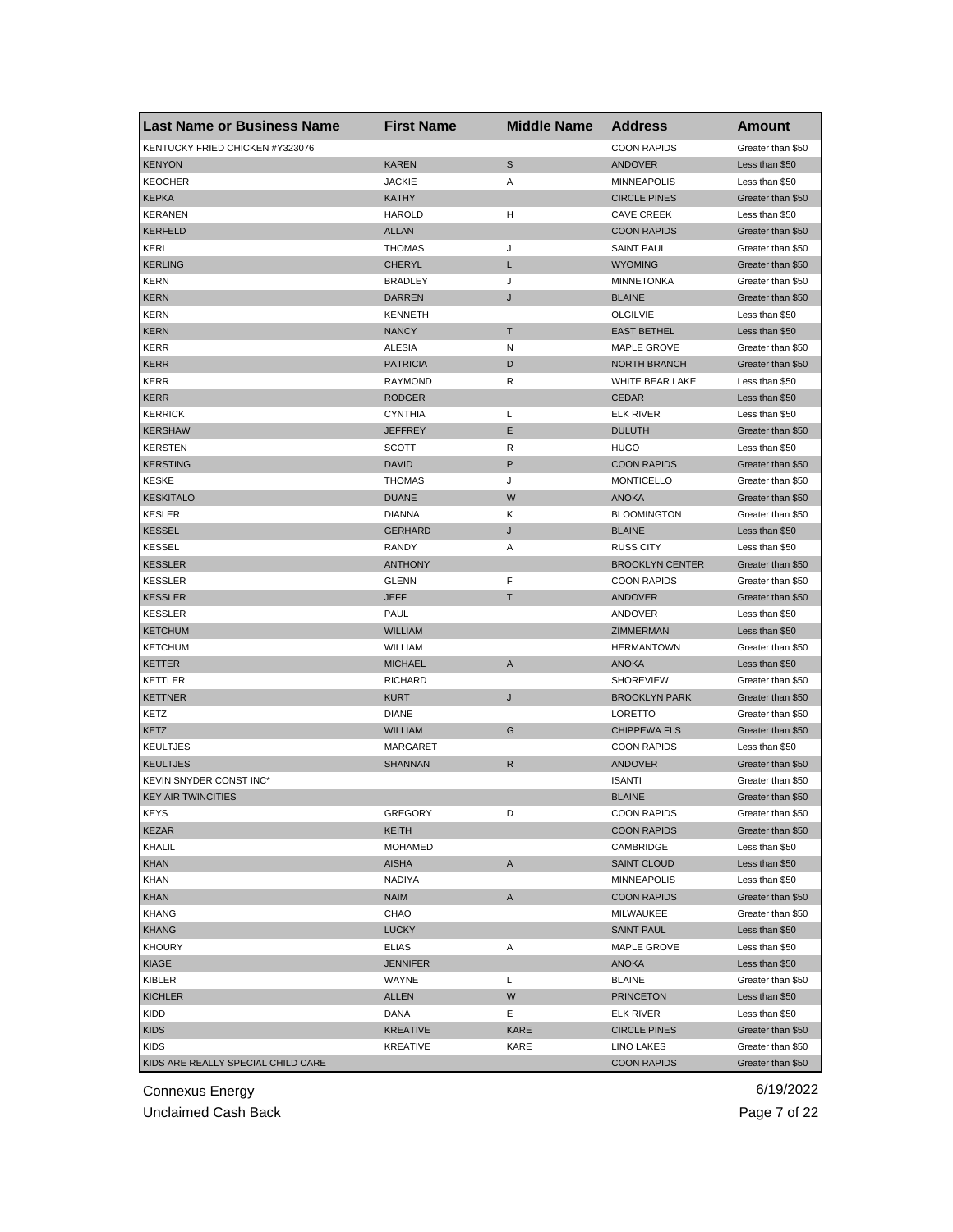| Last Name or Business Name         | <b>First Name</b>       | <b>Middle Name</b> | <b>Address</b>                           | Amount                                 |
|------------------------------------|-------------------------|--------------------|------------------------------------------|----------------------------------------|
| KENTUCKY FRIED CHICKEN #Y323076    |                         |                    | <b>COON RAPIDS</b>                       | Greater than \$50                      |
| <b>KENYON</b>                      | <b>KAREN</b>            | S                  | <b>ANDOVER</b>                           | Less than \$50                         |
| <b>KEOCHER</b>                     | <b>JACKIE</b>           | Α                  | <b>MINNEAPOLIS</b>                       | Less than \$50                         |
| <b>KEPKA</b>                       | <b>KATHY</b>            |                    | <b>CIRCLE PINES</b>                      | Greater than \$50                      |
| <b>KERANEN</b>                     | <b>HAROLD</b>           | н                  | <b>CAVE CREEK</b>                        | Less than \$50                         |
| <b>KERFELD</b>                     | <b>ALLAN</b>            |                    | <b>COON RAPIDS</b>                       | Greater than \$50                      |
| <b>KERL</b>                        | <b>THOMAS</b>           | J                  | <b>SAINT PAUL</b>                        | Greater than \$50                      |
| <b>KERLING</b>                     | <b>CHERYL</b>           | L                  | <b>WYOMING</b>                           | Greater than \$50                      |
| <b>KERN</b>                        | <b>BRADLEY</b>          | J                  | <b>MINNETONKA</b>                        | Greater than \$50                      |
| <b>KERN</b>                        | <b>DARREN</b>           | J                  | <b>BLAINE</b>                            | Greater than \$50                      |
| <b>KERN</b>                        | <b>KENNETH</b>          |                    | <b>OLGILVIE</b>                          | Less than \$50                         |
| <b>KERN</b>                        | <b>NANCY</b>            | T                  | <b>EAST BETHEL</b>                       | Less than \$50                         |
| <b>KERR</b>                        | <b>ALESIA</b>           | N                  | <b>MAPLE GROVE</b>                       | Greater than \$50                      |
| <b>KERR</b>                        | <b>PATRICIA</b>         | D                  | <b>NORTH BRANCH</b>                      | Greater than \$50                      |
| <b>KERR</b>                        | RAYMOND                 | R                  | WHITE BEAR LAKE                          | Less than \$50                         |
| <b>KERR</b>                        | <b>RODGER</b>           |                    | <b>CEDAR</b>                             | Less than \$50                         |
| <b>KERRICK</b>                     | <b>CYNTHIA</b>          | L                  | <b>ELK RIVER</b>                         | Less than \$50                         |
| <b>KERSHAW</b>                     | <b>JEFFREY</b>          | Е                  | <b>DULUTH</b>                            | Greater than \$50                      |
| <b>KERSTEN</b>                     | <b>SCOTT</b>            | R                  | <b>HUGO</b>                              | Less than \$50                         |
| <b>KERSTING</b>                    | <b>DAVID</b>            | P                  | <b>COON RAPIDS</b>                       | Greater than \$50                      |
| <b>KESKE</b>                       | <b>THOMAS</b>           | J                  | <b>MONTICELLO</b>                        | Greater than \$50                      |
| <b>KESKITALO</b>                   | <b>DUANE</b>            | W                  | <b>ANOKA</b>                             | Greater than \$50                      |
| <b>KESLER</b>                      | <b>DIANNA</b>           | Κ                  | <b>BLOOMINGTON</b>                       | Greater than \$50                      |
| <b>KESSEL</b>                      | <b>GERHARD</b>          | J                  | <b>BLAINE</b>                            | Less than \$50                         |
| <b>KESSEL</b>                      | <b>RANDY</b>            | Α                  | <b>RUSS CITY</b>                         | Less than \$50                         |
| <b>KESSLER</b>                     | <b>ANTHONY</b>          |                    | <b>BROOKLYN CENTER</b>                   | Greater than \$50                      |
| <b>KESSLER</b>                     | <b>GLENN</b>            | F                  | <b>COON RAPIDS</b>                       | Greater than \$50                      |
| <b>KESSLER</b>                     | <b>JEFF</b>             | Τ                  | <b>ANDOVER</b>                           | Greater than \$50                      |
| <b>KESSLER</b>                     | <b>PAUL</b>             |                    | ANDOVER                                  | Less than \$50                         |
| <b>KETCHUM</b>                     | <b>WILLIAM</b>          |                    | ZIMMERMAN                                | Less than \$50                         |
| <b>KETCHUM</b>                     | <b>WILLIAM</b>          |                    | <b>HERMANTOWN</b>                        | Greater than \$50                      |
| <b>KETTER</b>                      | <b>MICHAEL</b>          | A                  | <b>ANOKA</b>                             | Less than \$50                         |
| KETTLER                            | <b>RICHARD</b>          |                    | <b>SHOREVIEW</b>                         | Greater than \$50                      |
| <b>KETTNER</b>                     | <b>KURT</b>             | J                  | <b>BROOKLYN PARK</b>                     | Greater than \$50                      |
| KETZ                               | <b>DIANE</b>            |                    | LORETTO                                  | Greater than \$50                      |
| <b>KETZ</b>                        | <b>WILLIAM</b>          | G                  | <b>CHIPPEWA FLS</b>                      | Greater than \$50                      |
|                                    | <b>MARGARET</b>         |                    | <b>COON RAPIDS</b>                       | Less than \$50                         |
| <b>KEULTJES</b><br><b>KEULTJES</b> | <b>SHANNAN</b>          | R                  | <b>ANDOVER</b>                           | Greater than \$50                      |
| KEVIN SNYDER CONST INC*            |                         |                    | <b>ISANTI</b>                            | Greater than \$50                      |
| <b>KEY AIR TWINCITIES</b>          |                         |                    | <b>BLAINE</b>                            | Greater than \$50                      |
|                                    |                         | D                  |                                          |                                        |
| KEYS<br><b>KEZAR</b>               | <b>GREGORY</b><br>KEITH |                    | <b>COON RAPIDS</b><br><b>COON RAPIDS</b> | Greater than \$50<br>Greater than \$50 |
|                                    | <b>MOHAMED</b>          |                    |                                          |                                        |
| KHALIL                             | <b>AISHA</b>            |                    | CAMBRIDGE                                | Less than \$50                         |
| <b>KHAN</b>                        |                         | Α                  | <b>SAINT CLOUD</b>                       | Less than \$50                         |
| <b>KHAN</b>                        | NADIYA                  |                    | <b>MINNEAPOLIS</b>                       | Less than \$50                         |
| <b>KHAN</b>                        | <b>NAIM</b>             | Α                  | <b>COON RAPIDS</b>                       | Greater than \$50                      |
| KHANG                              | CHAO                    |                    | MILWAUKEE                                | Greater than \$50                      |
| <b>KHANG</b>                       | <b>LUCKY</b>            |                    | <b>SAINT PAUL</b>                        | Less than \$50                         |
| <b>KHOURY</b>                      | <b>ELIAS</b>            | Α                  | MAPLE GROVE                              | Less than \$50                         |
| KIAGE                              | <b>JENNIFER</b>         |                    | ANOKA                                    | Less than \$50                         |
| KIBLER                             | WAYNE                   | L                  | <b>BLAINE</b>                            | Greater than \$50                      |
| <b>KICHLER</b>                     | <b>ALLEN</b>            | W                  | <b>PRINCETON</b>                         | Less than \$50                         |
| KIDD                               | DANA                    | Ε                  | ELK RIVER                                | Less than \$50                         |
| <b>KIDS</b>                        | <b>KREATIVE</b>         | <b>KARE</b>        | <b>CIRCLE PINES</b>                      | Greater than \$50                      |
| <b>KIDS</b>                        | <b>KREATIVE</b>         | KARE               | LINO LAKES                               | Greater than \$50                      |
| KIDS ARE REALLY SPECIAL CHILD CARE |                         |                    | <b>COON RAPIDS</b>                       | Greater than \$50                      |

Unclaimed Cash Back **Page 7 of 22**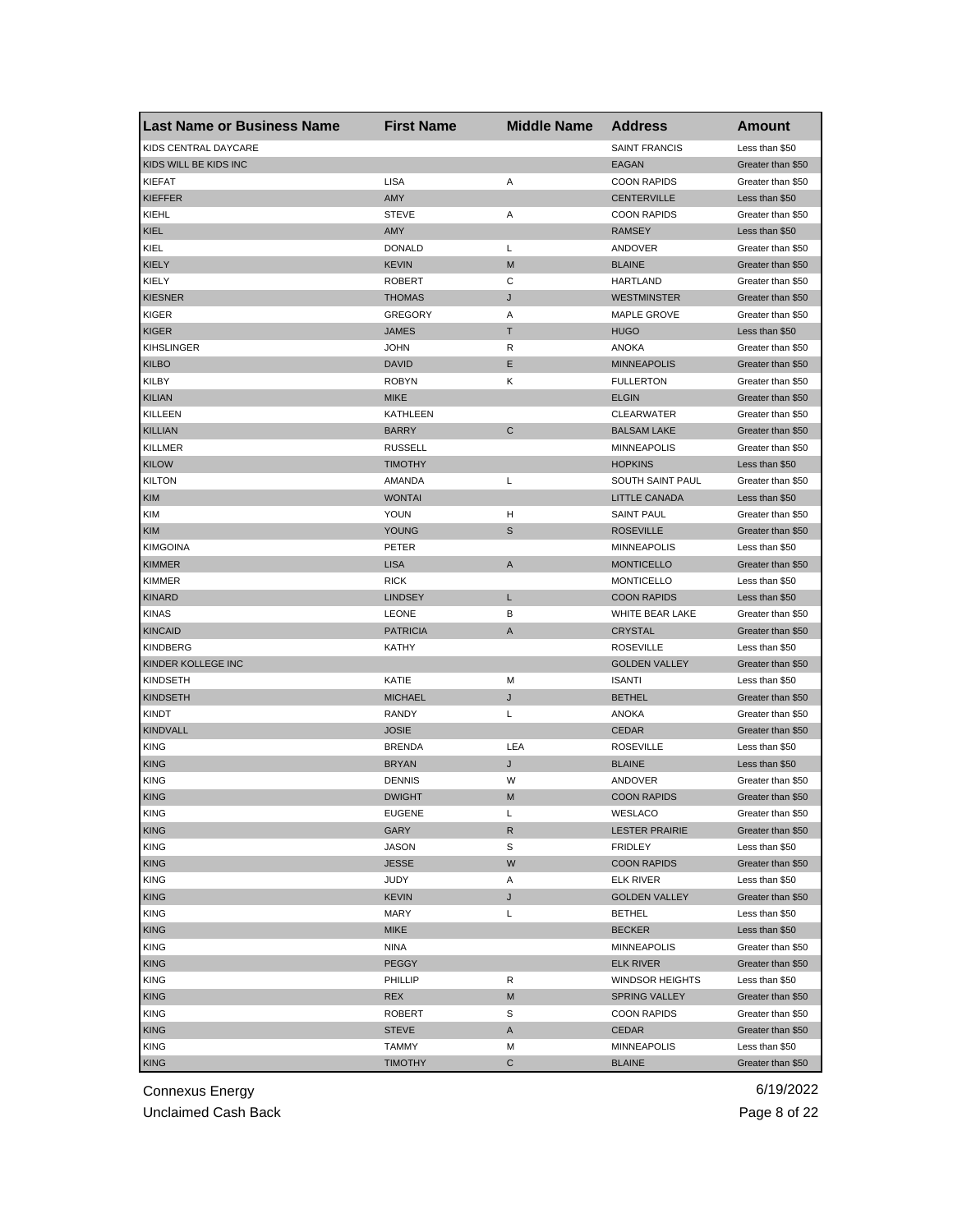| <b>Last Name or Business Name</b> | <b>First Name</b> | <b>Middle Name</b> | <b>Address</b>        | Amount                              |
|-----------------------------------|-------------------|--------------------|-----------------------|-------------------------------------|
| KIDS CENTRAL DAYCARE              |                   |                    | <b>SAINT FRANCIS</b>  | Less than \$50                      |
| KIDS WILL BE KIDS INC             |                   |                    | <b>EAGAN</b>          | Greater than \$50                   |
| KIEFAT                            | <b>LISA</b>       | Α                  | <b>COON RAPIDS</b>    | Greater than \$50                   |
| <b>KIEFFER</b>                    | AMY               |                    | <b>CENTERVILLE</b>    | Less than \$50                      |
| KIEHL                             | <b>STEVE</b>      | Α                  | <b>COON RAPIDS</b>    | Greater than \$50                   |
| KIEL                              | AMY               |                    | <b>RAMSEY</b>         | Less than \$50                      |
| KIEL                              | <b>DONALD</b>     | Г                  | ANDOVER               | Greater than \$50                   |
| <b>KIELY</b>                      | <b>KEVIN</b>      | M                  | <b>BLAINE</b>         | Greater than \$50                   |
| KIELY                             | <b>ROBERT</b>     | С                  | <b>HARTLAND</b>       | Greater than \$50                   |
| <b>KIESNER</b>                    | <b>THOMAS</b>     | J                  | <b>WESTMINSTER</b>    | Greater than \$50                   |
| KIGER                             | <b>GREGORY</b>    | Α                  | <b>MAPLE GROVE</b>    | Greater than \$50                   |
| <b>KIGER</b>                      | <b>JAMES</b>      | Τ                  | <b>HUGO</b>           | Less than \$50                      |
| <b>KIHSLINGER</b>                 | <b>JOHN</b>       | R                  | ANOKA                 | Greater than \$50                   |
| <b>KILBO</b>                      | <b>DAVID</b>      | Ε                  | <b>MINNEAPOLIS</b>    | Greater than \$50                   |
| KILBY                             | <b>ROBYN</b>      | κ                  | <b>FULLERTON</b>      | Greater than \$50                   |
| <b>KILIAN</b>                     | <b>MIKE</b>       |                    | <b>ELGIN</b>          | Greater than \$50                   |
| KILLEEN                           | KATHLEEN          |                    | <b>CLEARWATER</b>     | Greater than \$50                   |
| <b>KILLIAN</b>                    | <b>BARRY</b>      | C                  | <b>BALSAM LAKE</b>    | Greater than \$50                   |
| <b>KILLMER</b>                    | <b>RUSSELL</b>    |                    | <b>MINNEAPOLIS</b>    | Greater than \$50                   |
| <b>KILOW</b>                      | <b>TIMOTHY</b>    |                    | <b>HOPKINS</b>        | Less than \$50                      |
| <b>KILTON</b>                     | AMANDA            | Г                  | SOUTH SAINT PAUL      | Greater than \$50                   |
| <b>KIM</b>                        | <b>WONTAI</b>     |                    | <b>LITTLE CANADA</b>  | Less than \$50                      |
| KIM                               | YOUN              | н                  | <b>SAINT PAUL</b>     | Greater than \$50                   |
| KIM                               | YOUNG             | S                  | <b>ROSEVILLE</b>      | Greater than \$50                   |
| <b>KIMGOINA</b>                   | PETER             |                    | <b>MINNEAPOLIS</b>    | Less than \$50                      |
| <b>KIMMER</b>                     | <b>LISA</b>       | Α                  | <b>MONTICELLO</b>     | Greater than \$50                   |
| <b>KIMMER</b>                     | <b>RICK</b>       |                    | <b>MONTICELLO</b>     | Less than \$50                      |
| <b>KINARD</b>                     | <b>LINDSEY</b>    | Г                  | <b>COON RAPIDS</b>    | Less than \$50                      |
| <b>KINAS</b>                      | <b>LEONE</b>      | в                  | WHITE BEAR LAKE       | Greater than \$50                   |
| <b>KINCAID</b>                    | <b>PATRICIA</b>   | Α                  | <b>CRYSTAL</b>        | Greater than \$50                   |
| <b>KINDBERG</b>                   | KATHY             |                    | <b>ROSEVILLE</b>      | Less than \$50                      |
| KINDER KOLLEGE INC                |                   |                    | <b>GOLDEN VALLEY</b>  | Greater than \$50                   |
| <b>KINDSETH</b>                   | KATIE             | М                  | <b>ISANTI</b>         | Less than \$50                      |
| <b>KINDSETH</b>                   | <b>MICHAEL</b>    | J                  | <b>BETHEL</b>         | Greater than \$50                   |
| <b>KINDT</b>                      | RANDY             | Г                  | <b>ANOKA</b>          | Greater than \$50                   |
| <b>KINDVALL</b>                   | <b>JOSIE</b>      |                    | <b>CEDAR</b>          | Greater than \$50                   |
|                                   | <b>BRENDA</b>     | LEA                | <b>ROSEVILLE</b>      |                                     |
| KING                              |                   |                    |                       | Less than \$50                      |
| <b>KING</b>                       | <b>BRYAN</b>      | J<br>W             | <b>BLAINE</b>         | Less than \$50<br>Greater than \$50 |
| <b>KING</b>                       | <b>DENNIS</b>     | M                  | ANDOVER               |                                     |
| <b>KING</b>                       | <b>DWIGHT</b>     |                    | <b>COON RAPIDS</b>    | Greater than \$50                   |
| <b>KING</b>                       | <b>EUGENE</b>     | Г                  | WESLACO               | Greater than \$50                   |
| <b>KING</b>                       | GARY              | R                  | <b>LESTER PRAIRIE</b> | Greater than \$50<br>Less than \$50 |
| <b>KING</b>                       | <b>JASON</b>      | S                  | <b>FRIDLEY</b>        |                                     |
| <b>KING</b>                       | <b>JESSE</b>      | W                  | <b>COON RAPIDS</b>    | Greater than \$50                   |
| <b>KING</b>                       | JUDY              | Α                  | <b>ELK RIVER</b>      | Less than \$50                      |
| <b>KING</b>                       | <b>KEVIN</b>      | J                  | <b>GOLDEN VALLEY</b>  | Greater than \$50                   |
| <b>KING</b>                       | MARY              | Г                  | <b>BETHEL</b>         | Less than \$50                      |
| <b>KING</b>                       | <b>MIKE</b>       |                    | <b>BECKER</b>         | Less than \$50                      |
| <b>KING</b>                       | NINA              |                    | MINNEAPOLIS           | Greater than \$50                   |
| <b>KING</b>                       | <b>PEGGY</b>      |                    | <b>ELK RIVER</b>      | Greater than \$50                   |
| <b>KING</b>                       | PHILLIP           | R                  | WINDSOR HEIGHTS       | Less than \$50                      |
| <b>KING</b>                       | REX               | M                  | SPRING VALLEY         | Greater than \$50                   |
| <b>KING</b>                       | <b>ROBERT</b>     | S                  | <b>COON RAPIDS</b>    | Greater than \$50                   |
| <b>KING</b>                       | <b>STEVE</b>      | A                  | CEDAR                 | Greater than \$50                   |
| <b>KING</b>                       | <b>TAMMY</b>      | М                  | <b>MINNEAPOLIS</b>    | Less than \$50                      |
| <b>KING</b>                       | <b>TIMOTHY</b>    | С                  | <b>BLAINE</b>         | Greater than \$50                   |

Unclaimed Cash Back **Page 8 of 22**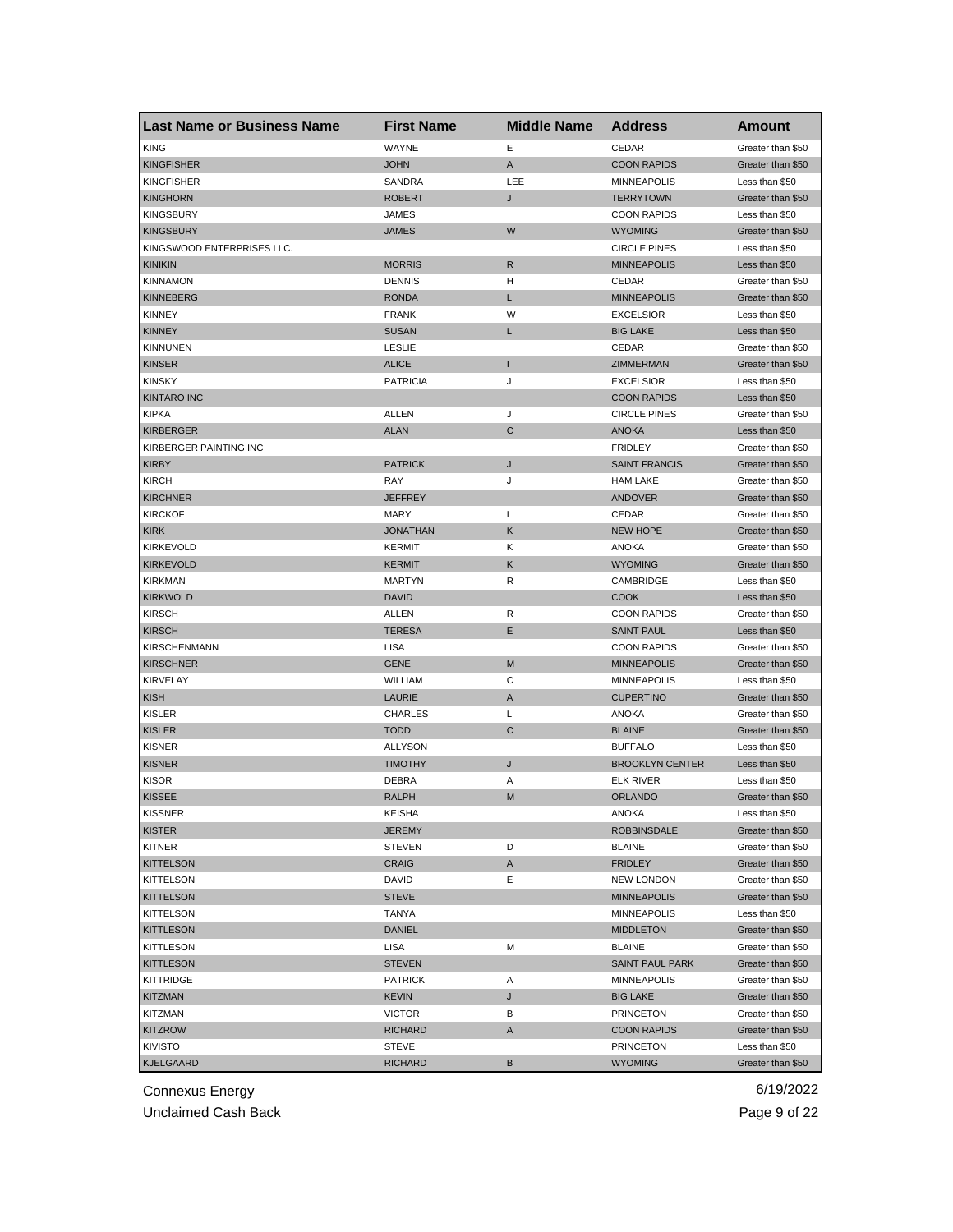| <b>Last Name or Business Name</b> | <b>First Name</b> | <b>Middle Name</b> | <b>Address</b>         | Amount            |
|-----------------------------------|-------------------|--------------------|------------------------|-------------------|
| <b>KING</b>                       | WAYNE             | Е                  | CEDAR                  | Greater than \$50 |
| <b>KINGFISHER</b>                 | <b>JOHN</b>       | A                  | <b>COON RAPIDS</b>     | Greater than \$50 |
| <b>KINGFISHER</b>                 | SANDRA            | LEE                | <b>MINNEAPOLIS</b>     | Less than \$50    |
| <b>KINGHORN</b>                   | <b>ROBERT</b>     | J                  | <b>TERRYTOWN</b>       | Greater than \$50 |
| <b>KINGSBURY</b>                  | JAMES             |                    | <b>COON RAPIDS</b>     | Less than \$50    |
| <b>KINGSBURY</b>                  | <b>JAMES</b>      | W                  | <b>WYOMING</b>         | Greater than \$50 |
| KINGSWOOD ENTERPRISES LLC.        |                   |                    | <b>CIRCLE PINES</b>    | Less than \$50    |
| <b>KINIKIN</b>                    | <b>MORRIS</b>     | R                  | <b>MINNEAPOLIS</b>     | Less than \$50    |
| <b>KINNAMON</b>                   | <b>DENNIS</b>     | н                  | CEDAR                  | Greater than \$50 |
| <b>KINNEBERG</b>                  | <b>RONDA</b>      | L                  | <b>MINNEAPOLIS</b>     | Greater than \$50 |
| <b>KINNEY</b>                     | <b>FRANK</b>      | W                  | <b>EXCELSIOR</b>       | Less than \$50    |
| <b>KINNEY</b>                     | <b>SUSAN</b>      | L                  | <b>BIG LAKE</b>        | Less than \$50    |
| <b>KINNUNEN</b>                   | <b>LESLIE</b>     |                    | CEDAR                  | Greater than \$50 |
| <b>KINSER</b>                     | <b>ALICE</b>      | п                  | ZIMMERMAN              | Greater than \$50 |
| <b>KINSKY</b>                     | <b>PATRICIA</b>   | J                  | <b>EXCELSIOR</b>       | Less than \$50    |
| <b>KINTARO INC</b>                |                   |                    | <b>COON RAPIDS</b>     | Less than \$50    |
| <b>KIPKA</b>                      | ALLEN             | J                  | <b>CIRCLE PINES</b>    | Greater than \$50 |
| <b>KIRBERGER</b>                  | <b>ALAN</b>       | C                  | <b>ANOKA</b>           | Less than \$50    |
| KIRBERGER PAINTING INC            |                   |                    | <b>FRIDLEY</b>         | Greater than \$50 |
| <b>KIRBY</b>                      | <b>PATRICK</b>    | J                  | <b>SAINT FRANCIS</b>   | Greater than \$50 |
| <b>KIRCH</b>                      | RAY               | J                  | <b>HAM LAKE</b>        | Greater than \$50 |
| <b>KIRCHNER</b>                   | <b>JEFFREY</b>    |                    | <b>ANDOVER</b>         | Greater than \$50 |
| <b>KIRCKOF</b>                    | <b>MARY</b>       | Г                  | CEDAR                  | Greater than \$50 |
| <b>KIRK</b>                       | <b>JONATHAN</b>   | Κ                  | <b>NEW HOPE</b>        | Greater than \$50 |
| KIRKEVOLD                         | <b>KERMIT</b>     | Κ                  | <b>ANOKA</b>           | Greater than \$50 |
| <b>KIRKEVOLD</b>                  | <b>KERMIT</b>     | Κ                  | <b>WYOMING</b>         | Greater than \$50 |
| <b>KIRKMAN</b>                    | MARTYN            | R                  | CAMBRIDGE              | Less than \$50    |
| <b>KIRKWOLD</b>                   | <b>DAVID</b>      |                    | <b>COOK</b>            | Less than \$50    |
| <b>KIRSCH</b>                     | ALLEN             | R                  | <b>COON RAPIDS</b>     | Greater than \$50 |
| <b>KIRSCH</b>                     | <b>TERESA</b>     | Ε                  | <b>SAINT PAUL</b>      | Less than \$50    |
| <b>KIRSCHENMANN</b>               | LISA              |                    | <b>COON RAPIDS</b>     | Greater than \$50 |
| <b>KIRSCHNER</b>                  | <b>GENE</b>       | M                  | <b>MINNEAPOLIS</b>     | Greater than \$50 |
| KIRVELAY                          | WILLIAM           | C                  | <b>MINNEAPOLIS</b>     | Less than \$50    |
| <b>KISH</b>                       | LAURIE            | Α                  | <b>CUPERTINO</b>       | Greater than \$50 |
| <b>KISLER</b>                     | <b>CHARLES</b>    | Г                  | <b>ANOKA</b>           | Greater than \$50 |
| <b>KISLER</b>                     | <b>TODD</b>       | C                  | <b>BLAINE</b>          | Greater than \$50 |
| <b>KISNER</b>                     | <b>ALLYSON</b>    |                    | <b>BUFFALO</b>         | Less than \$50    |
| <b>KISNER</b>                     | <b>TIMOTHY</b>    | J                  | <b>BROOKLYN CENTER</b> | Less than \$50    |
| <b>KISOR</b>                      | DEBRA             | Α                  | <b>ELK RIVER</b>       | Less than \$50    |
| <b>KISSEE</b>                     | <b>RALPH</b>      | M                  | <b>ORLANDO</b>         | Greater than \$50 |
| <b>KISSNER</b>                    | KEISHA            |                    | ANOKA                  | Less than \$50    |
| <b>KISTER</b>                     | JEREMY            |                    | <b>ROBBINSDALE</b>     | Greater than \$50 |
| <b>KITNER</b>                     | <b>STEVEN</b>     | D                  | <b>BLAINE</b>          | Greater than \$50 |
| <b>KITTELSON</b>                  | CRAIG             | A                  | <b>FRIDLEY</b>         | Greater than \$50 |
| KITTELSON                         | DAVID             | Е                  | <b>NEW LONDON</b>      | Greater than \$50 |
| <b>KITTELSON</b>                  | <b>STEVE</b>      |                    | <b>MINNEAPOLIS</b>     | Greater than \$50 |
| KITTELSON                         | TANYA             |                    | <b>MINNEAPOLIS</b>     | Less than \$50    |
| <b>KITTLESON</b>                  | <b>DANIEL</b>     |                    | <b>MIDDLETON</b>       | Greater than \$50 |
| KITTLESON                         | LISA              | М                  | <b>BLAINE</b>          | Greater than \$50 |
| <b>KITTLESON</b>                  | <b>STEVEN</b>     |                    | <b>SAINT PAUL PARK</b> | Greater than \$50 |
|                                   | <b>PATRICK</b>    |                    |                        | Greater than \$50 |
| KITTRIDGE                         |                   | Α                  | MINNEAPOLIS            |                   |
| <b>KITZMAN</b>                    | KEVIN             | J                  | <b>BIG LAKE</b>        | Greater than \$50 |
| KITZMAN                           | <b>VICTOR</b>     | В                  | <b>PRINCETON</b>       | Greater than \$50 |
| <b>KITZROW</b>                    | <b>RICHARD</b>    | A                  | <b>COON RAPIDS</b>     | Greater than \$50 |
| KIVISTO                           | STEVE             |                    | <b>PRINCETON</b>       | Less than \$50    |
| <b>KJELGAARD</b>                  | <b>RICHARD</b>    | В                  | <b>WYOMING</b>         | Greater than \$50 |

Unclaimed Cash Back **Page 9 of 22**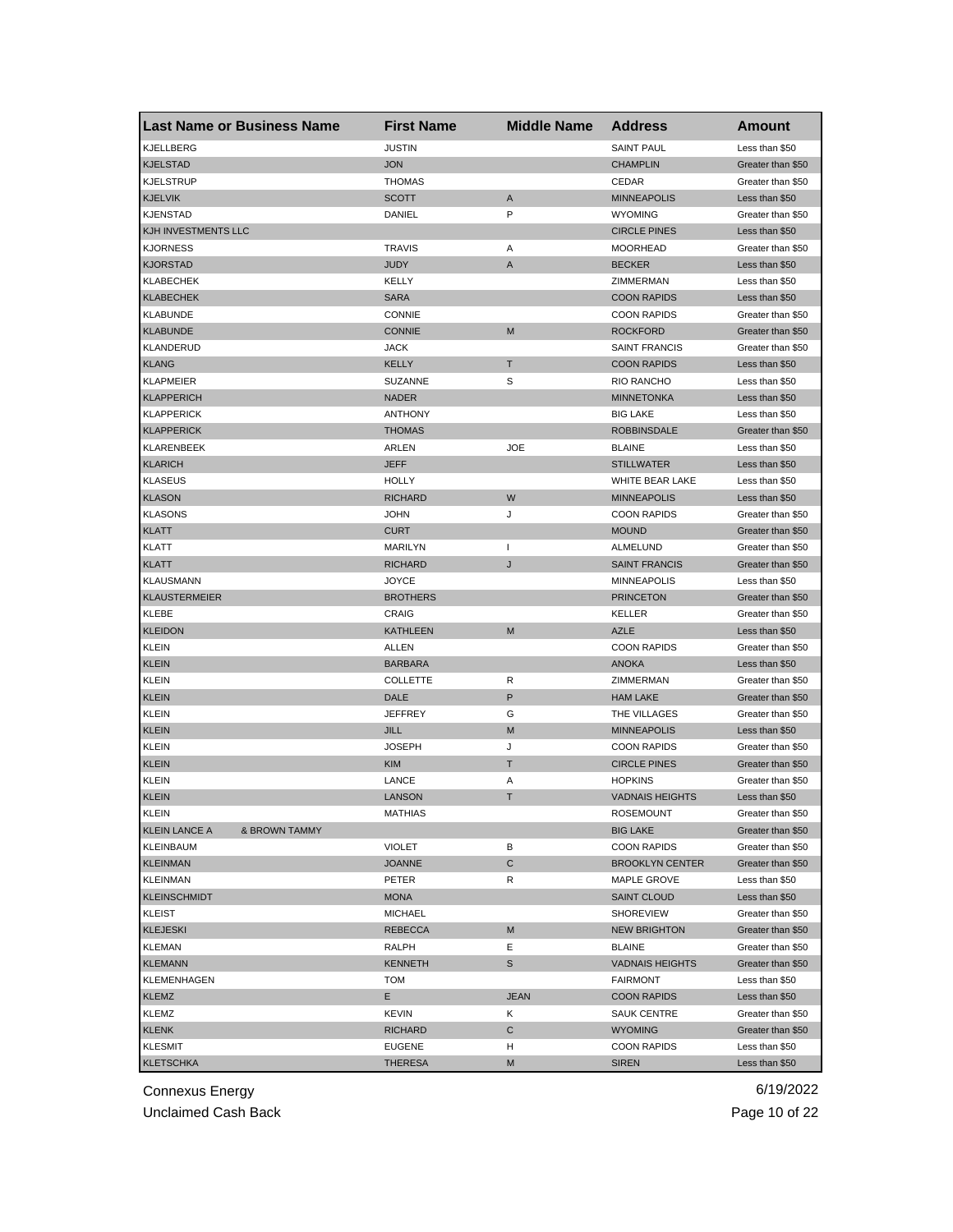|                                    | <b>Last Name or Business Name</b> | <b>First Name</b>               | <b>Middle Name</b> | <b>Address</b>         | Amount                           |
|------------------------------------|-----------------------------------|---------------------------------|--------------------|------------------------|----------------------------------|
| KJELLBERG                          |                                   | <b>JUSTIN</b>                   |                    | <b>SAINT PAUL</b>      | Less than \$50                   |
| <b>KJELSTAD</b>                    |                                   | <b>JON</b>                      |                    | <b>CHAMPLIN</b>        | Greater than \$50                |
| <b>KJELSTRUP</b>                   |                                   | <b>THOMAS</b>                   |                    | CEDAR                  | Greater than \$50                |
| <b>KJELVIK</b>                     |                                   | <b>SCOTT</b>                    | Α                  | <b>MINNEAPOLIS</b>     | Less than \$50                   |
| <b>KJENSTAD</b>                    |                                   | DANIEL                          | P                  | <b>WYOMING</b>         | Greater than \$50                |
| KJH INVESTMENTS LLC                |                                   |                                 |                    | <b>CIRCLE PINES</b>    | Less than \$50                   |
| <b>KJORNESS</b>                    |                                   | <b>TRAVIS</b>                   | Α                  | <b>MOORHEAD</b>        | Greater than \$50                |
| <b>KJORSTAD</b>                    |                                   | <b>JUDY</b>                     | A                  | <b>BECKER</b>          | Less than \$50                   |
| KLABECHEK                          |                                   | KELLY                           |                    | ZIMMERMAN              | Less than \$50                   |
| <b>KLABECHEK</b>                   |                                   | <b>SARA</b>                     |                    | <b>COON RAPIDS</b>     | Less than \$50                   |
| <b>KLABUNDE</b>                    |                                   | <b>CONNIE</b>                   |                    | <b>COON RAPIDS</b>     | Greater than \$50                |
| <b>KLABUNDE</b>                    |                                   | <b>CONNIE</b>                   | M                  | <b>ROCKFORD</b>        | Greater than \$50                |
| KLANDERUD                          |                                   | <b>JACK</b>                     |                    | <b>SAINT FRANCIS</b>   | Greater than \$50                |
| <b>KLANG</b>                       |                                   | KELLY                           | т                  | <b>COON RAPIDS</b>     | Less than \$50                   |
| <b>KLAPMEIER</b>                   |                                   | <b>SUZANNE</b>                  | S                  | <b>RIO RANCHO</b>      | Less than \$50                   |
| <b>KLAPPERICH</b>                  |                                   | <b>NADER</b>                    |                    | <b>MINNETONKA</b>      | Less than \$50                   |
| <b>KLAPPERICK</b>                  |                                   | <b>ANTHONY</b>                  |                    | <b>BIG LAKE</b>        | Less than \$50                   |
| <b>KLAPPERICK</b>                  |                                   | <b>THOMAS</b>                   |                    | <b>ROBBINSDALE</b>     | Greater than \$50                |
| KLARENBEEK                         |                                   | ARLEN                           | <b>JOE</b>         | <b>BLAINE</b>          | Less than \$50                   |
| <b>KLARICH</b>                     |                                   | <b>JEFF</b>                     |                    | <b>STILLWATER</b>      | Less than \$50                   |
| <b>KLASEUS</b>                     |                                   | <b>HOLLY</b>                    |                    | <b>WHITE BEAR LAKE</b> | Less than \$50                   |
| <b>KLASON</b>                      |                                   | <b>RICHARD</b>                  | W                  | <b>MINNEAPOLIS</b>     | Less than \$50                   |
| <b>KLASONS</b>                     |                                   | <b>JOHN</b>                     | J                  | <b>COON RAPIDS</b>     | Greater than \$50                |
| <b>KLATT</b>                       |                                   | <b>CURT</b>                     |                    | <b>MOUND</b>           | Greater than \$50                |
| KLATT                              |                                   | <b>MARILYN</b>                  | $\mathbf{I}$       | ALMELUND               | Greater than \$50                |
| <b>KLATT</b>                       |                                   | RICHARD                         | J                  | <b>SAINT FRANCIS</b>   | Greater than \$50                |
| KLAUSMANN                          |                                   | <b>JOYCE</b>                    |                    | <b>MINNEAPOLIS</b>     | Less than \$50                   |
| <b>KLAUSTERMEIER</b>               |                                   | <b>BROTHERS</b>                 |                    | <b>PRINCETON</b>       | Greater than \$50                |
| KLEBE                              |                                   | CRAIG                           |                    | KELLER                 | Greater than \$50                |
| <b>KLEIDON</b>                     |                                   | KATHLEEN                        | M                  | <b>AZLE</b>            | Less than \$50                   |
| <b>KLEIN</b>                       |                                   | ALLEN                           |                    | <b>COON RAPIDS</b>     | Greater than \$50                |
| <b>KLEIN</b>                       |                                   | <b>BARBARA</b>                  |                    | <b>ANOKA</b>           | Less than \$50                   |
| KLEIN                              |                                   | <b>COLLETTE</b>                 | R                  | ZIMMERMAN              | Greater than \$50                |
| <b>KLEIN</b>                       |                                   | DALE                            | P                  | <b>HAM LAKE</b>        | Greater than \$50                |
| <b>KLEIN</b>                       |                                   | <b>JEFFREY</b>                  | G                  | THE VILLAGES           | Greater than \$50                |
| <b>KLEIN</b>                       |                                   | <b>JILL</b>                     | M                  | <b>MINNEAPOLIS</b>     | Less than \$50                   |
| KLEIN                              |                                   | <b>JOSEPH</b>                   | J                  | <b>COON RAPIDS</b>     | Greater than \$50                |
| <b>KLEIN</b>                       |                                   | <b>KIM</b>                      | т                  | <b>CIRCLE PINES</b>    | Greater than \$50                |
| <b>KLEIN</b>                       |                                   | LANCE                           | Α                  | <b>HOPKINS</b>         | Greater than \$50                |
| <b>KLEIN</b>                       |                                   | <b>LANSON</b>                   | Τ                  | <b>VADNAIS HEIGHTS</b> | Less than \$50                   |
| <b>KLEIN</b>                       |                                   | MATHIAS                         |                    | <b>ROSEMOUNT</b>       | Greater than \$50                |
| <b>KLEIN LANCE A</b>               | & BROWN TAMMY                     |                                 |                    | <b>BIG LAKE</b>        | Greater than \$50                |
| <b>KLEINBAUM</b>                   |                                   | <b>VIOLET</b>                   | в                  | <b>COON RAPIDS</b>     | Greater than \$50                |
| <b>KLEINMAN</b>                    |                                   | <b>JOANNE</b>                   | С                  | <b>BROOKLYN CENTER</b> | Greater than \$50                |
| <b>KLEINMAN</b>                    |                                   | PETER                           | R                  | MAPLE GROVE            | Less than \$50                   |
| <b>KLEINSCHMIDT</b>                |                                   | <b>MONA</b>                     |                    | <b>SAINT CLOUD</b>     | Less than \$50                   |
| KLEIST                             |                                   | <b>MICHAEL</b>                  |                    | <b>SHOREVIEW</b>       | Greater than \$50                |
| <b>KLEJESKI</b>                    |                                   | <b>REBECCA</b>                  | M                  | <b>NEW BRIGHTON</b>    | Greater than \$50                |
| <b>KLEMAN</b>                      |                                   | RALPH                           | Ε                  | <b>BLAINE</b>          | Greater than \$50                |
| <b>KLEMANN</b>                     |                                   | <b>KENNETH</b>                  | S                  | <b>VADNAIS HEIGHTS</b> | Greater than \$50                |
| <b>KLEMENHAGEN</b>                 |                                   | TOM                             |                    | <b>FAIRMONT</b>        | Less than \$50                   |
| <b>KLEMZ</b>                       |                                   | E.                              | <b>JEAN</b>        | <b>COON RAPIDS</b>     | Less than \$50                   |
| KLEMZ                              |                                   | <b>KEVIN</b>                    | Κ                  | <b>SAUK CENTRE</b>     | Greater than \$50                |
|                                    |                                   |                                 |                    |                        |                                  |
| <b>KLENK</b>                       |                                   | RICHARD                         | С<br>н             | <b>WYOMING</b>         | Greater than \$50                |
| <b>KLESMIT</b><br><b>KLETSCHKA</b> |                                   | <b>EUGENE</b><br><b>THERESA</b> | М                  | <b>COON RAPIDS</b>     | Less than \$50<br>Less than \$50 |
|                                    |                                   |                                 |                    | <b>SIREN</b>           |                                  |

Unclaimed Cash Back **Page 10 of 22**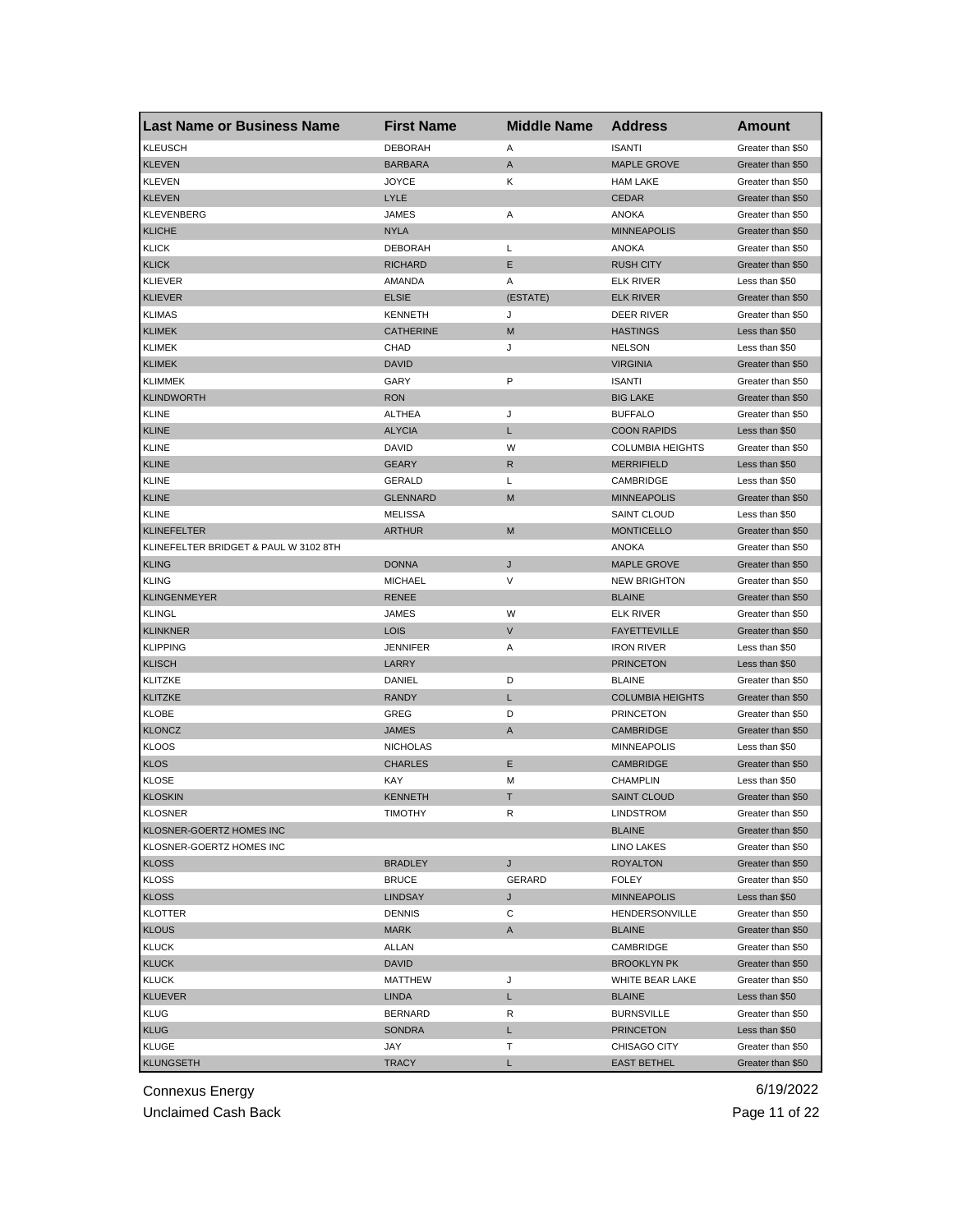| <b>Last Name or Business Name</b>     | <b>First Name</b> | <b>Middle Name</b> | <b>Address</b>          | Amount            |
|---------------------------------------|-------------------|--------------------|-------------------------|-------------------|
| <b>KLEUSCH</b>                        | <b>DEBORAH</b>    | Α                  | <b>ISANTI</b>           | Greater than \$50 |
| <b>KLEVEN</b>                         | <b>BARBARA</b>    | A                  | <b>MAPLE GROVE</b>      | Greater than \$50 |
| <b>KLEVEN</b>                         | <b>JOYCE</b>      | Κ                  | <b>HAM LAKE</b>         | Greater than \$50 |
| <b>KLEVEN</b>                         | LYLE              |                    | <b>CEDAR</b>            | Greater than \$50 |
| <b>KLEVENBERG</b>                     | JAMES             | Α                  | <b>ANOKA</b>            | Greater than \$50 |
| <b>KLICHE</b>                         | <b>NYLA</b>       |                    | <b>MINNEAPOLIS</b>      | Greater than \$50 |
| <b>KLICK</b>                          | <b>DEBORAH</b>    | L                  | <b>ANOKA</b>            | Greater than \$50 |
| <b>KLICK</b>                          | <b>RICHARD</b>    | Ε                  | <b>RUSH CITY</b>        | Greater than \$50 |
| <b>KLIEVER</b>                        | AMANDA            | Α                  | <b>ELK RIVER</b>        | Less than \$50    |
| <b>KLIEVER</b>                        | <b>ELSIE</b>      | (ESTATE)           | <b>ELK RIVER</b>        | Greater than \$50 |
| <b>KLIMAS</b>                         | <b>KENNETH</b>    | J                  | DEER RIVER              | Greater than \$50 |
| <b>KLIMEK</b>                         | <b>CATHERINE</b>  | M                  | <b>HASTINGS</b>         | Less than \$50    |
| <b>KLIMEK</b>                         | CHAD              | J                  | <b>NELSON</b>           | Less than \$50    |
| <b>KLIMEK</b>                         | <b>DAVID</b>      |                    | <b>VIRGINIA</b>         | Greater than \$50 |
| <b>KLIMMEK</b>                        | GARY              | P                  | <b>ISANTI</b>           | Greater than \$50 |
| <b>KLINDWORTH</b>                     | <b>RON</b>        |                    | <b>BIG LAKE</b>         | Greater than \$50 |
| <b>KLINE</b>                          | <b>ALTHEA</b>     | J                  | <b>BUFFALO</b>          | Greater than \$50 |
| <b>KLINE</b>                          | <b>ALYCIA</b>     | L                  | <b>COON RAPIDS</b>      | Less than \$50    |
| <b>KLINE</b>                          | <b>DAVID</b>      | W                  | <b>COLUMBIA HEIGHTS</b> | Greater than \$50 |
| <b>KLINE</b>                          | <b>GEARY</b>      | R                  | <b>MERRIFIELD</b>       | Less than \$50    |
| <b>KLINE</b>                          | GERALD            | Г                  | CAMBRIDGE               | Less than \$50    |
| <b>KLINE</b>                          | <b>GLENNARD</b>   | M                  | <b>MINNEAPOLIS</b>      | Greater than \$50 |
| <b>KLINE</b>                          | <b>MELISSA</b>    |                    | <b>SAINT CLOUD</b>      | Less than \$50    |
| <b>KLINEFELTER</b>                    | <b>ARTHUR</b>     | M                  | <b>MONTICELLO</b>       | Greater than \$50 |
| KLINEFELTER BRIDGET & PAUL W 3102 8TH |                   |                    | <b>ANOKA</b>            | Greater than \$50 |
| <b>KLING</b>                          | <b>DONNA</b>      | J                  | <b>MAPLE GROVE</b>      | Greater than \$50 |
| <b>KLING</b>                          | MICHAEL           | V                  | <b>NEW BRIGHTON</b>     | Greater than \$50 |
| <b>KLINGENMEYER</b>                   | <b>RENEE</b>      |                    | <b>BLAINE</b>           | Greater than \$50 |
| <b>KLINGL</b>                         | JAMES             | W                  | <b>ELK RIVER</b>        | Greater than \$50 |
| <b>KLINKNER</b>                       | <b>LOIS</b>       | $\mathsf{V}$       | <b>FAYETTEVILLE</b>     | Greater than \$50 |
| <b>KLIPPING</b>                       | <b>JENNIFER</b>   | Α                  | <b>IRON RIVER</b>       | Less than \$50    |
| <b>KLISCH</b>                         | LARRY             |                    | <b>PRINCETON</b>        | Less than \$50    |
| <b>KLITZKE</b>                        | DANIEL            | D                  | <b>BLAINE</b>           | Greater than \$50 |
| <b>KLITZKE</b>                        | <b>RANDY</b>      | L                  | <b>COLUMBIA HEIGHTS</b> | Greater than \$50 |
| KLOBE                                 | GREG              | D                  | <b>PRINCETON</b>        | Greater than \$50 |
| <b>KLONCZ</b>                         | <b>JAMES</b>      | A                  | <b>CAMBRIDGE</b>        | Greater than \$50 |
| <b>KLOOS</b>                          | <b>NICHOLAS</b>   |                    | <b>MINNEAPOLIS</b>      | Less than \$50    |
| <b>KLOS</b>                           | <b>CHARLES</b>    | Ε                  | <b>CAMBRIDGE</b>        | Greater than \$50 |
| <b>KLOSE</b>                          | KAY               | M                  | <b>CHAMPLIN</b>         | Less than \$50    |
| <b>KLOSKIN</b>                        | <b>KENNETH</b>    | Т                  | <b>SAINT CLOUD</b>      | Greater than \$50 |
| <b>KLOSNER</b>                        | TIMOTHY           | R                  | <b>LINDSTROM</b>        | Greater than \$50 |
| KLOSNER-GOERTZ HOMES INC              |                   |                    | <b>BLAINE</b>           | Greater than \$50 |
| KLOSNER-GOERTZ HOMES INC              |                   |                    | LINO LAKES              | Greater than \$50 |
| <b>KLOSS</b>                          | <b>BRADLEY</b>    | J                  | <b>ROYALTON</b>         | Greater than \$50 |
| <b>KLOSS</b>                          | <b>BRUCE</b>      | GERARD             | <b>FOLEY</b>            | Greater than \$50 |
| <b>KLOSS</b>                          | <b>LINDSAY</b>    | J                  | <b>MINNEAPOLIS</b>      | Less than \$50    |
| <b>KLOTTER</b>                        | <b>DENNIS</b>     | С                  | HENDERSONVILLE          | Greater than \$50 |
| <b>KLOUS</b>                          | <b>MARK</b>       | A                  | <b>BLAINE</b>           | Greater than \$50 |
| <b>KLUCK</b>                          | ALLAN             |                    | CAMBRIDGE               | Greater than \$50 |
| <b>KLUCK</b>                          | <b>DAVID</b>      |                    | <b>BROOKLYN PK</b>      | Greater than \$50 |
| KLUCK                                 | MATTHEW           | J                  | WHITE BEAR LAKE         | Greater than \$50 |
| <b>KLUEVER</b>                        | <b>LINDA</b>      | L                  | <b>BLAINE</b>           | Less than \$50    |
| <b>KLUG</b>                           | <b>BERNARD</b>    | R                  | <b>BURNSVILLE</b>       | Greater than \$50 |
| <b>KLUG</b>                           | SONDRA            | L                  | <b>PRINCETON</b>        | Less than \$50    |
| <b>KLUGE</b>                          | JAY               | т                  | CHISAGO CITY            | Greater than \$50 |
| <b>KLUNGSETH</b>                      | <b>TRACY</b>      | L                  | <b>EAST BETHEL</b>      | Greater than \$50 |
|                                       |                   |                    |                         |                   |

Unclaimed Cash Back **Page 11 of 22**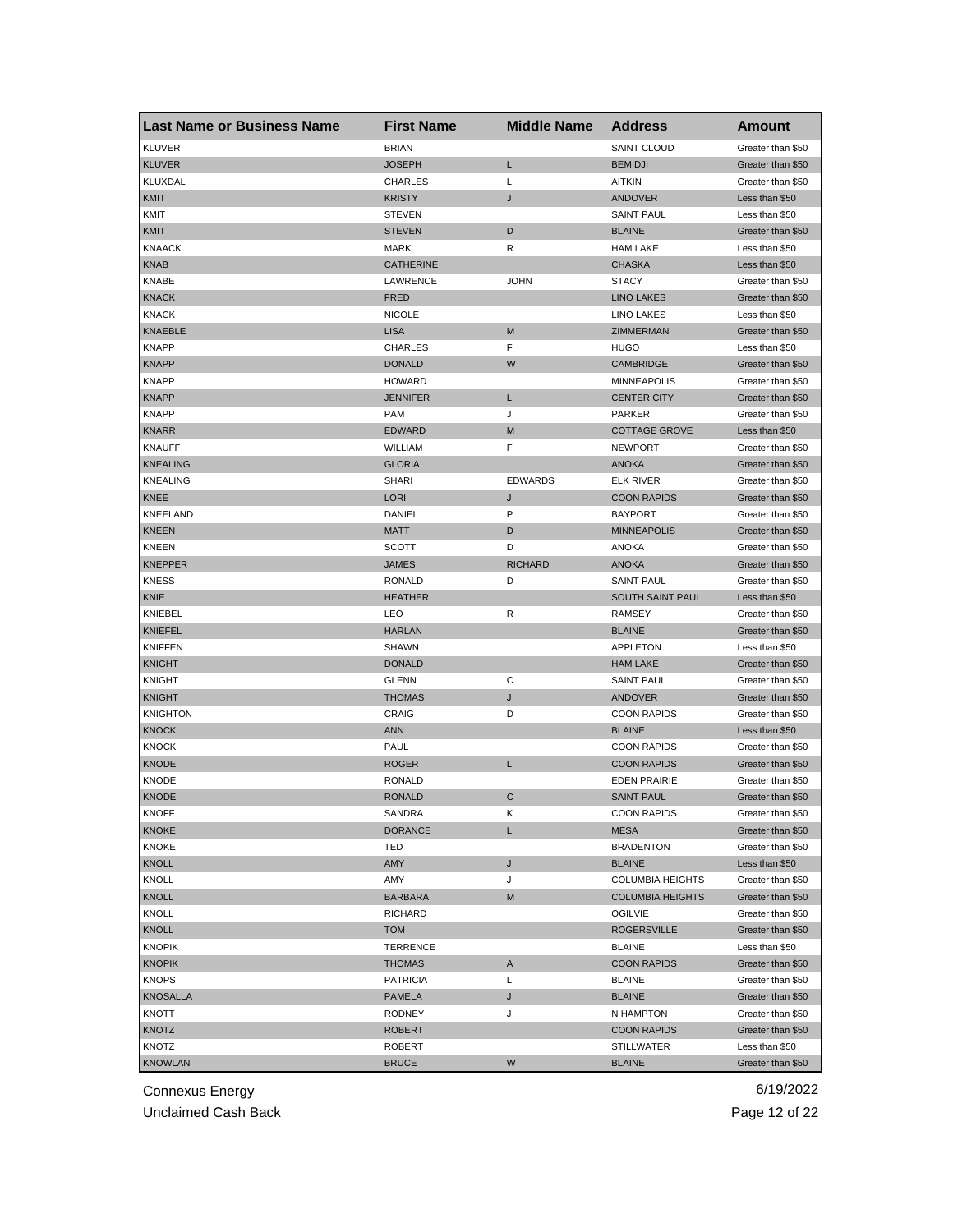| <b>Last Name or Business Name</b> | <b>First Name</b> | <b>Middle Name</b> | <b>Address</b>          | <b>Amount</b>     |
|-----------------------------------|-------------------|--------------------|-------------------------|-------------------|
| <b>KLUVER</b>                     | <b>BRIAN</b>      |                    | <b>SAINT CLOUD</b>      | Greater than \$50 |
| <b>KLUVER</b>                     | <b>JOSEPH</b>     | Г                  | <b>BEMIDJI</b>          | Greater than \$50 |
| <b>KLUXDAL</b>                    | <b>CHARLES</b>    | L                  | <b>AITKIN</b>           | Greater than \$50 |
| <b>KMIT</b>                       | <b>KRISTY</b>     | J                  | <b>ANDOVER</b>          | Less than \$50    |
| KMIT                              | <b>STEVEN</b>     |                    | <b>SAINT PAUL</b>       | Less than \$50    |
| <b>KMIT</b>                       | <b>STEVEN</b>     | D                  | <b>BLAINE</b>           | Greater than \$50 |
| <b>KNAACK</b>                     | <b>MARK</b>       | R                  | <b>HAM LAKE</b>         | Less than \$50    |
| <b>KNAB</b>                       | <b>CATHERINE</b>  |                    | <b>CHASKA</b>           | Less than \$50    |
| KNABE                             | <b>LAWRENCE</b>   | <b>JOHN</b>        | <b>STACY</b>            | Greater than \$50 |
| <b>KNACK</b>                      | <b>FRED</b>       |                    | <b>LINO LAKES</b>       | Greater than \$50 |
| <b>KNACK</b>                      | <b>NICOLE</b>     |                    | <b>LINO LAKES</b>       | Less than \$50    |
| <b>KNAEBLE</b>                    | <b>LISA</b>       | M                  | ZIMMERMAN               | Greater than \$50 |
| <b>KNAPP</b>                      | <b>CHARLES</b>    | F                  | HUGO                    | Less than \$50    |
| <b>KNAPP</b>                      | <b>DONALD</b>     | W                  | <b>CAMBRIDGE</b>        | Greater than \$50 |
| <b>KNAPP</b>                      | <b>HOWARD</b>     |                    | <b>MINNEAPOLIS</b>      | Greater than \$50 |
| <b>KNAPP</b>                      | JENNIFER          | L                  | <b>CENTER CITY</b>      | Greater than \$50 |
| <b>KNAPP</b>                      | <b>PAM</b>        | J                  | <b>PARKER</b>           | Greater than \$50 |
| <b>KNARR</b>                      | <b>EDWARD</b>     | M                  | <b>COTTAGE GROVE</b>    | Less than \$50    |
| <b>KNAUFF</b>                     | WILLIAM           | F                  | <b>NEWPORT</b>          | Greater than \$50 |
| <b>KNEALING</b>                   | <b>GLORIA</b>     |                    | <b>ANOKA</b>            | Greater than \$50 |
| <b>KNEALING</b>                   | <b>SHARI</b>      | <b>EDWARDS</b>     | <b>ELK RIVER</b>        | Greater than \$50 |
| KNEE                              | <b>LORI</b>       | J                  | <b>COON RAPIDS</b>      | Greater than \$50 |
| KNEELAND                          | DANIEL            | P                  | <b>BAYPORT</b>          | Greater than \$50 |
| <b>KNEEN</b>                      | <b>MATT</b>       | D                  | <b>MINNEAPOLIS</b>      | Greater than \$50 |
| KNEEN                             | SCOTT             | D                  | ANOKA                   | Greater than \$50 |
| <b>KNEPPER</b>                    | <b>JAMES</b>      | <b>RICHARD</b>     | <b>ANOKA</b>            | Greater than \$50 |
| <b>KNESS</b>                      | <b>RONALD</b>     | D                  | <b>SAINT PAUL</b>       | Greater than \$50 |
| KNIE                              | <b>HEATHER</b>    |                    | SOUTH SAINT PAUL        | Less than \$50    |
| KNIEBEL                           | LEO               | R                  | RAMSEY                  | Greater than \$50 |
| <b>KNIEFEL</b>                    | <b>HARLAN</b>     |                    | <b>BLAINE</b>           | Greater than \$50 |
| <b>KNIFFEN</b>                    | <b>SHAWN</b>      |                    | APPLETON                | Less than \$50    |
| <b>KNIGHT</b>                     | <b>DONALD</b>     |                    | <b>HAM LAKE</b>         | Greater than \$50 |
| KNIGHT                            | GLENN             | С                  | <b>SAINT PAUL</b>       | Greater than \$50 |
| <b>KNIGHT</b>                     | <b>THOMAS</b>     | J                  | <b>ANDOVER</b>          | Greater than \$50 |
| <b>KNIGHTON</b>                   | CRAIG             | D                  | <b>COON RAPIDS</b>      | Greater than \$50 |
| <b>KNOCK</b>                      | <b>ANN</b>        |                    | <b>BLAINE</b>           | Less than \$50    |
| <b>KNOCK</b>                      | PAUL              |                    | <b>COON RAPIDS</b>      | Greater than \$50 |
| KNODE                             | <b>ROGER</b>      | L                  | <b>COON RAPIDS</b>      | Greater than \$50 |
| <b>KNODE</b>                      | <b>RONALD</b>     |                    | <b>EDEN PRAIRIE</b>     | Greater than \$50 |
| <b>KNODE</b>                      | <b>RONALD</b>     | С                  | <b>SAINT PAUL</b>       | Greater than \$50 |
| KNOFF                             | SANDRA            | ĸ                  | <b>COON RAPIDS</b>      | Greater than \$50 |
| <b>KNOKE</b>                      | <b>DORANCE</b>    | L                  | MESA                    | Greater than \$50 |
| <b>KNOKE</b>                      | TED               |                    | <b>BRADENTON</b>        | Greater than \$50 |
| <b>KNOLL</b>                      | AMY               | J                  | <b>BLAINE</b>           | Less than \$50    |
| KNOLL                             | AMY               | J                  | <b>COLUMBIA HEIGHTS</b> | Greater than \$50 |
| <b>KNOLL</b>                      | <b>BARBARA</b>    | M                  | <b>COLUMBIA HEIGHTS</b> | Greater than \$50 |
| <b>KNOLL</b>                      | <b>RICHARD</b>    |                    | OGILVIE                 | Greater than \$50 |
| <b>KNOLL</b>                      | <b>TOM</b>        |                    | <b>ROGERSVILLE</b>      | Greater than \$50 |
| <b>KNOPIK</b>                     | TERRENCE          |                    | <b>BLAINE</b>           | Less than \$50    |
| <b>KNOPIK</b>                     | <b>THOMAS</b>     | A                  | <b>COON RAPIDS</b>      | Greater than \$50 |
| <b>KNOPS</b>                      | <b>PATRICIA</b>   | L                  | <b>BLAINE</b>           | Greater than \$50 |
| <b>KNOSALLA</b>                   | PAMELA            | J                  | <b>BLAINE</b>           | Greater than \$50 |
| KNOTT                             | RODNEY            | J                  | N HAMPTON               | Greater than \$50 |
| KNOTZ                             | <b>ROBERT</b>     |                    | <b>COON RAPIDS</b>      | Greater than \$50 |
| KNOTZ                             | <b>ROBERT</b>     |                    | <b>STILLWATER</b>       | Less than \$50    |
| <b>KNOWLAN</b>                    | <b>BRUCE</b>      | W                  | <b>BLAINE</b>           | Greater than \$50 |

Unclaimed Cash Back **Page 12 of 22**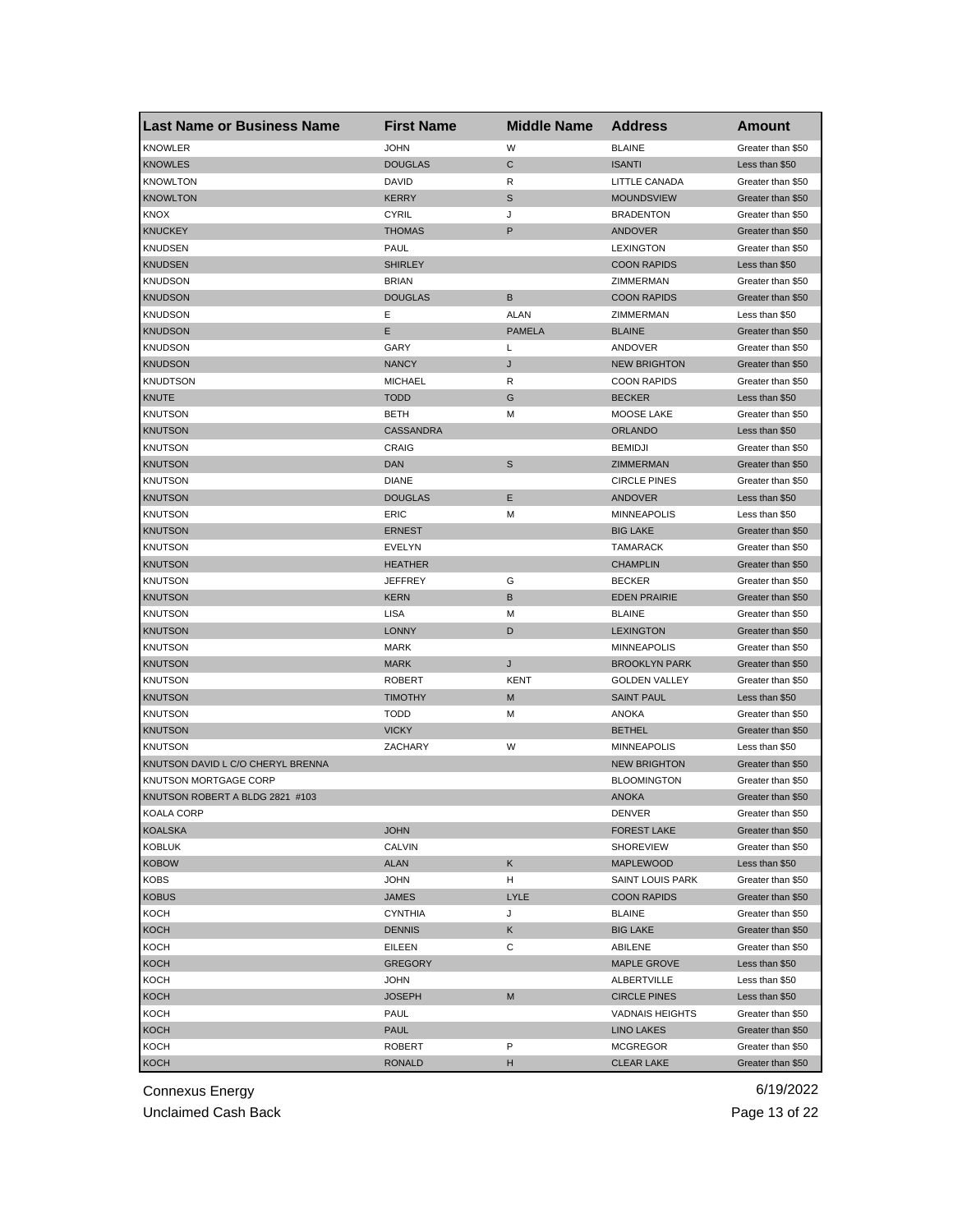| <b>Last Name or Business Name</b> | <b>First Name</b> | <b>Middle Name</b> | <b>Address</b>         | <b>Amount</b>     |
|-----------------------------------|-------------------|--------------------|------------------------|-------------------|
| <b>KNOWLER</b>                    | <b>JOHN</b>       | W                  | <b>BLAINE</b>          | Greater than \$50 |
| <b>KNOWLES</b>                    | <b>DOUGLAS</b>    | C                  | <b>ISANTI</b>          | Less than \$50    |
| <b>KNOWLTON</b>                   | <b>DAVID</b>      | R                  | LITTLE CANADA          | Greater than \$50 |
| <b>KNOWLTON</b>                   | <b>KERRY</b>      | $\mathbb S$        | <b>MOUNDSVIEW</b>      | Greater than \$50 |
| <b>KNOX</b>                       | <b>CYRIL</b>      | J                  | <b>BRADENTON</b>       | Greater than \$50 |
| <b>KNUCKEY</b>                    | <b>THOMAS</b>     | P                  | <b>ANDOVER</b>         | Greater than \$50 |
| KNUDSEN                           | PAUL              |                    | <b>LEXINGTON</b>       | Greater than \$50 |
| <b>KNUDSEN</b>                    | <b>SHIRLEY</b>    |                    | <b>COON RAPIDS</b>     | Less than \$50    |
| <b>KNUDSON</b>                    | <b>BRIAN</b>      |                    | ZIMMERMAN              | Greater than \$50 |
| <b>KNUDSON</b>                    | <b>DOUGLAS</b>    | B                  | <b>COON RAPIDS</b>     | Greater than \$50 |
| <b>KNUDSON</b>                    | Е                 | <b>ALAN</b>        | ZIMMERMAN              | Less than \$50    |
| <b>KNUDSON</b>                    | E                 | <b>PAMELA</b>      | <b>BLAINE</b>          | Greater than \$50 |
| <b>KNUDSON</b>                    | GARY              | L                  | ANDOVER                | Greater than \$50 |
| <b>KNUDSON</b>                    | <b>NANCY</b>      | J                  | <b>NEW BRIGHTON</b>    | Greater than \$50 |
| <b>KNUDTSON</b>                   | <b>MICHAEL</b>    | R                  | <b>COON RAPIDS</b>     | Greater than \$50 |
| <b>KNUTE</b>                      | <b>TODD</b>       | G                  | <b>BECKER</b>          | Less than \$50    |
| <b>KNUTSON</b>                    | <b>BETH</b>       | M                  | MOOSE LAKE             | Greater than \$50 |
| <b>KNUTSON</b>                    | <b>CASSANDRA</b>  |                    | <b>ORLANDO</b>         | Less than \$50    |
| <b>KNUTSON</b>                    | CRAIG             |                    | <b>BEMIDJI</b>         | Greater than \$50 |
| <b>KNUTSON</b>                    | <b>DAN</b>        | S                  | ZIMMERMAN              | Greater than \$50 |
| <b>KNUTSON</b>                    | <b>DIANE</b>      |                    | <b>CIRCLE PINES</b>    | Greater than \$50 |
| <b>KNUTSON</b>                    | <b>DOUGLAS</b>    | Ε                  | ANDOVER                | Less than \$50    |
| <b>KNUTSON</b>                    | ERIC              | M                  | <b>MINNEAPOLIS</b>     | Less than \$50    |
| <b>KNUTSON</b>                    | <b>ERNEST</b>     |                    | <b>BIG LAKE</b>        | Greater than \$50 |
| <b>KNUTSON</b>                    | EVELYN            |                    | <b>TAMARACK</b>        | Greater than \$50 |
| <b>KNUTSON</b>                    | <b>HEATHER</b>    |                    | <b>CHAMPLIN</b>        | Greater than \$50 |
| <b>KNUTSON</b>                    | <b>JEFFREY</b>    | G                  | <b>BECKER</b>          | Greater than \$50 |
| <b>KNUTSON</b>                    | <b>KERN</b>       | B                  | <b>EDEN PRAIRIE</b>    | Greater than \$50 |
| KNUTSON                           | LISA              | M                  | <b>BLAINE</b>          | Greater than \$50 |
| <b>KNUTSON</b>                    | <b>LONNY</b>      | D                  | <b>LEXINGTON</b>       | Greater than \$50 |
| <b>KNUTSON</b>                    | <b>MARK</b>       |                    | <b>MINNEAPOLIS</b>     | Greater than \$50 |
| <b>KNUTSON</b>                    | <b>MARK</b>       | J                  | <b>BROOKLYN PARK</b>   | Greater than \$50 |
| <b>KNUTSON</b>                    | <b>ROBERT</b>     | KENT               | <b>GOLDEN VALLEY</b>   | Greater than \$50 |
| <b>KNUTSON</b>                    | <b>TIMOTHY</b>    | M                  | <b>SAINT PAUL</b>      | Less than \$50    |
| <b>KNUTSON</b>                    | <b>TODD</b>       | М                  | <b>ANOKA</b>           | Greater than \$50 |
| <b>KNUTSON</b>                    | <b>VICKY</b>      |                    | <b>BETHEL</b>          | Greater than \$50 |
| <b>KNUTSON</b>                    | ZACHARY           | W                  | <b>MINNEAPOLIS</b>     | Less than \$50    |
| KNUTSON DAVID L C/O CHERYL BRENNA |                   |                    | <b>NEW BRIGHTON</b>    | Greater than \$50 |
| KNUTSON MORTGAGE CORP             |                   |                    | <b>BLOOMINGTON</b>     | Greater than \$50 |
| KNUTSON ROBERT A BLDG 2821 #103   |                   |                    | <b>ANOKA</b>           | Greater than \$50 |
| KOALA CORP                        |                   |                    | DENVER                 | Greater than \$50 |
| <b>KOALSKA</b>                    | <b>JOHN</b>       |                    | <b>FOREST LAKE</b>     | Greater than \$50 |
| <b>KOBLUK</b>                     | CALVIN            |                    | SHOREVIEW              | Greater than \$50 |
| <b>KOBOW</b>                      | <b>ALAN</b>       | Κ                  | MAPLEWOOD              | Less than \$50    |
| <b>KOBS</b>                       | <b>JOHN</b>       | н                  | SAINT LOUIS PARK       | Greater than \$50 |
| <b>KOBUS</b>                      | <b>JAMES</b>      | <b>LYLE</b>        | <b>COON RAPIDS</b>     | Greater than \$50 |
| KOCH                              | <b>CYNTHIA</b>    | J                  | <b>BLAINE</b>          | Greater than \$50 |
| <b>KOCH</b>                       | <b>DENNIS</b>     | Κ                  | <b>BIG LAKE</b>        | Greater than \$50 |
| KOCH                              | EILEEN            | С                  | ABILENE                | Greater than \$50 |
| <b>KOCH</b>                       | <b>GREGORY</b>    |                    | MAPLE GROVE            | Less than \$50    |
| KOCH                              | JOHN              |                    | ALBERTVILLE            | Less than \$50    |
| <b>KOCH</b>                       | <b>JOSEPH</b>     | M                  | <b>CIRCLE PINES</b>    | Less than \$50    |
| KOCH                              | PAUL              |                    | <b>VADNAIS HEIGHTS</b> | Greater than \$50 |
| <b>KOCH</b>                       | PAUL              |                    | <b>LINO LAKES</b>      | Greater than \$50 |
| KOCH                              | <b>ROBERT</b>     | P                  | <b>MCGREGOR</b>        | Greater than \$50 |
| <b>KOCH</b>                       | <b>RONALD</b>     | н                  | <b>CLEAR LAKE</b>      | Greater than \$50 |

Unclaimed Cash Back **Page 13 of 22**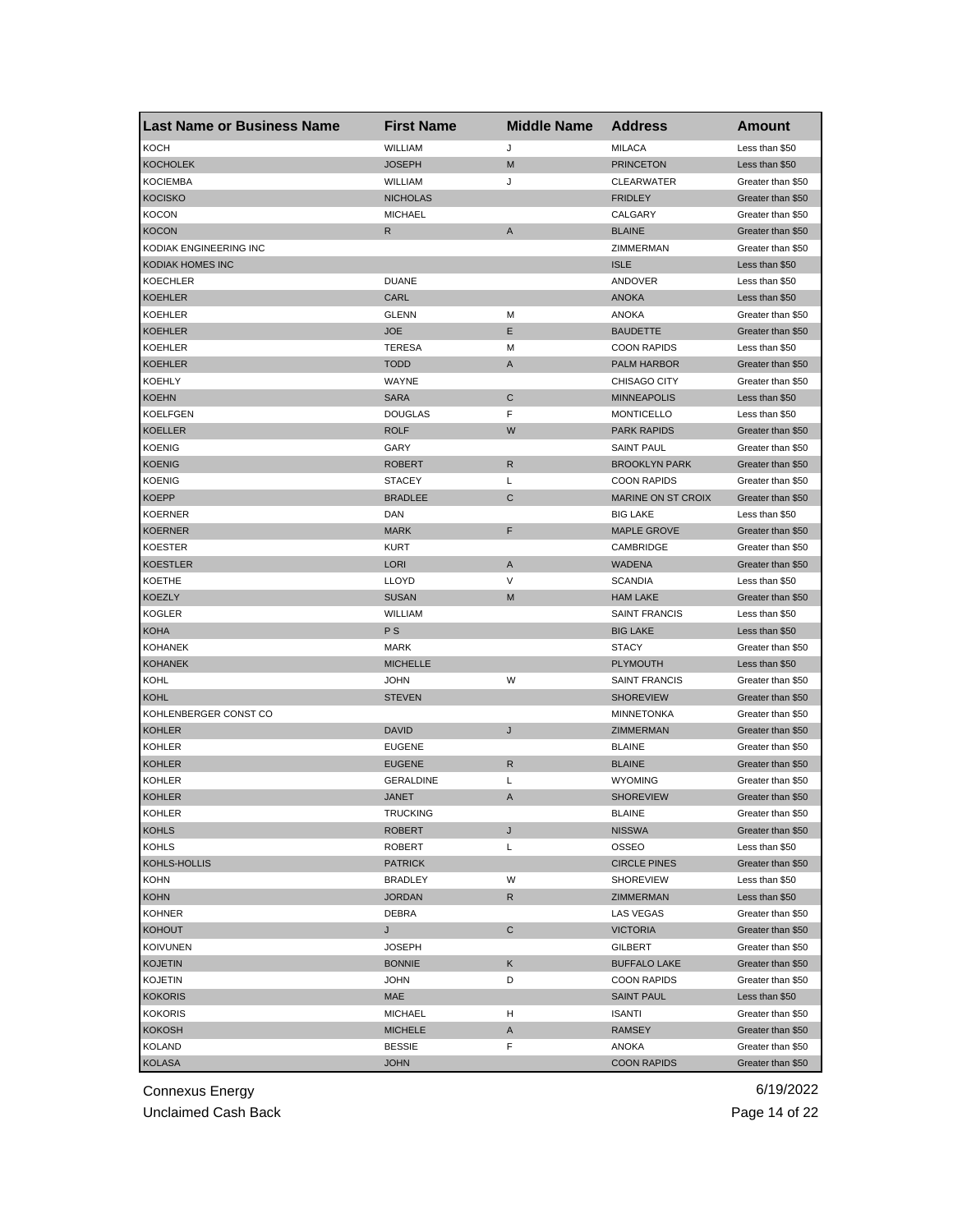| <b>Last Name or Business Name</b> | <b>First Name</b> | <b>Middle Name</b> | <b>Address</b>            | Amount            |
|-----------------------------------|-------------------|--------------------|---------------------------|-------------------|
| <b>KOCH</b>                       | WILLIAM           | J                  | <b>MILACA</b>             | Less than \$50    |
| <b>KOCHOLEK</b>                   | <b>JOSEPH</b>     | M                  | <b>PRINCETON</b>          | Less than \$50    |
| <b>KOCIEMBA</b>                   | WILLIAM           | J                  | <b>CLEARWATER</b>         | Greater than \$50 |
| <b>KOCISKO</b>                    | <b>NICHOLAS</b>   |                    | <b>FRIDLEY</b>            | Greater than \$50 |
| <b>KOCON</b>                      | <b>MICHAEL</b>    |                    | CALGARY                   | Greater than \$50 |
| <b>KOCON</b>                      | R                 | Α                  | <b>BLAINE</b>             | Greater than \$50 |
| KODIAK ENGINEERING INC            |                   |                    | ZIMMERMAN                 | Greater than \$50 |
| KODIAK HOMES INC                  |                   |                    | <b>ISLE</b>               | Less than \$50    |
| <b>KOECHLER</b>                   | <b>DUANE</b>      |                    | ANDOVER                   | Less than \$50    |
| <b>KOEHLER</b>                    | CARL              |                    | <b>ANOKA</b>              | Less than \$50    |
| <b>KOEHLER</b>                    | <b>GLENN</b>      | М                  | <b>ANOKA</b>              | Greater than \$50 |
| <b>KOEHLER</b>                    | <b>JOE</b>        | Е                  | <b>BAUDETTE</b>           | Greater than \$50 |
| <b>KOEHLER</b>                    | <b>TERESA</b>     | М                  | <b>COON RAPIDS</b>        | Less than \$50    |
| <b>KOEHLER</b>                    | <b>TODD</b>       | A                  | PALM HARBOR               | Greater than \$50 |
| <b>KOEHLY</b>                     | WAYNE             |                    | CHISAGO CITY              | Greater than \$50 |
| <b>KOEHN</b>                      | <b>SARA</b>       | С                  | <b>MINNEAPOLIS</b>        | Less than \$50    |
| <b>KOELFGEN</b>                   | <b>DOUGLAS</b>    | F                  | <b>MONTICELLO</b>         | Less than \$50    |
| <b>KOELLER</b>                    | <b>ROLF</b>       | W                  | <b>PARK RAPIDS</b>        | Greater than \$50 |
| <b>KOENIG</b>                     | GARY              |                    | <b>SAINT PAUL</b>         | Greater than \$50 |
| <b>KOENIG</b>                     | <b>ROBERT</b>     | R                  | <b>BROOKLYN PARK</b>      | Greater than \$50 |
| <b>KOENIG</b>                     | <b>STACEY</b>     | Г                  | <b>COON RAPIDS</b>        | Greater than \$50 |
| <b>KOEPP</b>                      | <b>BRADLEE</b>    | C                  | <b>MARINE ON ST CROIX</b> | Greater than \$50 |
| <b>KOERNER</b>                    | DAN               |                    | <b>BIG LAKE</b>           | Less than \$50    |
| <b>KOERNER</b>                    | <b>MARK</b>       | F                  | <b>MAPLE GROVE</b>        | Greater than \$50 |
| <b>KOESTER</b>                    | <b>KURT</b>       |                    | CAMBRIDGE                 | Greater than \$50 |
| <b>KOESTLER</b>                   | <b>LORI</b>       | A                  | <b>WADENA</b>             | Greater than \$50 |
| <b>KOETHE</b>                     | <b>LLOYD</b>      | V                  | <b>SCANDIA</b>            | Less than \$50    |
| <b>KOEZLY</b>                     | <b>SUSAN</b>      | M                  | <b>HAM LAKE</b>           | Greater than \$50 |
| <b>KOGLER</b>                     | WILLIAM           |                    | <b>SAINT FRANCIS</b>      | Less than \$50    |
| <b>KOHA</b>                       | <b>PS</b>         |                    | <b>BIG LAKE</b>           | Less than \$50    |
| <b>KOHANEK</b>                    | <b>MARK</b>       |                    | <b>STACY</b>              | Greater than \$50 |
| <b>KOHANEK</b>                    | <b>MICHELLE</b>   |                    | <b>PLYMOUTH</b>           | Less than \$50    |
| KOHL                              | <b>JOHN</b>       | W                  | <b>SAINT FRANCIS</b>      | Greater than \$50 |
| <b>KOHL</b>                       | <b>STEVEN</b>     |                    | <b>SHOREVIEW</b>          | Greater than \$50 |
| KOHLENBERGER CONST CO             |                   |                    | <b>MINNETONKA</b>         | Greater than \$50 |
| <b>KOHLER</b>                     | <b>DAVID</b>      | J                  | <b>ZIMMERMAN</b>          | Greater than \$50 |
| <b>KOHLER</b>                     | <b>EUGENE</b>     |                    | <b>BLAINE</b>             | Greater than \$50 |
| <b>KOHLER</b>                     | <b>EUGENE</b>     | R                  | <b>BLAINE</b>             | Greater than \$50 |
| <b>KOHLER</b>                     | <b>GERALDINE</b>  | L                  | <b>WYOMING</b>            | Greater than \$50 |
| <b>KOHLER</b>                     | JANET             | A                  | <b>SHOREVIEW</b>          | Greater than \$50 |
| <b>KOHLER</b>                     | TRUCKING          |                    | <b>BLAINE</b>             | Greater than \$50 |
| <b>KOHLS</b>                      | <b>ROBERT</b>     | J                  | <b>NISSWA</b>             | Greater than \$50 |
| KOHLS                             | ROBERT            | L                  | OSSEO                     | Less than \$50    |
| KOHLS-HOLLIS                      | <b>PATRICK</b>    |                    | <b>CIRCLE PINES</b>       | Greater than \$50 |
| <b>KOHN</b>                       | <b>BRADLEY</b>    | W                  | <b>SHOREVIEW</b>          | Less than \$50    |
| <b>KOHN</b>                       | <b>JORDAN</b>     | R                  | ZIMMERMAN                 | Less than \$50    |
| <b>KOHNER</b>                     | DEBRA             |                    | LAS VEGAS                 | Greater than \$50 |
| <b>KOHOUT</b>                     | J                 | С                  | <b>VICTORIA</b>           | Greater than \$50 |
| <b>KOIVUNEN</b>                   | <b>JOSEPH</b>     |                    | GILBERT                   | Greater than \$50 |
| <b>KOJETIN</b>                    | <b>BONNIE</b>     | Κ                  | <b>BUFFALO LAKE</b>       | Greater than \$50 |
| <b>KOJETIN</b>                    | <b>JOHN</b>       | D                  | <b>COON RAPIDS</b>        | Greater than \$50 |
| <b>KOKORIS</b>                    | MAE               |                    | <b>SAINT PAUL</b>         | Less than \$50    |
| <b>KOKORIS</b>                    | <b>MICHAEL</b>    | н                  | ISANTI                    | Greater than \$50 |
| <b>KOKOSH</b>                     | <b>MICHELE</b>    | A                  | <b>RAMSEY</b>             | Greater than \$50 |
| <b>KOLAND</b>                     | <b>BESSIE</b>     | F                  | ANOKA                     | Greater than \$50 |
| <b>KOLASA</b>                     | <b>JOHN</b>       |                    | <b>COON RAPIDS</b>        | Greater than \$50 |

Unclaimed Cash Back **Page 14 of 22**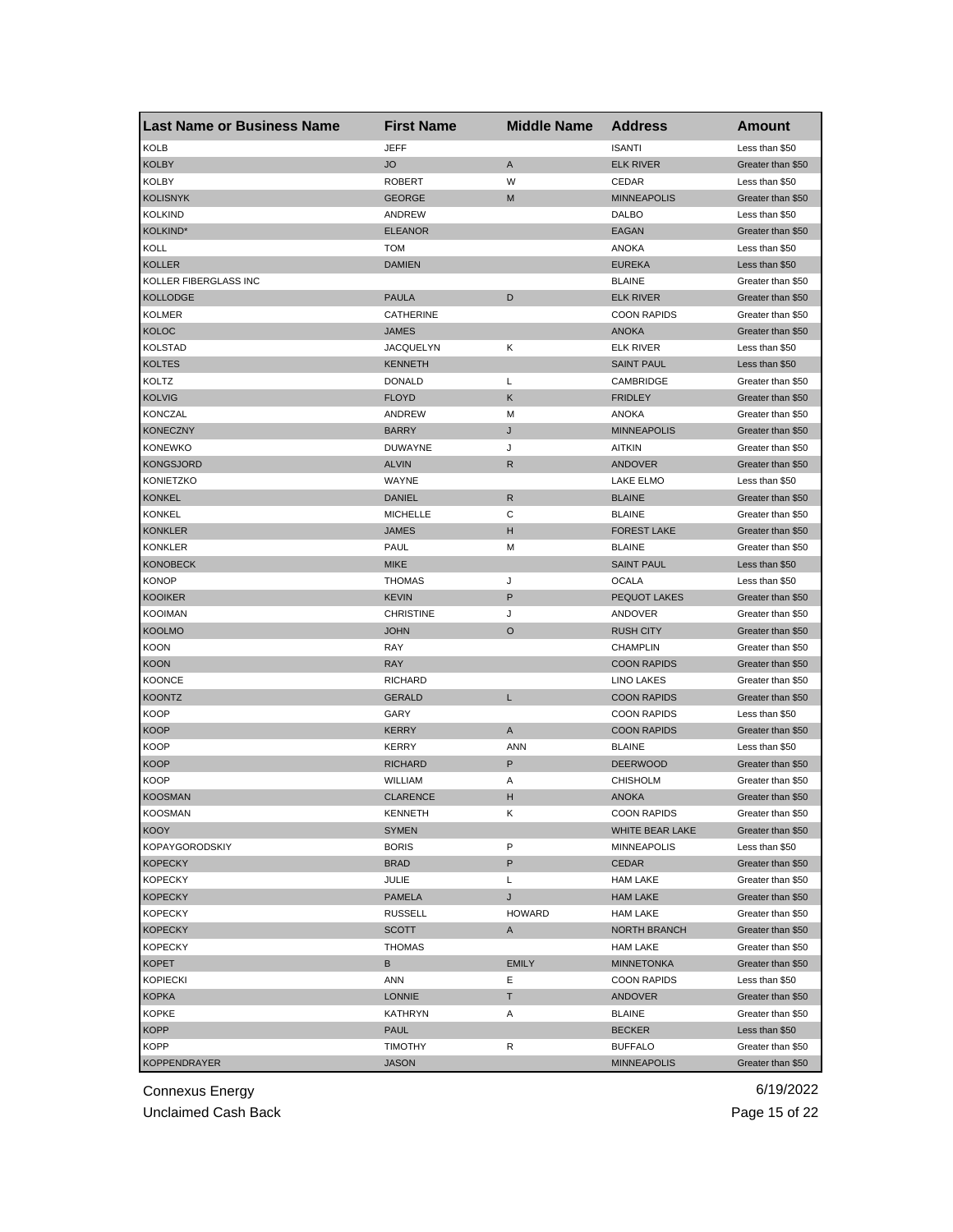| <b>Last Name or Business Name</b> | <b>First Name</b> | <b>Middle Name</b> | <b>Address</b>      | <b>Amount</b>     |
|-----------------------------------|-------------------|--------------------|---------------------|-------------------|
| <b>KOLB</b>                       | <b>JEFF</b>       |                    | <b>ISANTI</b>       | Less than \$50    |
| <b>KOLBY</b>                      | <b>JO</b>         | A                  | <b>ELK RIVER</b>    | Greater than \$50 |
| <b>KOLBY</b>                      | <b>ROBERT</b>     | W                  | CEDAR               | Less than \$50    |
| <b>KOLISNYK</b>                   | <b>GEORGE</b>     | M                  | <b>MINNEAPOLIS</b>  | Greater than \$50 |
| <b>KOLKIND</b>                    | ANDREW            |                    | <b>DALBO</b>        | Less than \$50    |
| KOLKIND*                          | <b>ELEANOR</b>    |                    | EAGAN               | Greater than \$50 |
| KOLL                              | <b>TOM</b>        |                    | ANOKA               | Less than \$50    |
| <b>KOLLER</b>                     | <b>DAMIEN</b>     |                    | <b>EUREKA</b>       | Less than \$50    |
| KOLLER FIBERGLASS INC             |                   |                    | <b>BLAINE</b>       | Greater than \$50 |
| <b>KOLLODGE</b>                   | <b>PAULA</b>      | D                  | <b>ELK RIVER</b>    | Greater than \$50 |
| <b>KOLMER</b>                     | CATHERINE         |                    | <b>COON RAPIDS</b>  | Greater than \$50 |
| <b>KOLOC</b>                      | JAMES             |                    | <b>ANOKA</b>        | Greater than \$50 |
| <b>KOLSTAD</b>                    | <b>JACQUELYN</b>  | κ                  | ELK RIVER           | Less than \$50    |
| <b>KOLTES</b>                     | <b>KENNETH</b>    |                    | <b>SAINT PAUL</b>   | Less than \$50    |
| KOLTZ                             | <b>DONALD</b>     | L                  | CAMBRIDGE           | Greater than \$50 |
| <b>KOLVIG</b>                     | <b>FLOYD</b>      | Κ                  | <b>FRIDLEY</b>      | Greater than \$50 |
| <b>KONCZAL</b>                    | ANDREW            | М                  | <b>ANOKA</b>        | Greater than \$50 |
| <b>KONECZNY</b>                   | <b>BARRY</b>      | J                  | <b>MINNEAPOLIS</b>  | Greater than \$50 |
| <b>KONEWKO</b>                    | <b>DUWAYNE</b>    | J                  | AITKIN              | Greater than \$50 |
| <b>KONGSJORD</b>                  | <b>ALVIN</b>      | R                  | <b>ANDOVER</b>      | Greater than \$50 |
| <b>KONIETZKO</b>                  | WAYNE             |                    | <b>LAKE ELMO</b>    | Less than \$50    |
| <b>KONKEL</b>                     | <b>DANIEL</b>     | $\mathsf R$        | <b>BLAINE</b>       | Greater than \$50 |
| <b>KONKEL</b>                     | <b>MICHELLE</b>   | С                  | <b>BLAINE</b>       | Greater than \$50 |
| <b>KONKLER</b>                    | <b>JAMES</b>      | н                  | <b>FOREST LAKE</b>  | Greater than \$50 |
| <b>KONKLER</b>                    | PAUL              | М                  | <b>BLAINE</b>       | Greater than \$50 |
| <b>KONOBECK</b>                   | <b>MIKE</b>       |                    | <b>SAINT PAUL</b>   | Less than \$50    |
| <b>KONOP</b>                      | <b>THOMAS</b>     | J                  | <b>OCALA</b>        | Less than \$50    |
| <b>KOOIKER</b>                    | <b>KEVIN</b>      | P                  | <b>PEQUOT LAKES</b> | Greater than \$50 |
| <b>KOOIMAN</b>                    | <b>CHRISTINE</b>  | J                  | ANDOVER             | Greater than \$50 |
| <b>KOOLMO</b>                     | <b>JOHN</b>       | O                  | <b>RUSH CITY</b>    | Greater than \$50 |
| <b>KOON</b>                       | RAY               |                    | <b>CHAMPLIN</b>     | Greater than \$50 |
| <b>KOON</b>                       | <b>RAY</b>        |                    | <b>COON RAPIDS</b>  | Greater than \$50 |
| <b>KOONCE</b>                     | <b>RICHARD</b>    |                    | LINO LAKES          | Greater than \$50 |
| <b>KOONTZ</b>                     | <b>GERALD</b>     | Г                  | <b>COON RAPIDS</b>  | Greater than \$50 |
| <b>KOOP</b>                       | GARY              |                    | <b>COON RAPIDS</b>  | Less than \$50    |
| <b>KOOP</b>                       | KERRY             | A                  | <b>COON RAPIDS</b>  | Greater than \$50 |
| <b>KOOP</b>                       | KERRY             | <b>ANN</b>         | <b>BLAINE</b>       | Less than \$50    |
| <b>KOOP</b>                       | <b>RICHARD</b>    | P                  | <b>DEERWOOD</b>     | Greater than \$50 |
| <b>KOOP</b>                       | WILLIAM           | Α                  | <b>CHISHOLM</b>     | Greater than \$50 |
| <b>KOOSMAN</b>                    | <b>CLARENCE</b>   | н                  | <b>ANOKA</b>        | Greater than \$50 |
| <b>KOOSMAN</b>                    | KENNE I H         | ĸ                  | <b>COON RAPIDS</b>  | Greater than \$50 |
| <b>KOOY</b>                       | SYMEN             |                    | WHITE BEAR LAKE     | Greater than \$50 |
| <b>KOPAYGORODSKIY</b>             | <b>BORIS</b>      | P                  | <b>MINNEAPOLIS</b>  | Less than \$50    |
| <b>KOPECKY</b>                    | <b>BRAD</b>       | P                  | CEDAR               | Greater than \$50 |
| <b>KOPECKY</b>                    | JULIE             | L                  | <b>HAM LAKE</b>     | Greater than \$50 |
| <b>KOPECKY</b>                    | <b>PAMELA</b>     | J                  | <b>HAM LAKE</b>     | Greater than \$50 |
| <b>KOPECKY</b>                    | <b>RUSSELL</b>    | <b>HOWARD</b>      | <b>HAM LAKE</b>     | Greater than \$50 |
| <b>KOPECKY</b>                    | <b>SCOTT</b>      | A                  | <b>NORTH BRANCH</b> | Greater than \$50 |
| <b>KOPECKY</b>                    | <b>THOMAS</b>     |                    | <b>HAM LAKE</b>     | Greater than \$50 |
| <b>KOPET</b>                      | В                 | <b>EMILY</b>       | <b>MINNETONKA</b>   | Greater than \$50 |
| <b>KOPIECKI</b>                   | ANN               | Ε                  | <b>COON RAPIDS</b>  | Less than \$50    |
| <b>KOPKA</b>                      | <b>LONNIE</b>     | T.                 | ANDOVER             | Greater than \$50 |
| <b>KOPKE</b>                      | KATHRYN           | Α                  | BLAINE              | Greater than \$50 |
| <b>KOPP</b>                       | PAUL              |                    | <b>BECKER</b>       | Less than \$50    |
| <b>KOPP</b>                       | <b>TIMOTHY</b>    | R                  | <b>BUFFALO</b>      | Greater than \$50 |
| <b>KOPPENDRAYER</b>               | <b>JASON</b>      |                    | <b>MINNEAPOLIS</b>  | Greater than \$50 |

Unclaimed Cash Back **Page 15 of 22**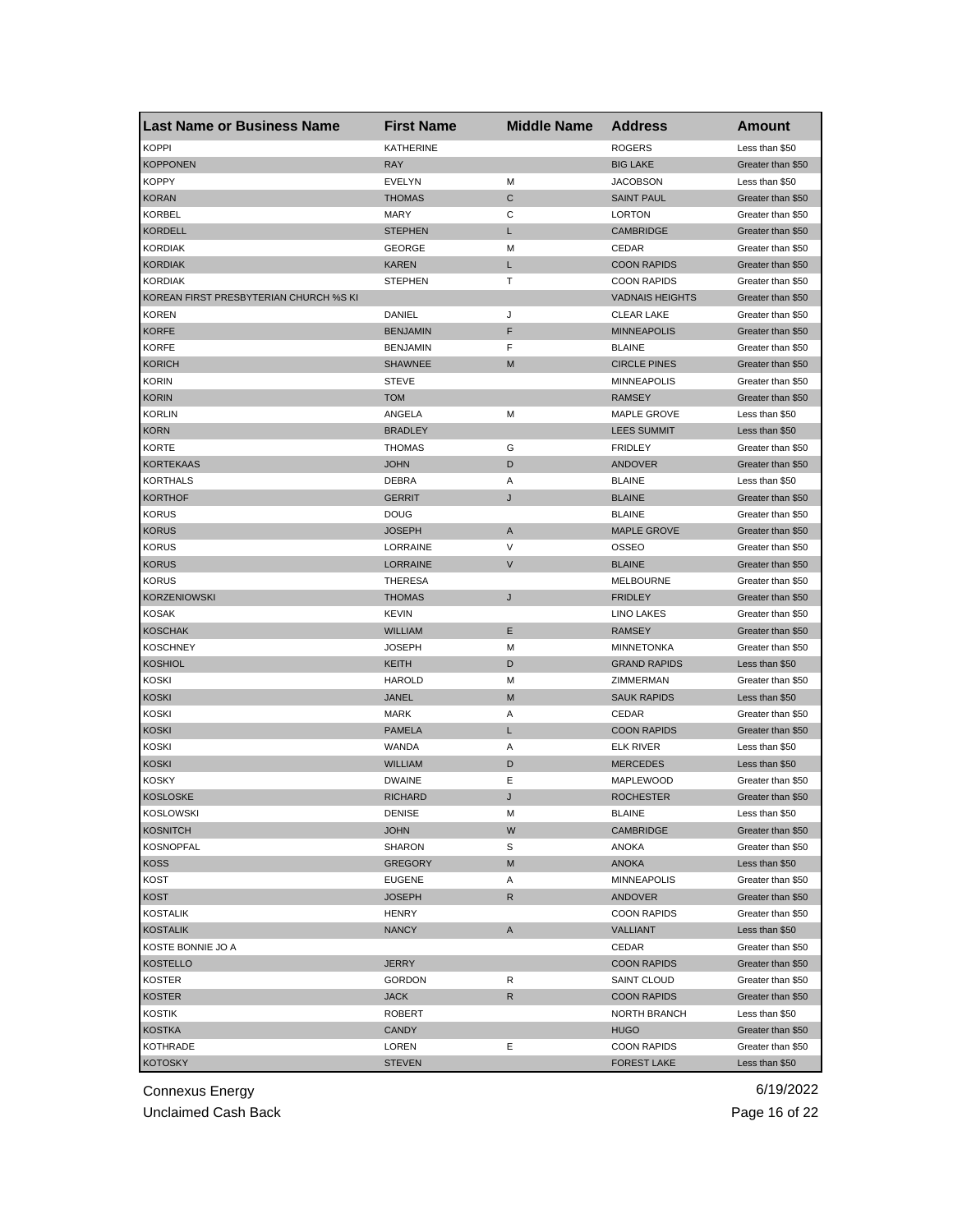| Last Name or Business Name             | <b>First Name</b> | <b>Middle Name</b> | <b>Address</b>         | <b>Amount</b>     |
|----------------------------------------|-------------------|--------------------|------------------------|-------------------|
| <b>KOPPI</b>                           | <b>KATHERINE</b>  |                    | <b>ROGERS</b>          | Less than \$50    |
| <b>KOPPONEN</b>                        | <b>RAY</b>        |                    | <b>BIG LAKE</b>        | Greater than \$50 |
| <b>KOPPY</b>                           | EVELYN            | M                  | <b>JACOBSON</b>        | Less than \$50    |
| <b>KORAN</b>                           | <b>THOMAS</b>     | C                  | <b>SAINT PAUL</b>      | Greater than \$50 |
| <b>KORBEL</b>                          | <b>MARY</b>       | С                  | <b>LORTON</b>          | Greater than \$50 |
| <b>KORDELL</b>                         | <b>STEPHEN</b>    | L                  | <b>CAMBRIDGE</b>       | Greater than \$50 |
| <b>KORDIAK</b>                         | <b>GEORGE</b>     | M                  | CEDAR                  | Greater than \$50 |
| <b>KORDIAK</b>                         | <b>KAREN</b>      | L                  | <b>COON RAPIDS</b>     | Greater than \$50 |
| <b>KORDIAK</b>                         | <b>STEPHEN</b>    | Τ                  | <b>COON RAPIDS</b>     | Greater than \$50 |
| KOREAN FIRST PRESBYTERIAN CHURCH %S KI |                   |                    | <b>VADNAIS HEIGHTS</b> | Greater than \$50 |
| <b>KOREN</b>                           | DANIEL            | J                  | <b>CLEAR LAKE</b>      | Greater than \$50 |
| <b>KORFE</b>                           | <b>BENJAMIN</b>   | F                  | <b>MINNEAPOLIS</b>     | Greater than \$50 |
| KORFE                                  | <b>BENJAMIN</b>   | F                  | <b>BLAINE</b>          | Greater than \$50 |
| <b>KORICH</b>                          | <b>SHAWNEE</b>    | M                  | <b>CIRCLE PINES</b>    | Greater than \$50 |
| <b>KORIN</b>                           | <b>STEVE</b>      |                    | <b>MINNEAPOLIS</b>     | Greater than \$50 |
| <b>KORIN</b>                           | <b>TOM</b>        |                    | <b>RAMSEY</b>          | Greater than \$50 |
| <b>KORLIN</b>                          | ANGELA            | M                  | <b>MAPLE GROVE</b>     | Less than \$50    |
| <b>KORN</b>                            | <b>BRADLEY</b>    |                    | <b>LEES SUMMIT</b>     | Less than \$50    |
| <b>KORTE</b>                           | <b>THOMAS</b>     | G                  | <b>FRIDLEY</b>         | Greater than \$50 |
| <b>KORTEKAAS</b>                       | <b>JOHN</b>       | D                  | <b>ANDOVER</b>         | Greater than \$50 |
| <b>KORTHALS</b>                        | DEBRA             | Α                  | <b>BLAINE</b>          | Less than \$50    |
| <b>KORTHOF</b>                         | <b>GERRIT</b>     | J                  | <b>BLAINE</b>          | Greater than \$50 |
| <b>KORUS</b>                           | <b>DOUG</b>       |                    | <b>BLAINE</b>          | Greater than \$50 |
| <b>KORUS</b>                           | <b>JOSEPH</b>     | A                  | <b>MAPLE GROVE</b>     | Greater than \$50 |
| <b>KORUS</b>                           | LORRAINE          | V                  | OSSEO                  | Greater than \$50 |
| <b>KORUS</b>                           | <b>LORRAINE</b>   | V                  | <b>BLAINE</b>          | Greater than \$50 |
| <b>KORUS</b>                           | THERESA           |                    | <b>MELBOURNE</b>       | Greater than \$50 |
| <b>KORZENIOWSKI</b>                    | <b>THOMAS</b>     | J                  | <b>FRIDLEY</b>         | Greater than \$50 |
| KOSAK                                  | <b>KEVIN</b>      |                    | LINO LAKES             | Greater than \$50 |
| <b>KOSCHAK</b>                         | <b>WILLIAM</b>    | Ε                  | <b>RAMSEY</b>          | Greater than \$50 |
| <b>KOSCHNEY</b>                        | <b>JOSEPH</b>     | М                  | <b>MINNETONKA</b>      | Greater than \$50 |
| <b>KOSHIOL</b>                         | <b>KEITH</b>      | D                  | <b>GRAND RAPIDS</b>    | Less than \$50    |
| KOSKI                                  | <b>HAROLD</b>     | М                  | ZIMMERMAN              | Greater than \$50 |
| <b>KOSKI</b>                           | <b>JANEL</b>      | M                  | <b>SAUK RAPIDS</b>     | Less than \$50    |
| KOSKI                                  | <b>MARK</b>       | Α                  | CEDAR                  | Greater than \$50 |
| <b>KOSKI</b>                           | <b>PAMELA</b>     | L                  | <b>COON RAPIDS</b>     | Greater than \$50 |
| KOSKI                                  | WANDA             | Α                  | <b>ELK RIVER</b>       | Less than \$50    |
| <b>KOSKI</b>                           | <b>WILLIAM</b>    | D                  | <b>MERCEDES</b>        | Less than \$50    |
| <b>KOSKY</b>                           | <b>DWAINE</b>     | Ε                  | MAPLEWOOD              | Greater than \$50 |
| <b>KOSLOSKE</b>                        | <b>RICHARD</b>    | J                  | <b>ROCHESTER</b>       | Greater than \$50 |
| <b>KOSLOWSKI</b>                       | DENISE            | м                  | <b>BLAINE</b>          | Less than \$50    |
| KOSNITCH                               | <b>JOHN</b>       | W                  | <b>CAMBRIDGE</b>       | Greater than \$50 |
| <b>KOSNOPFAL</b>                       | <b>SHARON</b>     | S                  | ANOKA                  | Greater than \$50 |
| KOSS                                   | <b>GREGORY</b>    | M                  | ANOKA                  | Less than \$50    |
| <b>KOST</b>                            | <b>EUGENE</b>     | Α                  | <b>MINNEAPOLIS</b>     | Greater than \$50 |
| <b>KOST</b>                            | <b>JOSEPH</b>     | R                  | ANDOVER                | Greater than \$50 |
| <b>KOSTALIK</b>                        | HENRY             |                    | <b>COON RAPIDS</b>     | Greater than \$50 |
| <b>KOSTALIK</b>                        | <b>NANCY</b>      | A                  | VALLIANT               | Less than \$50    |
| KOSTE BONNIE JO A                      |                   |                    | CEDAR                  | Greater than \$50 |
| KOSTELLO                               | <b>JERRY</b>      |                    | <b>COON RAPIDS</b>     | Greater than \$50 |
| KOSTER                                 | <b>GORDON</b>     | R                  | SAINT CLOUD            | Greater than \$50 |
| <b>KOSTER</b>                          | <b>JACK</b>       | R                  | <b>COON RAPIDS</b>     | Greater than \$50 |
| KOSTIK                                 | ROBERT            |                    | NORTH BRANCH           | Less than \$50    |
| <b>KOSTKA</b>                          | CANDY             |                    | <b>HUGO</b>            | Greater than \$50 |
| KOTHRADE                               | LOREN             | Ε                  | <b>COON RAPIDS</b>     | Greater than \$50 |
| <b>KOTOSKY</b>                         | <b>STEVEN</b>     |                    | <b>FOREST LAKE</b>     | Less than \$50    |
|                                        |                   |                    |                        |                   |

Unclaimed Cash Back **Page 16 of 22**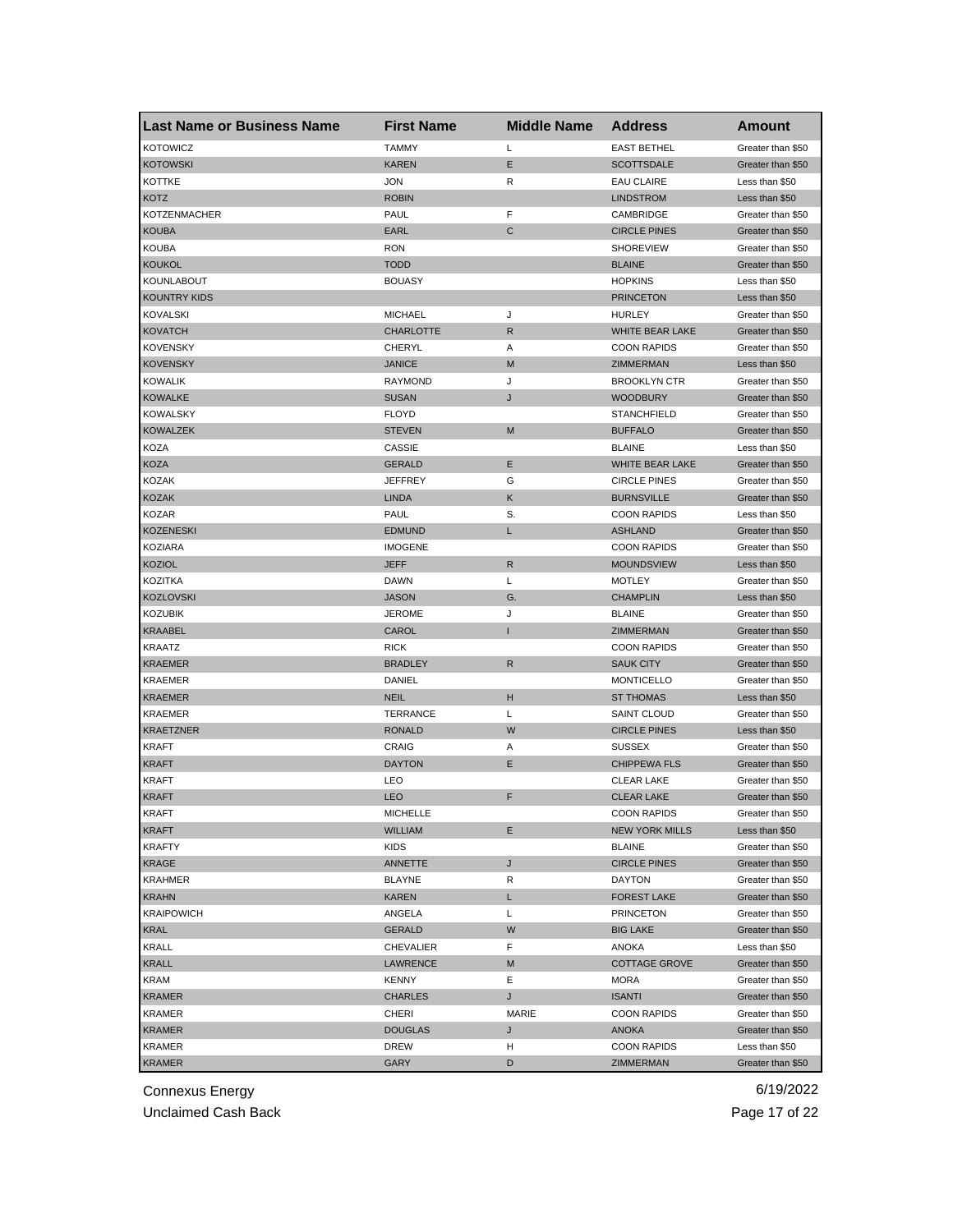| <b>Last Name or Business Name</b> | <b>First Name</b> | <b>Middle Name</b> | <b>Address</b>         | <b>Amount</b>     |
|-----------------------------------|-------------------|--------------------|------------------------|-------------------|
| <b>KOTOWICZ</b>                   | <b>TAMMY</b>      | Г                  | <b>EAST BETHEL</b>     | Greater than \$50 |
| <b>KOTOWSKI</b>                   | KAREN             | Е                  | <b>SCOTTSDALE</b>      | Greater than \$50 |
| <b>KOTTKE</b>                     | <b>JON</b>        | R                  | <b>EAU CLAIRE</b>      | Less than \$50    |
| KOTZ                              | <b>ROBIN</b>      |                    | <b>LINDSTROM</b>       | Less than \$50    |
| <b>KOTZENMACHER</b>               | PAUL              | F                  | CAMBRIDGE              | Greater than \$50 |
| <b>KOUBA</b>                      | EARL              | $\mathsf{C}$       | <b>CIRCLE PINES</b>    | Greater than \$50 |
| <b>KOUBA</b>                      | <b>RON</b>        |                    | <b>SHOREVIEW</b>       | Greater than \$50 |
| <b>KOUKOL</b>                     | TODD              |                    | <b>BLAINE</b>          | Greater than \$50 |
| KOUNLABOUT                        | <b>BOUASY</b>     |                    | <b>HOPKINS</b>         | Less than \$50    |
| <b>KOUNTRY KIDS</b>               |                   |                    | <b>PRINCETON</b>       | Less than \$50    |
| <b>KOVALSKI</b>                   | <b>MICHAEL</b>    | J                  | <b>HURLEY</b>          | Greater than \$50 |
| <b>KOVATCH</b>                    | <b>CHARLOTTE</b>  | R                  | WHITE BEAR LAKE        | Greater than \$50 |
| <b>KOVENSKY</b>                   | CHERYL            | Α                  | <b>COON RAPIDS</b>     | Greater than \$50 |
| <b>KOVENSKY</b>                   | <b>JANICE</b>     | M                  | ZIMMERMAN              | Less than \$50    |
| <b>KOWALIK</b>                    | RAYMOND           | J                  | <b>BROOKLYN CTR</b>    | Greater than \$50 |
| <b>KOWALKE</b>                    | <b>SUSAN</b>      | J                  | <b>WOODBURY</b>        | Greater than \$50 |
| KOWALSKY                          | <b>FLOYD</b>      |                    | <b>STANCHFIELD</b>     | Greater than \$50 |
| <b>KOWALZEK</b>                   | <b>STEVEN</b>     | M                  | <b>BUFFALO</b>         | Greater than \$50 |
| KOZA                              | CASSIE            |                    | <b>BLAINE</b>          | Less than \$50    |
| <b>KOZA</b>                       | <b>GERALD</b>     | Е                  | <b>WHITE BEAR LAKE</b> | Greater than \$50 |
| KOZAK                             | JEFFREY           | G                  | <b>CIRCLE PINES</b>    | Greater than \$50 |
| <b>KOZAK</b>                      | <b>LINDA</b>      | Κ                  | <b>BURNSVILLE</b>      | Greater than \$50 |
| <b>KOZAR</b>                      | PAUL              | S.                 | <b>COON RAPIDS</b>     | Less than \$50    |
| <b>KOZENESKI</b>                  | <b>EDMUND</b>     | L                  | <b>ASHLAND</b>         | Greater than \$50 |
| KOZIARA                           | <b>IMOGENE</b>    |                    | <b>COON RAPIDS</b>     | Greater than \$50 |
| <b>KOZIOL</b>                     | JEFF              | R                  | <b>MOUNDSVIEW</b>      | Less than \$50    |
| KOZITKA                           | DAWN              | Г                  | <b>MOTLEY</b>          | Greater than \$50 |
| <b>KOZLOVSKI</b>                  | <b>JASON</b>      | G.                 | <b>CHAMPLIN</b>        | Less than \$50    |
| <b>KOZUBIK</b>                    | JEROME            | J                  | <b>BLAINE</b>          | Greater than \$50 |
| <b>KRAABEL</b>                    | CAROL             |                    | ZIMMERMAN              | Greater than \$50 |
| <b>KRAATZ</b>                     | <b>RICK</b>       |                    | <b>COON RAPIDS</b>     | Greater than \$50 |
| <b>KRAEMER</b>                    | <b>BRADLEY</b>    | $\mathsf{R}$       | <b>SAUK CITY</b>       | Greater than \$50 |
| <b>KRAEMER</b>                    | DANIEL            |                    | <b>MONTICELLO</b>      | Greater than \$50 |
| <b>KRAEMER</b>                    | <b>NEIL</b>       | н                  | <b>ST THOMAS</b>       | Less than \$50    |
| KRAEMER                           | TERRANCE          | Г                  | SAINT CLOUD            | Greater than \$50 |
| <b>KRAETZNER</b>                  | <b>RONALD</b>     | W                  | <b>CIRCLE PINES</b>    | Less than \$50    |
| KRAFT                             | CRAIG             | Α                  | <b>SUSSEX</b>          | Greater than \$50 |
| <b>KRAFT</b>                      | <b>DAYTON</b>     | Е                  | <b>CHIPPEWA FLS</b>    | Greater than \$50 |
| <b>KRAFT</b>                      | LEO               |                    | <b>CLEAR LAKE</b>      | Greater than \$50 |
| <b>KRAFT</b>                      | <b>LEO</b>        | F                  | <b>CLEAR LAKE</b>      | Greater than \$50 |
| KRAF I                            | MICHELLE          |                    | <b>COON RAPIDS</b>     | Greater than \$50 |
| <b>KRAFT</b>                      | <b>WILLIAM</b>    | Е                  | <b>NEW YORK MILLS</b>  | Less than \$50    |
| <b>KRAFTY</b>                     | KIDS              |                    | <b>BLAINE</b>          | Greater than \$50 |
| KRAGE                             | ANNETTE           | J                  | <b>CIRCLE PINES</b>    | Greater than \$50 |
|                                   | <b>BLAYNE</b>     | R                  | <b>DAYTON</b>          | Greater than \$50 |
| KRAHMER<br><b>KRAHN</b>           | KAREN             | L.                 | <b>FOREST LAKE</b>     | Greater than \$50 |
|                                   | ANGELA            |                    |                        |                   |
| <b>KRAIPOWICH</b>                 |                   | Г                  | <b>PRINCETON</b>       | Greater than \$50 |
| KRAL                              | GERALD            | W                  | <b>BIG LAKE</b>        | Greater than \$50 |
| <b>KRALL</b>                      | CHEVALIER         | F                  | ANOKA                  | Less than \$50    |
| <b>KRALL</b>                      | LAWRENCE          | M                  | <b>COTTAGE GROVE</b>   | Greater than \$50 |
| KRAM                              | <b>KENNY</b>      | Е                  | MORA                   | Greater than \$50 |
| <b>KRAMER</b>                     | CHARLES           | J                  | <b>ISANTI</b>          | Greater than \$50 |
| KRAMER                            | CHERI             | MARIE              | <b>COON RAPIDS</b>     | Greater than \$50 |
| <b>KRAMER</b>                     | <b>DOUGLAS</b>    | J                  | <b>ANOKA</b>           | Greater than \$50 |
| <b>KRAMER</b>                     | DREW              | н                  | <b>COON RAPIDS</b>     | Less than \$50    |
| <b>KRAMER</b>                     | <b>GARY</b>       | D                  | ZIMMERMAN              | Greater than \$50 |

Unclaimed Cash Back **Page 17 of 22**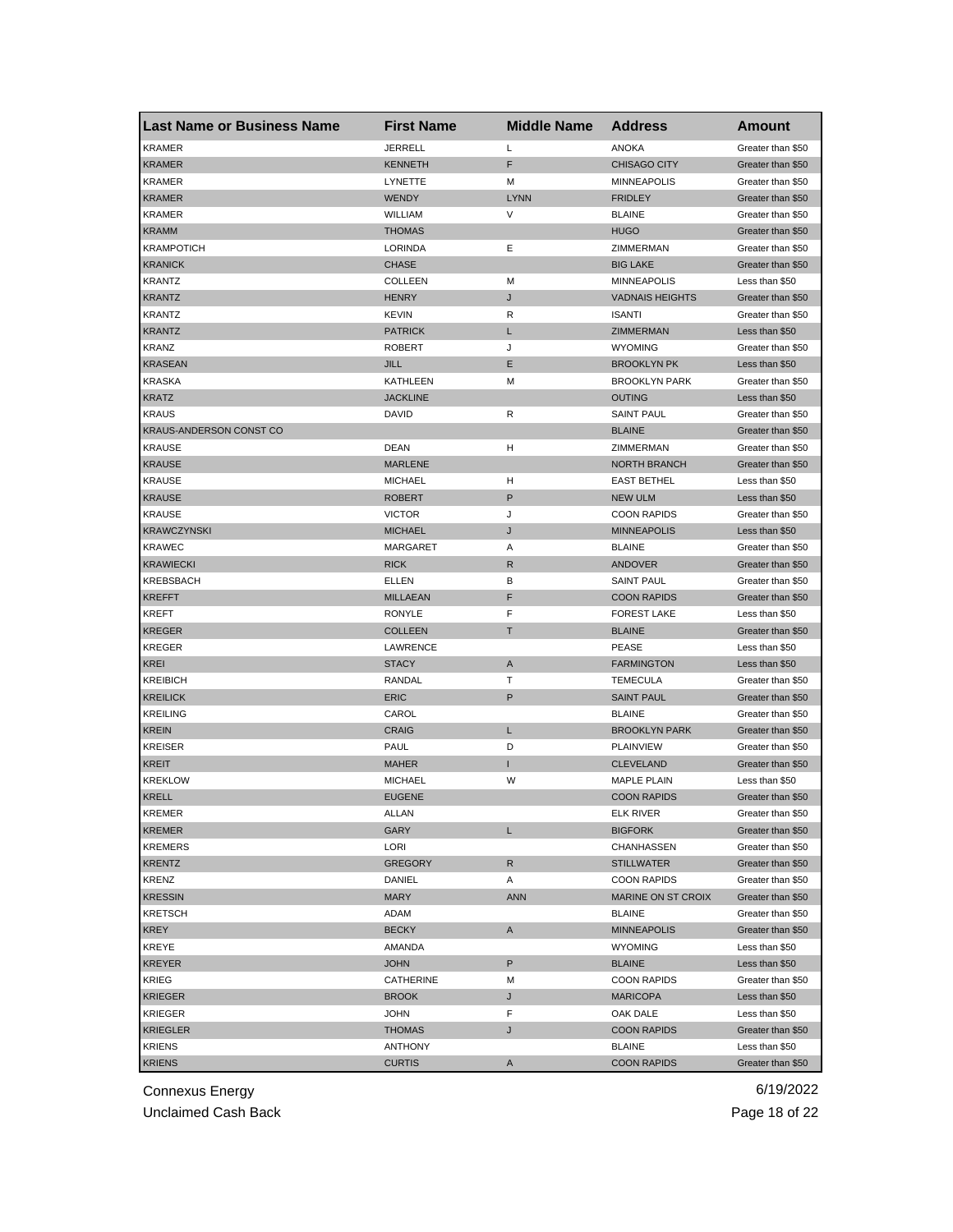| <b>Last Name or Business Name</b> | <b>First Name</b> | <b>Middle Name</b> | <b>Address</b>            | Amount            |
|-----------------------------------|-------------------|--------------------|---------------------------|-------------------|
| <b>KRAMER</b>                     | <b>JERRELL</b>    | Г                  | <b>ANOKA</b>              | Greater than \$50 |
| <b>KRAMER</b>                     | <b>KENNETH</b>    | F                  | <b>CHISAGO CITY</b>       | Greater than \$50 |
| <b>KRAMER</b>                     | LYNETTE           | м                  | <b>MINNEAPOLIS</b>        | Greater than \$50 |
| <b>KRAMER</b>                     | WENDY             | <b>LYNN</b>        | <b>FRIDLEY</b>            | Greater than \$50 |
| <b>KRAMER</b>                     | WILLIAM           | V                  | <b>BLAINE</b>             | Greater than \$50 |
| <b>KRAMM</b>                      | <b>THOMAS</b>     |                    | <b>HUGO</b>               | Greater than \$50 |
| KRAMPOTICH                        | LORINDA           | Е                  | ZIMMERMAN                 | Greater than \$50 |
| <b>KRANICK</b>                    | <b>CHASE</b>      |                    | <b>BIG LAKE</b>           | Greater than \$50 |
| <b>KRANTZ</b>                     | <b>COLLEEN</b>    | M                  | <b>MINNEAPOLIS</b>        | Less than \$50    |
| <b>KRANTZ</b>                     | <b>HENRY</b>      | J                  | <b>VADNAIS HEIGHTS</b>    | Greater than \$50 |
| KRANTZ                            | KEVIN             | R                  | <b>ISANTI</b>             | Greater than \$50 |
| <b>KRANTZ</b>                     | <b>PATRICK</b>    | L                  | <b>ZIMMERMAN</b>          | Less than \$50    |
| KRANZ                             | <b>ROBERT</b>     | J                  | <b>WYOMING</b>            | Greater than \$50 |
| <b>KRASEAN</b>                    | JILL              | E                  | <b>BROOKLYN PK</b>        | Less than \$50    |
| <b>KRASKA</b>                     | KATHLEEN          | M                  | <b>BROOKLYN PARK</b>      | Greater than \$50 |
| <b>KRATZ</b>                      | <b>JACKLINE</b>   |                    | <b>OUTING</b>             | Less than \$50    |
| <b>KRAUS</b>                      | DAVID             | R                  | <b>SAINT PAUL</b>         | Greater than \$50 |
| KRAUS-ANDERSON CONST CO           |                   |                    | <b>BLAINE</b>             | Greater than \$50 |
| <b>KRAUSE</b>                     | DEAN              | н                  | ZIMMERMAN                 | Greater than \$50 |
| <b>KRAUSE</b>                     | <b>MARLENE</b>    |                    | <b>NORTH BRANCH</b>       | Greater than \$50 |
| <b>KRAUSE</b>                     | <b>MICHAEL</b>    | н                  | <b>EAST BETHEL</b>        | Less than \$50    |
| <b>KRAUSE</b>                     | <b>ROBERT</b>     | P                  | <b>NEW ULM</b>            | Less than \$50    |
| KRAUSE                            | <b>VICTOR</b>     | J                  | <b>COON RAPIDS</b>        | Greater than \$50 |
| <b>KRAWCZYNSKI</b>                | <b>MICHAEL</b>    | J                  | <b>MINNEAPOLIS</b>        | Less than \$50    |
| KRAWEC                            | MARGARET          | Α                  | <b>BLAINE</b>             | Greater than \$50 |
| <b>KRAWIECKI</b>                  | <b>RICK</b>       | R                  | ANDOVER                   | Greater than \$50 |
| KREBSBACH                         | ELLEN             | в                  | <b>SAINT PAUL</b>         | Greater than \$50 |
| <b>KREFFT</b>                     | <b>MILLAEAN</b>   | F                  | <b>COON RAPIDS</b>        | Greater than \$50 |
| KREFT                             | <b>RONYLE</b>     | F                  | <b>FOREST LAKE</b>        | Less than \$50    |
| <b>KREGER</b>                     | <b>COLLEEN</b>    | т                  | <b>BLAINE</b>             | Greater than \$50 |
| <b>KREGER</b>                     | LAWRENCE          |                    | <b>PEASE</b>              | Less than \$50    |
| <b>KREI</b>                       | <b>STACY</b>      | A                  | <b>FARMINGTON</b>         | Less than \$50    |
| <b>KREIBICH</b>                   | RANDAL            | т                  | <b>TEMECULA</b>           | Greater than \$50 |
| <b>KREILICK</b>                   | <b>ERIC</b>       | P                  | <b>SAINT PAUL</b>         | Greater than \$50 |
| <b>KREILING</b>                   | CAROL             |                    | <b>BLAINE</b>             | Greater than \$50 |
| <b>KREIN</b>                      | <b>CRAIG</b>      | L                  | <b>BROOKLYN PARK</b>      | Greater than \$50 |
| <b>KREISER</b>                    | PAUL              | D                  | <b>PLAINVIEW</b>          | Greater than \$50 |
| KREIT                             | <b>MAHER</b>      | п                  | <b>CLEVELAND</b>          | Greater than \$50 |
| KREKLOW                           | <b>MICHAEL</b>    | W                  | <b>MAPLE PLAIN</b>        | Less than \$50    |
| <b>KRELL</b>                      | <b>EUGENE</b>     |                    | <b>COON RAPIDS</b>        | Greater than \$50 |
| KREMER                            | ALLAN             |                    | ELK RIVER                 | Greater than \$50 |
| <b>KREMER</b>                     | GARY              | L                  | <b>BIGFORK</b>            | Greater than \$50 |
| <b>KREMERS</b>                    | LORI              |                    | CHANHASSEN                | Greater than \$50 |
| <b>KRENTZ</b>                     | GREGORY           | R                  | <b>STILLWATER</b>         | Greater than \$50 |
| <b>KRENZ</b>                      | DANIEL            | Α                  | <b>COON RAPIDS</b>        | Greater than \$50 |
| <b>KRESSIN</b>                    | MARY              | <b>ANN</b>         | <b>MARINE ON ST CROIX</b> | Greater than \$50 |
| <b>KRETSCH</b>                    | ADAM              |                    | <b>BLAINE</b>             | Greater than \$50 |
| KREY                              | <b>BECKY</b>      | A                  | <b>MINNEAPOLIS</b>        | Greater than \$50 |
| KREYE                             | AMANDA            |                    | <b>WYOMING</b>            | Less than \$50    |
| <b>KREYER</b>                     | <b>JOHN</b>       | P                  | <b>BLAINE</b>             | Less than \$50    |
| KRIEG                             | CATHERINE         | М                  | <b>COON RAPIDS</b>        | Greater than \$50 |
| <b>KRIEGER</b>                    | <b>BROOK</b>      | J                  | <b>MARICOPA</b>           | Less than \$50    |
| KRIEGER                           | JOHN              | F                  | OAK DALE                  | Less than \$50    |
| <b>KRIEGLER</b>                   | THOMAS            | J                  | <b>COON RAPIDS</b>        | Greater than \$50 |
| KRIENS                            | <b>ANTHONY</b>    |                    | <b>BLAINE</b>             | Less than \$50    |
| <b>KRIENS</b>                     | <b>CURTIS</b>     | A                  | <b>COON RAPIDS</b>        | Greater than \$50 |

Unclaimed Cash Back **Page 18 of 22**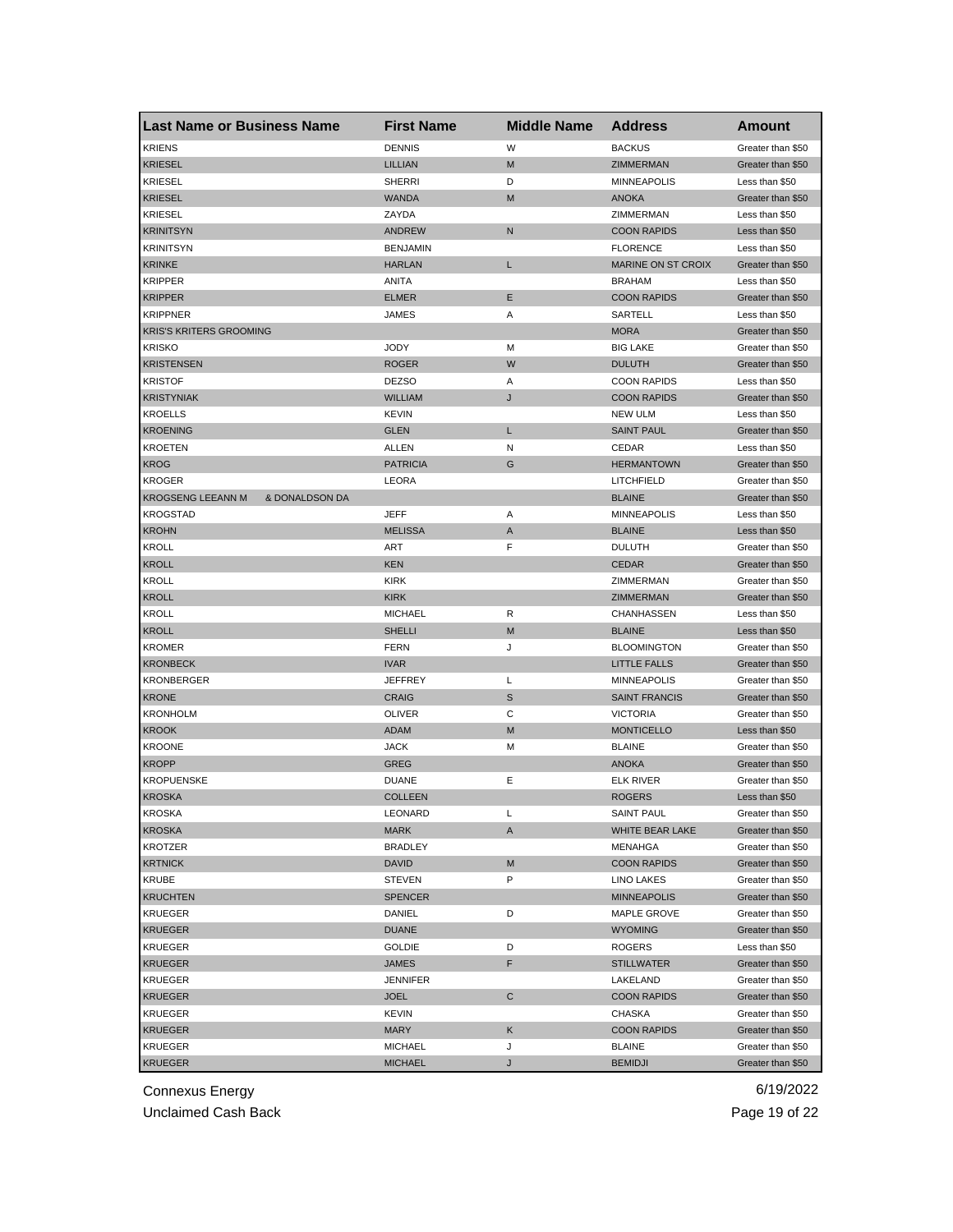| <b>Last Name or Business Name</b>          | <b>First Name</b> | <b>Middle Name</b> | <b>Address</b>       | Amount            |
|--------------------------------------------|-------------------|--------------------|----------------------|-------------------|
| <b>KRIENS</b>                              | <b>DENNIS</b>     | W                  | <b>BACKUS</b>        | Greater than \$50 |
| <b>KRIESEL</b>                             | <b>LILLIAN</b>    | M                  | ZIMMERMAN            | Greater than \$50 |
| <b>KRIESEL</b>                             | <b>SHERRI</b>     | D                  | <b>MINNEAPOLIS</b>   | Less than \$50    |
| <b>KRIESEL</b>                             | <b>WANDA</b>      | M                  | <b>ANOKA</b>         | Greater than \$50 |
| <b>KRIESEL</b>                             | ZAYDA             |                    | ZIMMERMAN            | Less than \$50    |
| <b>KRINITSYN</b>                           | <b>ANDREW</b>     | N                  | <b>COON RAPIDS</b>   | Less than \$50    |
| <b>KRINITSYN</b>                           | <b>BENJAMIN</b>   |                    | <b>FLORENCE</b>      | Less than \$50    |
| <b>KRINKE</b>                              | <b>HARLAN</b>     | L                  | MARINE ON ST CROIX   | Greater than \$50 |
| <b>KRIPPER</b>                             | ANITA             |                    | <b>BRAHAM</b>        | Less than \$50    |
| <b>KRIPPER</b>                             | <b>ELMER</b>      | Ε                  | <b>COON RAPIDS</b>   | Greater than \$50 |
| <b>KRIPPNER</b>                            | JAMES             | Α                  | SARTELL              | Less than \$50    |
| <b>KRIS'S KRITERS GROOMING</b>             |                   |                    | <b>MORA</b>          | Greater than \$50 |
| <b>KRISKO</b>                              | <b>JODY</b>       | М                  | <b>BIG LAKE</b>      | Greater than \$50 |
| <b>KRISTENSEN</b>                          | <b>ROGER</b>      | W                  | <b>DULUTH</b>        | Greater than \$50 |
| <b>KRISTOF</b>                             | <b>DEZSO</b>      | Α                  | <b>COON RAPIDS</b>   | Less than \$50    |
| <b>KRISTYNIAK</b>                          | <b>WILLIAM</b>    | J                  | <b>COON RAPIDS</b>   | Greater than \$50 |
| <b>KROELLS</b>                             | <b>KEVIN</b>      |                    | <b>NEW ULM</b>       | Less than \$50    |
| <b>KROENING</b>                            | <b>GLEN</b>       | L                  | <b>SAINT PAUL</b>    | Greater than \$50 |
| <b>KROETEN</b>                             | ALLEN             | N                  | CEDAR                | Less than \$50    |
| <b>KROG</b>                                | <b>PATRICIA</b>   | G                  | <b>HERMANTOWN</b>    | Greater than \$50 |
| <b>KROGER</b>                              | LEORA             |                    | LITCHFIELD           | Greater than \$50 |
| <b>KROGSENG LEEANN M</b><br>& DONALDSON DA |                   |                    | <b>BLAINE</b>        | Greater than \$50 |
| <b>KROGSTAD</b>                            | JEFF              | Α                  | <b>MINNEAPOLIS</b>   | Less than \$50    |
| <b>KROHN</b>                               | <b>MELISSA</b>    | A                  | <b>BLAINE</b>        | Less than \$50    |
| KROLL                                      | ART               | F                  | <b>DULUTH</b>        | Greater than \$50 |
| <b>KROLL</b>                               | <b>KEN</b>        |                    | <b>CEDAR</b>         | Greater than \$50 |
| KROLL                                      | <b>KIRK</b>       |                    | ZIMMERMAN            | Greater than \$50 |
| <b>KROLL</b>                               | <b>KIRK</b>       |                    | ZIMMERMAN            | Greater than \$50 |
| KROLL                                      | <b>MICHAEL</b>    | R                  | CHANHASSEN           | Less than \$50    |
| <b>KROLL</b>                               | <b>SHELLI</b>     | M                  | <b>BLAINE</b>        | Less than \$50    |
| <b>KROMER</b>                              | <b>FERN</b>       | J                  | <b>BLOOMINGTON</b>   | Greater than \$50 |
| <b>KRONBECK</b>                            | <b>IVAR</b>       |                    | <b>LITTLE FALLS</b>  | Greater than \$50 |
| KRONBERGER                                 | <b>JEFFREY</b>    | Г                  | <b>MINNEAPOLIS</b>   | Greater than \$50 |
| <b>KRONE</b>                               | <b>CRAIG</b>      | S                  | <b>SAINT FRANCIS</b> | Greater than \$50 |
| <b>KRONHOLM</b>                            | <b>OLIVER</b>     | С                  | <b>VICTORIA</b>      | Greater than \$50 |
| <b>KROOK</b>                               | ADAM              | M                  | <b>MONTICELLO</b>    | Less than \$50    |
| <b>KROONE</b>                              | <b>JACK</b>       | м                  | <b>BLAINE</b>        | Greater than \$50 |
| <b>KROPP</b>                               | GREG              |                    | <b>ANOKA</b>         | Greater than \$50 |
| <b>KROPUENSKE</b>                          | <b>DUANE</b>      | Ε                  | <b>ELK RIVER</b>     | Greater than \$50 |
| <b>KROSKA</b>                              | <b>COLLEEN</b>    |                    | <b>ROGERS</b>        | Less than \$50    |
| <b>KROSKA</b>                              | LEONARD           | L                  | SAINT PAUL           | Greater than \$50 |
| <b>KROSKA</b>                              | MARK              | A                  | WHITE BEAR LAKE      | Greater than \$50 |
| <b>KROTZER</b>                             | <b>BRADLEY</b>    |                    | MENAHGA              | Greater than \$50 |
| <b>KRTNICK</b>                             | DAVID             | M                  | <b>COON RAPIDS</b>   | Greater than \$50 |
| KRUBE                                      | <b>STEVEN</b>     | P                  | LINO LAKES           | Greater than \$50 |
| <b>KRUCHTEN</b>                            | <b>SPENCER</b>    |                    | <b>MINNEAPOLIS</b>   | Greater than \$50 |
| <b>KRUEGER</b>                             | DANIEL            | D                  | MAPLE GROVE          | Greater than \$50 |
| <b>KRUEGER</b>                             | <b>DUANE</b>      |                    | <b>WYOMING</b>       | Greater than \$50 |
| <b>KRUEGER</b>                             | <b>GOLDIE</b>     | D                  | ROGERS               | Less than \$50    |
| <b>KRUEGER</b>                             | <b>JAMES</b>      | F                  | <b>STILLWATER</b>    | Greater than \$50 |
| <b>KRUEGER</b>                             | <b>JENNIFER</b>   |                    |                      | Greater than \$50 |
| <b>KRUEGER</b>                             |                   |                    | LAKELAND             |                   |
|                                            | <b>JOEL</b>       | С                  | <b>COON RAPIDS</b>   | Greater than \$50 |
| KRUEGER                                    | KEVIN             |                    | CHASKA               | Greater than \$50 |
| <b>KRUEGER</b>                             | MARY              | Κ                  | <b>COON RAPIDS</b>   | Greater than \$50 |
| <b>KRUEGER</b>                             | <b>MICHAEL</b>    | J                  | <b>BLAINE</b>        | Greater than \$50 |
| <b>KRUEGER</b>                             | <b>MICHAEL</b>    | J                  | <b>BEMIDJI</b>       | Greater than \$50 |

Unclaimed Cash Back **Page 19 of 22**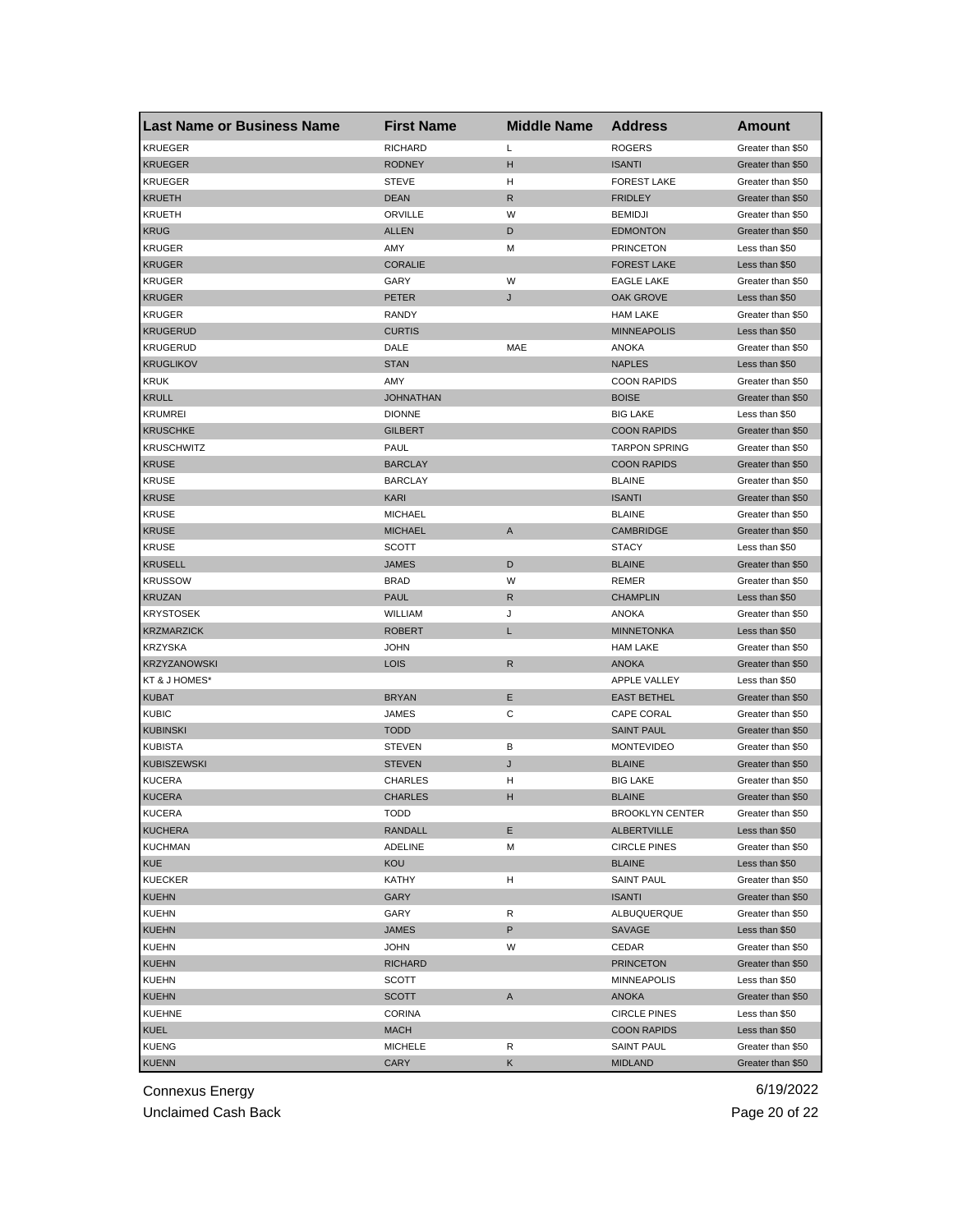| <b>Last Name or Business Name</b> | <b>First Name</b> | <b>Middle Name</b> | <b>Address</b>         | <b>Amount</b>     |
|-----------------------------------|-------------------|--------------------|------------------------|-------------------|
| <b>KRUEGER</b>                    | <b>RICHARD</b>    | Г                  | <b>ROGERS</b>          | Greater than \$50 |
| <b>KRUEGER</b>                    | <b>RODNEY</b>     | н                  | <b>ISANTI</b>          | Greater than \$50 |
| <b>KRUEGER</b>                    | <b>STEVE</b>      | н                  | <b>FOREST LAKE</b>     | Greater than \$50 |
| <b>KRUETH</b>                     | <b>DEAN</b>       | R                  | <b>FRIDLEY</b>         | Greater than \$50 |
| KRUETH                            | ORVILLE           | W                  | <b>BEMIDJI</b>         | Greater than \$50 |
| <b>KRUG</b>                       | <b>ALLEN</b>      | D                  | <b>EDMONTON</b>        | Greater than \$50 |
| <b>KRUGER</b>                     | AMY               | М                  | <b>PRINCETON</b>       | Less than \$50    |
| <b>KRUGER</b>                     | <b>CORALIE</b>    |                    | <b>FOREST LAKE</b>     | Less than \$50    |
| <b>KRUGER</b>                     | GARY              | W                  | <b>EAGLE LAKE</b>      | Greater than \$50 |
| <b>KRUGER</b>                     | <b>PETER</b>      | J                  | OAK GROVE              | Less than \$50    |
| <b>KRUGER</b>                     | RANDY             |                    | <b>HAM LAKE</b>        | Greater than \$50 |
| <b>KRUGERUD</b>                   | <b>CURTIS</b>     |                    | <b>MINNEAPOLIS</b>     | Less than \$50    |
| <b>KRUGERUD</b>                   | DALE              | MAE                | ANOKA                  | Greater than \$50 |
| <b>KRUGLIKOV</b>                  | <b>STAN</b>       |                    | <b>NAPLES</b>          | Less than \$50    |
| <b>KRUK</b>                       | AMY               |                    | <b>COON RAPIDS</b>     | Greater than \$50 |
| <b>KRULL</b>                      | <b>JOHNATHAN</b>  |                    | <b>BOISE</b>           | Greater than \$50 |
| <b>KRUMREI</b>                    | <b>DIONNE</b>     |                    | <b>BIG LAKE</b>        | Less than \$50    |
| <b>KRUSCHKE</b>                   | <b>GILBERT</b>    |                    | <b>COON RAPIDS</b>     | Greater than \$50 |
| <b>KRUSCHWITZ</b>                 | PAUL              |                    | <b>TARPON SPRING</b>   | Greater than \$50 |
| <b>KRUSE</b>                      | <b>BARCLAY</b>    |                    | <b>COON RAPIDS</b>     | Greater than \$50 |
| <b>KRUSE</b>                      | <b>BARCLAY</b>    |                    | <b>BLAINE</b>          | Greater than \$50 |
| <b>KRUSE</b>                      | KARI              |                    | <b>ISANTI</b>          | Greater than \$50 |
| <b>KRUSE</b>                      | <b>MICHAEL</b>    |                    | <b>BLAINE</b>          | Greater than \$50 |
| <b>KRUSE</b>                      | <b>MICHAEL</b>    | Α                  | CAMBRIDGE              | Greater than \$50 |
| <b>KRUSE</b>                      | <b>SCOTT</b>      |                    | <b>STACY</b>           | Less than \$50    |
| <b>KRUSELL</b>                    | <b>JAMES</b>      | D                  | <b>BLAINE</b>          | Greater than \$50 |
| <b>KRUSSOW</b>                    | <b>BRAD</b>       | W                  | REMER                  | Greater than \$50 |
| <b>KRUZAN</b>                     | <b>PAUL</b>       | R                  | <b>CHAMPLIN</b>        | Less than \$50    |
| <b>KRYSTOSEK</b>                  | WILLIAM           | J                  | <b>ANOKA</b>           | Greater than \$50 |
| <b>KRZMARZICK</b>                 | <b>ROBERT</b>     | L                  | <b>MINNETONKA</b>      | Less than \$50    |
| <b>KRZYSKA</b>                    | <b>JOHN</b>       |                    | <b>HAM LAKE</b>        | Greater than \$50 |
| <b>KRZYZANOWSKI</b>               | <b>LOIS</b>       | $\mathsf{R}$       | <b>ANOKA</b>           | Greater than \$50 |
| KT & J HOMES*                     |                   |                    | <b>APPLE VALLEY</b>    | Less than \$50    |
| <b>KUBAT</b>                      | <b>BRYAN</b>      | Ε                  | <b>EAST BETHEL</b>     | Greater than \$50 |
| <b>KUBIC</b>                      | JAMES             | С                  | <b>CAPE CORAL</b>      | Greater than \$50 |
| <b>KUBINSKI</b>                   | <b>TODD</b>       |                    | <b>SAINT PAUL</b>      | Greater than \$50 |
| <b>KUBISTA</b>                    | <b>STEVEN</b>     | В                  | <b>MONTEVIDEO</b>      | Greater than \$50 |
| <b>KUBISZEWSKI</b>                | <b>STEVEN</b>     | J                  | <b>BLAINE</b>          | Greater than \$50 |
| <b>KUCERA</b>                     | <b>CHARLES</b>    | н                  | <b>BIG LAKE</b>        | Greater than \$50 |
| <b>KUCERA</b>                     | <b>CHARLES</b>    | н                  | <b>BLAINE</b>          | Greater than \$50 |
| KUCERA                            | TODD              |                    | <b>BROOKLYN CENTER</b> | Greater than \$50 |
| <b>KUCHERA</b>                    | RANDALL           | Е                  | <b>ALBERTVILLE</b>     | Less than \$50    |
| <b>KUCHMAN</b>                    | <b>ADELINE</b>    | М                  | <b>CIRCLE PINES</b>    | Greater than \$50 |
| KUE                               | KOU               |                    | <b>BLAINE</b>          | Less than \$50    |
| <b>KUECKER</b>                    | KATHY             | н                  | <b>SAINT PAUL</b>      | Greater than \$50 |
| <b>KUEHN</b>                      | GARY              |                    | <b>ISANTI</b>          | Greater than \$50 |
| <b>KUEHN</b>                      | GARY              | R                  | ALBUQUERQUE            | Greater than \$50 |
| <b>KUEHN</b>                      | <b>JAMES</b>      | P                  | SAVAGE                 | Less than \$50    |
| <b>KUEHN</b>                      | <b>JOHN</b>       | W                  | CEDAR                  | Greater than \$50 |
| <b>KUEHN</b>                      | <b>RICHARD</b>    |                    | <b>PRINCETON</b>       | Greater than \$50 |
| <b>KUEHN</b>                      | SCOTT             |                    | MINNEAPOLIS            | Less than \$50    |
| <b>KUEHN</b>                      | SCOTT             | A                  | <b>ANOKA</b>           | Greater than \$50 |
| <b>KUEHNE</b>                     | CORINA            |                    | <b>CIRCLE PINES</b>    | Less than \$50    |
| <b>KUEL</b>                       | <b>MACH</b>       |                    | <b>COON RAPIDS</b>     | Less than \$50    |
| <b>KUENG</b>                      | <b>MICHELE</b>    | R                  | <b>SAINT PAUL</b>      | Greater than \$50 |
| <b>KUENN</b>                      | CARY              | Κ                  | <b>MIDLAND</b>         | Greater than \$50 |

Unclaimed Cash Back **Page 20 of 22**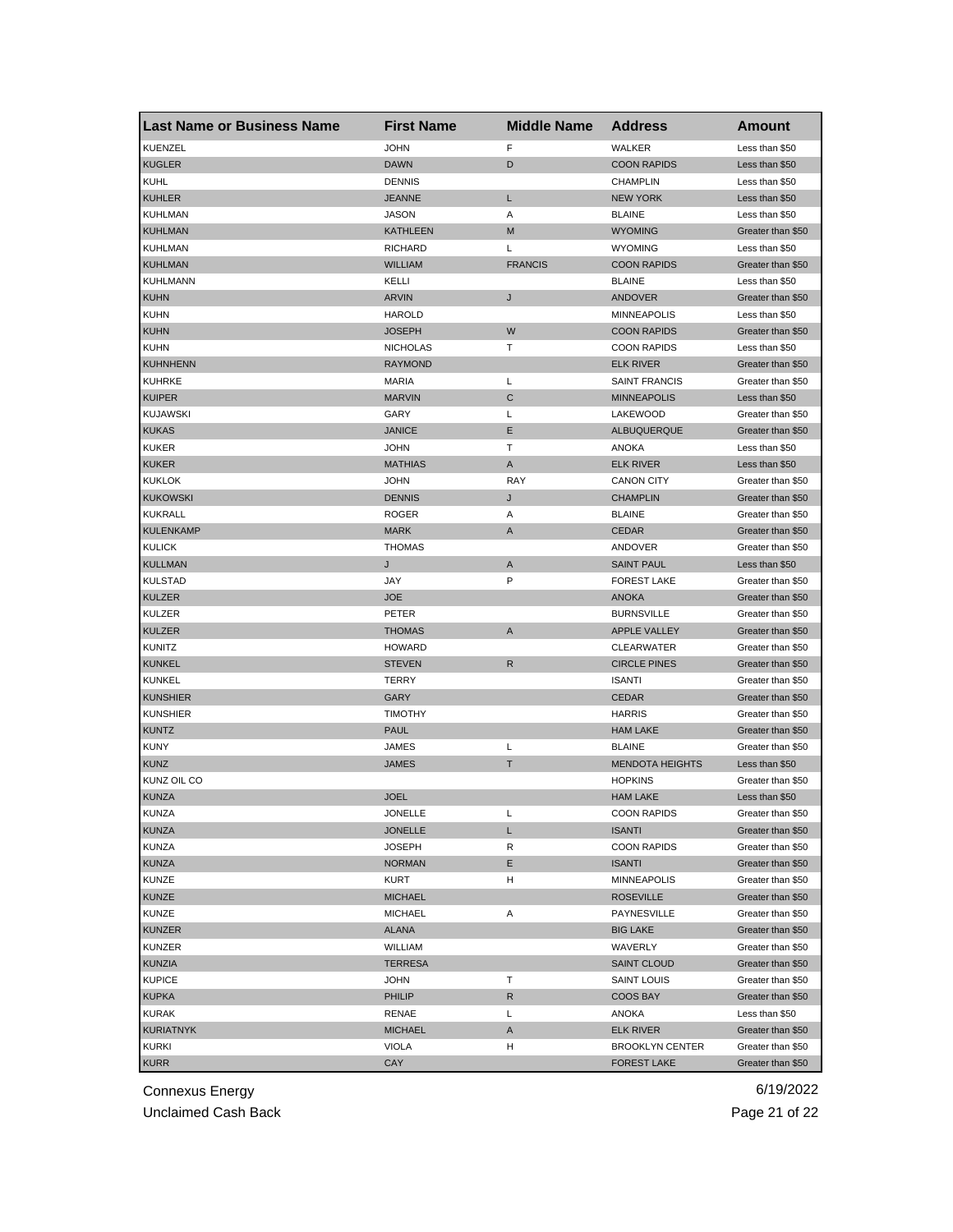| <b>Last Name or Business Name</b> | <b>First Name</b> | <b>Middle Name</b> | <b>Address</b>         | <b>Amount</b>     |
|-----------------------------------|-------------------|--------------------|------------------------|-------------------|
| KUENZEL                           | <b>JOHN</b>       | F                  | WALKER                 | Less than \$50    |
| <b>KUGLER</b>                     | <b>DAWN</b>       | D                  | <b>COON RAPIDS</b>     | Less than \$50    |
| <b>KUHL</b>                       | <b>DENNIS</b>     |                    | <b>CHAMPLIN</b>        | Less than \$50    |
| <b>KUHLER</b>                     | <b>JEANNE</b>     | L                  | <b>NEW YORK</b>        | Less than \$50    |
| <b>KUHLMAN</b>                    | <b>JASON</b>      | Α                  | <b>BLAINE</b>          | Less than \$50    |
| <b>KUHLMAN</b>                    | <b>KATHLEEN</b>   | M                  | <b>WYOMING</b>         | Greater than \$50 |
| <b>KUHLMAN</b>                    | <b>RICHARD</b>    | L                  | <b>WYOMING</b>         | Less than \$50    |
| <b>KUHLMAN</b>                    | <b>WILLIAM</b>    | <b>FRANCIS</b>     | <b>COON RAPIDS</b>     | Greater than \$50 |
| <b>KUHLMANN</b>                   | KELLI             |                    | <b>BLAINE</b>          | Less than \$50    |
| <b>KUHN</b>                       | <b>ARVIN</b>      | J                  | <b>ANDOVER</b>         | Greater than \$50 |
| <b>KUHN</b>                       | <b>HAROLD</b>     |                    | <b>MINNEAPOLIS</b>     | Less than \$50    |
| <b>KUHN</b>                       | <b>JOSEPH</b>     | W                  | <b>COON RAPIDS</b>     | Greater than \$50 |
| <b>KUHN</b>                       | <b>NICHOLAS</b>   | т                  | <b>COON RAPIDS</b>     | Less than \$50    |
| <b>KUHNHENN</b>                   | <b>RAYMOND</b>    |                    | <b>ELK RIVER</b>       | Greater than \$50 |
| <b>KUHRKE</b>                     | <b>MARIA</b>      | Г                  | <b>SAINT FRANCIS</b>   | Greater than \$50 |
| <b>KUIPER</b>                     | <b>MARVIN</b>     | С                  | <b>MINNEAPOLIS</b>     | Less than \$50    |
| <b>KUJAWSKI</b>                   | GARY              | Г                  | LAKEWOOD               | Greater than \$50 |
| <b>KUKAS</b>                      | <b>JANICE</b>     | Ε                  | ALBUQUERQUE            | Greater than \$50 |
| KUKER                             | <b>JOHN</b>       | Т                  | ANOKA                  | Less than \$50    |
| <b>KUKER</b>                      | <b>MATHIAS</b>    | Α                  | <b>ELK RIVER</b>       | Less than \$50    |
| <b>KUKLOK</b>                     | <b>JOHN</b>       | <b>RAY</b>         | <b>CANON CITY</b>      | Greater than \$50 |
| <b>KUKOWSKI</b>                   | <b>DENNIS</b>     | J                  | <b>CHAMPLIN</b>        | Greater than \$50 |
| <b>KUKRALL</b>                    | <b>ROGER</b>      | Α                  | <b>BLAINE</b>          | Greater than \$50 |
| <b>KULENKAMP</b>                  | <b>MARK</b>       | A                  | <b>CEDAR</b>           | Greater than \$50 |
| <b>KULICK</b>                     | <b>THOMAS</b>     |                    | ANDOVER                | Greater than \$50 |
| <b>KULLMAN</b>                    | J                 | A                  | <b>SAINT PAUL</b>      | Less than \$50    |
| KULSTAD                           | JAY               | P                  | <b>FOREST LAKE</b>     | Greater than \$50 |
| <b>KULZER</b>                     | <b>JOE</b>        |                    | <b>ANOKA</b>           | Greater than \$50 |
| KULZER                            | PETER             |                    | <b>BURNSVILLE</b>      | Greater than \$50 |
| <b>KULZER</b>                     | <b>THOMAS</b>     | A                  | <b>APPLE VALLEY</b>    | Greater than \$50 |
| <b>KUNITZ</b>                     | <b>HOWARD</b>     |                    | <b>CLEARWATER</b>      | Greater than \$50 |
| <b>KUNKEL</b>                     | <b>STEVEN</b>     | $\mathsf{R}$       | <b>CIRCLE PINES</b>    | Greater than \$50 |
| <b>KUNKEL</b>                     | TERRY             |                    | <b>ISANTI</b>          | Greater than \$50 |
| <b>KUNSHIER</b>                   | GARY              |                    | <b>CEDAR</b>           | Greater than \$50 |
| <b>KUNSHIER</b>                   | <b>TIMOTHY</b>    |                    | <b>HARRIS</b>          | Greater than \$50 |
| <b>KUNTZ</b>                      | <b>PAUL</b>       |                    | <b>HAM LAKE</b>        | Greater than \$50 |
| <b>KUNY</b>                       | JAMES             | Г                  | <b>BLAINE</b>          | Greater than \$50 |
| <b>KUNZ</b>                       | JAMES             | т                  | <b>MENDOTA HEIGHTS</b> | Less than \$50    |
| KUNZ OIL CO                       |                   |                    | <b>HOPKINS</b>         | Greater than \$50 |
| <b>KUNZA</b>                      | <b>JOEL</b>       |                    | <b>HAM LAKE</b>        | Less than \$50    |
| KUNZA                             | JONELLE           | L                  | <b>COON RAPIDS</b>     | Greater than \$50 |
| <b>KUNZA</b>                      | <b>JONELLE</b>    | L                  | <b>ISANTI</b>          | Greater than \$50 |
| <b>KUNZA</b>                      | <b>JOSEPH</b>     | R                  | <b>COON RAPIDS</b>     | Greater than \$50 |
| KUNZA                             | <b>NORMAN</b>     | Е                  | <b>ISANTI</b>          | Greater than \$50 |
| KUNZE                             | KURT              | н                  | <b>MINNEAPOLIS</b>     | Greater than \$50 |
| <b>KUNZE</b>                      | <b>MICHAEL</b>    |                    | <b>ROSEVILLE</b>       | Greater than \$50 |
| KUNZE                             | <b>MICHAEL</b>    | Α                  | PAYNESVILLE            | Greater than \$50 |
| <b>KUNZER</b>                     | <b>ALANA</b>      |                    | <b>BIG LAKE</b>        | Greater than \$50 |
| <b>KUNZER</b>                     | WILLIAM           |                    | WAVERLY                | Greater than \$50 |
| <b>KUNZIA</b>                     | <b>TERRESA</b>    |                    | <b>SAINT CLOUD</b>     | Greater than \$50 |
| <b>KUPICE</b>                     | JOHN              | т                  | SAINT LOUIS            | Greater than \$50 |
| <b>KUPKA</b>                      | PHILIP            | R                  | COOS BAY               | Greater than \$50 |
| <b>KURAK</b>                      | RENAE             | Г                  | ANOKA                  | Less than \$50    |
| <b>KURIATNYK</b>                  | <b>MICHAEL</b>    | A                  | <b>ELK RIVER</b>       | Greater than \$50 |
| <b>KURKI</b>                      | VIOLA             | н                  | <b>BROOKLYN CENTER</b> | Greater than \$50 |
| <b>KURR</b>                       | CAY               |                    | <b>FOREST LAKE</b>     | Greater than \$50 |

Unclaimed Cash Back **Page 21 of 22**